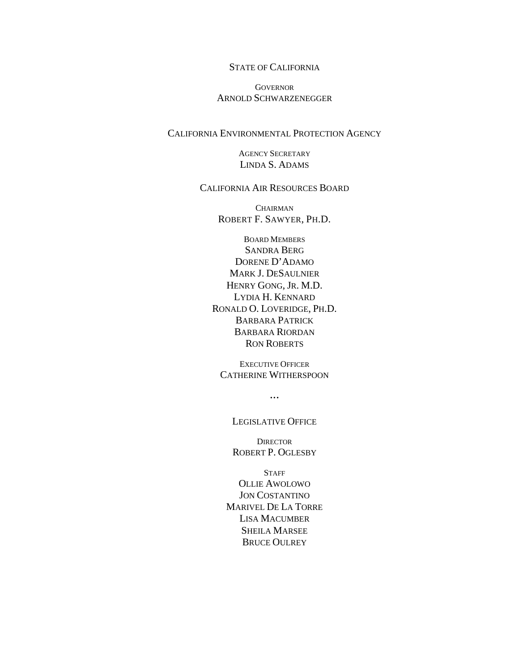#### STATE OF CALIFORNIA

#### **GOVERNOR** ARNOLD SCHWARZENEGGER

#### CALIFORNIA ENVIRONMENTAL PROTECTION AGENCY

AGENCY SECRETARY LINDA S. ADAMS

#### CALIFORNIA AIR RESOURCES BOARD

**CHAIRMAN** ROBERT F. SAWYER, PH.D.

BOARD MEMBERS SANDRA BERG DORENE D'ADAMO MARK J. DESAULNIER HENRY GONG, JR. M.D. LYDIA H. KENNARD RONALD O. LOVERIDGE, PH.D. BARBARA PATRICK BARBARA RIORDAN RON ROBERTS

EXECUTIVE OFFICER CATHERINE WITHERSPOON

 $\ddotsc$ 

LEGISLATIVE OFFICE

**DIRECTOR** ROBERT P. OGLESBY

**STAFF** OLLIE AWOLOWO JON COSTANTINO MARIVEL DE LA TORRE LISA MACUMBER SHEILA MARSEE BRUCE OULREY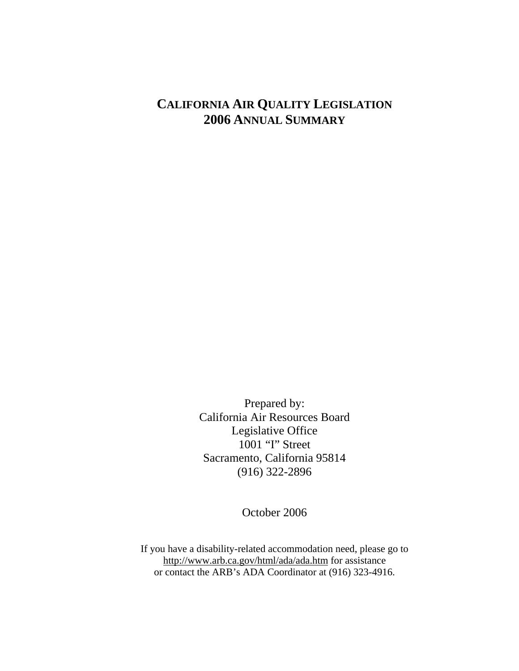# **CALIFORNIA AIR QUALITY LEGISLATION 2006 ANNUAL SUMMARY**

Prepared by: California Air Resources Board Legislative Office 1001 "I" Street Sacramento, California 95814 (916) 322-2896

October 2006

If you have a disability-related accommodation need, please go to http://www.arb.ca.gov/html/ada/ada.htm for assistance or contact the ARB's ADA Coordinator at (916) 323-4916.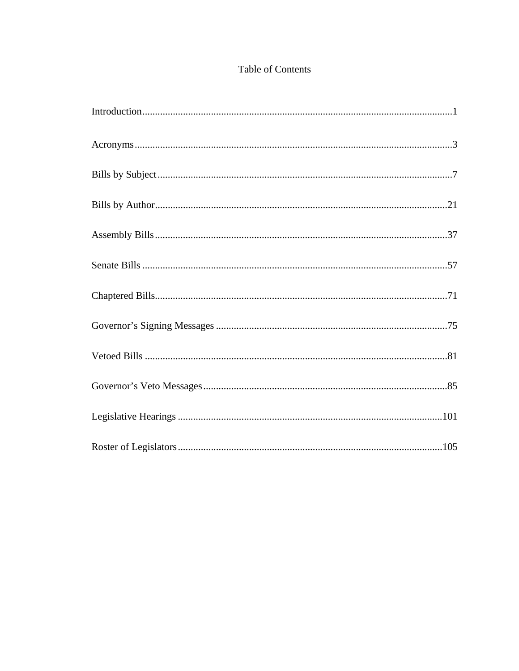## Table of Contents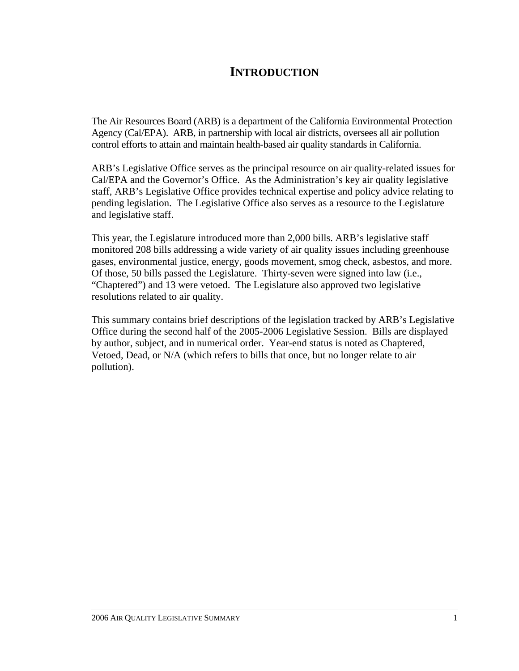# **INTRODUCTION**

The Air Resources Board (ARB) is a department of the California Environmental Protection Agency (Cal/EPA). ARB, in partnership with local air districts, oversees all air pollution control efforts to attain and maintain health-based air quality standards in California.

ARB's Legislative Office serves as the principal resource on air quality-related issues for Cal/EPA and the Governor's Office. As the Administration's key air quality legislative staff, ARB's Legislative Office provides technical expertise and policy advice relating to pending legislation. The Legislative Office also serves as a resource to the Legislature and legislative staff.

This year, the Legislature introduced more than 2,000 bills. ARB's legislative staff monitored 208 bills addressing a wide variety of air quality issues including greenhouse gases, environmental justice, energy, goods movement, smog check, asbestos, and more. Of those, 50 bills passed the Legislature. Thirty-seven were signed into law (i.e., "Chaptered") and 13 were vetoed. The Legislature also approved two legislative resolutions related to air quality.

This summary contains brief descriptions of the legislation tracked by ARB's Legislative Office during the second half of the 2005-2006 Legislative Session. Bills are displayed by author, subject, and in numerical order. Year-end status is noted as Chaptered, Vetoed, Dead, or N/A (which refers to bills that once, but no longer relate to air pollution).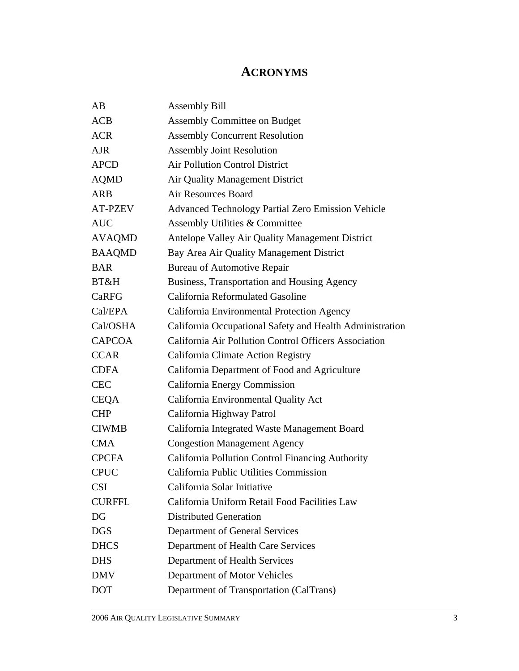# **ACRONYMS**

| AB             | <b>Assembly Bill</b>                                     |
|----------------|----------------------------------------------------------|
| ACB            | <b>Assembly Committee on Budget</b>                      |
| <b>ACR</b>     | <b>Assembly Concurrent Resolution</b>                    |
| <b>AJR</b>     | <b>Assembly Joint Resolution</b>                         |
| <b>APCD</b>    | <b>Air Pollution Control District</b>                    |
| <b>AQMD</b>    | Air Quality Management District                          |
| <b>ARB</b>     | <b>Air Resources Board</b>                               |
| <b>AT-PZEV</b> | <b>Advanced Technology Partial Zero Emission Vehicle</b> |
| <b>AUC</b>     | Assembly Utilities & Committee                           |
| <b>AVAQMD</b>  | Antelope Valley Air Quality Management District          |
| <b>BAAQMD</b>  | Bay Area Air Quality Management District                 |
| <b>BAR</b>     | <b>Bureau of Automotive Repair</b>                       |
| BT&H           | Business, Transportation and Housing Agency              |
| <b>CaRFG</b>   | California Reformulated Gasoline                         |
| Cal/EPA        | California Environmental Protection Agency               |
| Cal/OSHA       | California Occupational Safety and Health Administration |
| <b>CAPCOA</b>  | California Air Pollution Control Officers Association    |
| <b>CCAR</b>    | California Climate Action Registry                       |
| <b>CDFA</b>    | California Department of Food and Agriculture            |
| <b>CEC</b>     | California Energy Commission                             |
| <b>CEQA</b>    | California Environmental Quality Act                     |
| <b>CHP</b>     | California Highway Patrol                                |
| <b>CIWMB</b>   | California Integrated Waste Management Board             |
| <b>CMA</b>     | <b>Congestion Management Agency</b>                      |
| <b>CPCFA</b>   | California Pollution Control Financing Authority         |
| <b>CPUC</b>    | California Public Utilities Commission                   |
| <b>CSI</b>     | California Solar Initiative                              |
| <b>CURFFL</b>  | California Uniform Retail Food Facilities Law            |
| DG             | <b>Distributed Generation</b>                            |
| <b>DGS</b>     | Department of General Services                           |
| <b>DHCS</b>    | Department of Health Care Services                       |
| <b>DHS</b>     | Department of Health Services                            |
| <b>DMV</b>     | Department of Motor Vehicles                             |
| <b>DOT</b>     | Department of Transportation (CalTrans)                  |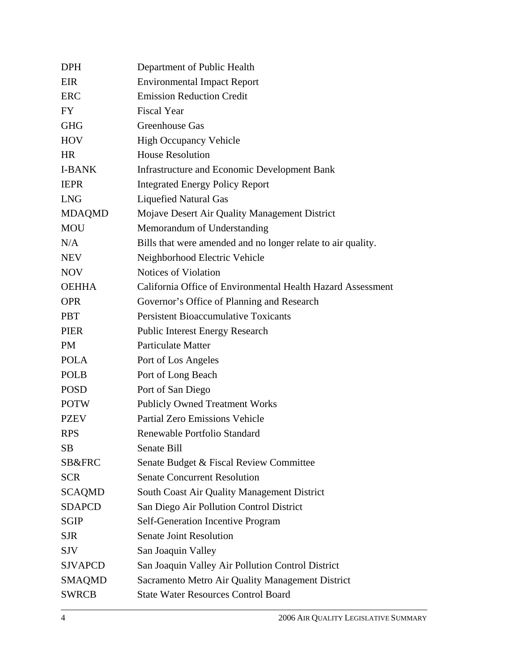| <b>DPH</b>     | Department of Public Health                                  |
|----------------|--------------------------------------------------------------|
| EIR            | <b>Environmental Impact Report</b>                           |
| <b>ERC</b>     | <b>Emission Reduction Credit</b>                             |
| FY             | <b>Fiscal Year</b>                                           |
| <b>GHG</b>     | Greenhouse Gas                                               |
| <b>HOV</b>     | <b>High Occupancy Vehicle</b>                                |
| <b>HR</b>      | <b>House Resolution</b>                                      |
| <b>I-BANK</b>  | <b>Infrastructure and Economic Development Bank</b>          |
| <b>IEPR</b>    | <b>Integrated Energy Policy Report</b>                       |
| <b>LNG</b>     | <b>Liquefied Natural Gas</b>                                 |
| <b>MDAQMD</b>  | Mojave Desert Air Quality Management District                |
| <b>MOU</b>     | Memorandum of Understanding                                  |
| N/A            | Bills that were amended and no longer relate to air quality. |
| <b>NEV</b>     | Neighborhood Electric Vehicle                                |
| <b>NOV</b>     | <b>Notices of Violation</b>                                  |
| <b>OEHHA</b>   | California Office of Environmental Health Hazard Assessment  |
| <b>OPR</b>     | Governor's Office of Planning and Research                   |
| <b>PBT</b>     | <b>Persistent Bioaccumulative Toxicants</b>                  |
| <b>PIER</b>    | <b>Public Interest Energy Research</b>                       |
| <b>PM</b>      | <b>Particulate Matter</b>                                    |
| <b>POLA</b>    | Port of Los Angeles                                          |
| <b>POLB</b>    | Port of Long Beach                                           |
| <b>POSD</b>    | Port of San Diego                                            |
| <b>POTW</b>    | <b>Publicly Owned Treatment Works</b>                        |
| <b>PZEV</b>    | <b>Partial Zero Emissions Vehicle</b>                        |
| <b>RPS</b>     | Renewable Portfolio Standard                                 |
| <b>SB</b>      | Senate Bill                                                  |
| SB&FRC         | Senate Budget & Fiscal Review Committee                      |
| <b>SCR</b>     | <b>Senate Concurrent Resolution</b>                          |
| <b>SCAQMD</b>  | South Coast Air Quality Management District                  |
| <b>SDAPCD</b>  | San Diego Air Pollution Control District                     |
| <b>SGIP</b>    | <b>Self-Generation Incentive Program</b>                     |
| <b>SJR</b>     | <b>Senate Joint Resolution</b>                               |
| <b>SJV</b>     | San Joaquin Valley                                           |
| <b>SJVAPCD</b> | San Joaquin Valley Air Pollution Control District            |
| <b>SMAQMD</b>  | Sacramento Metro Air Quality Management District             |
| <b>SWRCB</b>   | <b>State Water Resources Control Board</b>                   |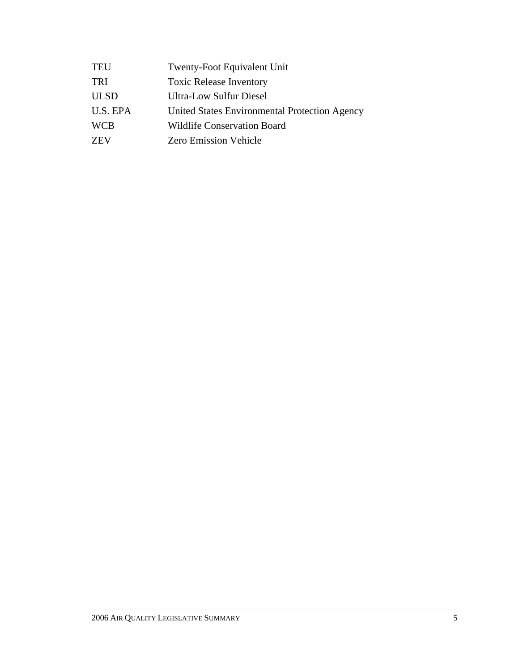| <b>TEU</b>  | Twenty-Foot Equivalent Unit                   |
|-------------|-----------------------------------------------|
| <b>TRI</b>  | <b>Toxic Release Inventory</b>                |
| <b>ULSD</b> | Ultra-Low Sulfur Diesel                       |
| U.S. EPA    | United States Environmental Protection Agency |
| <b>WCB</b>  | <b>Wildlife Conservation Board</b>            |
| <b>ZEV</b>  | <b>Zero Emission Vehicle</b>                  |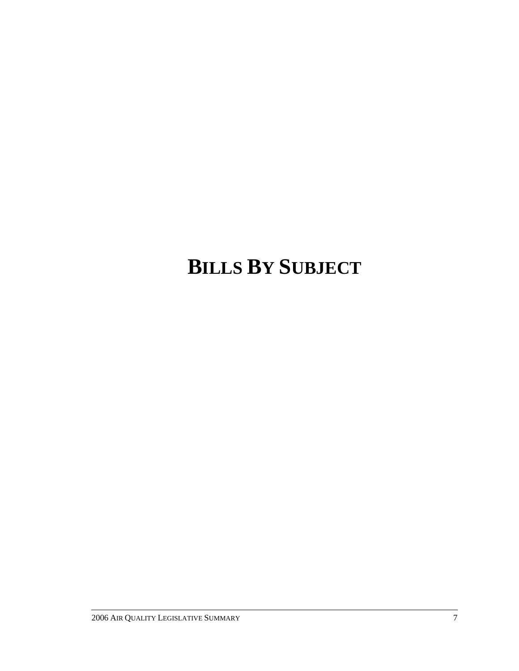# **BILLS BY SUBJECT**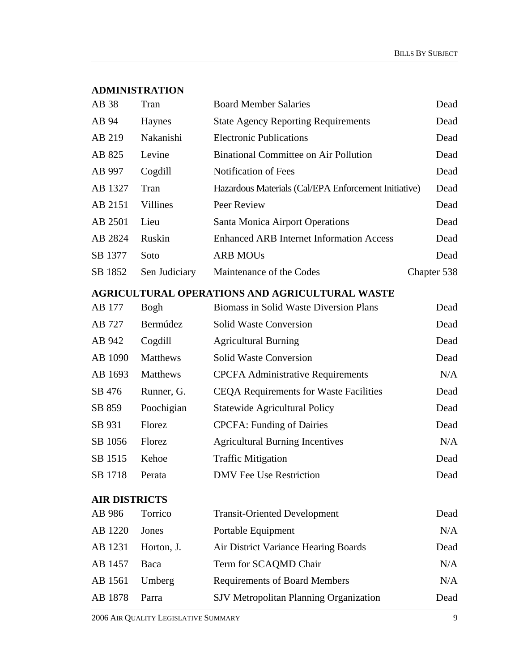## **ADMINISTRATION**

| AB 38                | Tran            | <b>Board Member Salaries</b>                          | Dead        |
|----------------------|-----------------|-------------------------------------------------------|-------------|
| AB 94                | Haynes          | <b>State Agency Reporting Requirements</b>            | Dead        |
| AB 219               | Nakanishi       | <b>Electronic Publications</b>                        | Dead        |
| AB 825               | Levine          | <b>Binational Committee on Air Pollution</b>          | Dead        |
| AB 997               | Cogdill         | Notification of Fees                                  | Dead        |
| AB 1327              | Tran            | Hazardous Materials (Cal/EPA Enforcement Initiative)  | Dead        |
| AB 2151              | Villines        | Peer Review                                           | Dead        |
| AB 2501              | Lieu            | Santa Monica Airport Operations                       | Dead        |
| AB 2824              | Ruskin          | <b>Enhanced ARB Internet Information Access</b>       | Dead        |
| SB 1377              | Soto            | <b>ARB MOUs</b>                                       | Dead        |
| SB 1852              | Sen Judiciary   | Maintenance of the Codes                              | Chapter 538 |
|                      |                 | <b>AGRICULTURAL OPERATIONS AND AGRICULTURAL WASTE</b> |             |
| AB 177               | Bogh            | <b>Biomass in Solid Waste Diversion Plans</b>         | Dead        |
| AB 727               | Bermúdez        | <b>Solid Waste Conversion</b>                         | Dead        |
| AB 942               | Cogdill         | <b>Agricultural Burning</b>                           | Dead        |
| AB 1090              | <b>Matthews</b> | <b>Solid Waste Conversion</b>                         | Dead        |
| AB 1693              | Matthews        | <b>CPCFA Administrative Requirements</b>              | N/A         |
| SB 476               | Runner, G.      | <b>CEQA Requirements for Waste Facilities</b>         | Dead        |
| SB 859               | Poochigian      | <b>Statewide Agricultural Policy</b>                  | Dead        |
| SB 931               | Florez          | <b>CPCFA: Funding of Dairies</b>                      | Dead        |
| SB 1056              | Florez          | <b>Agricultural Burning Incentives</b>                | N/A         |
| SB 1515              | Kehoe           | <b>Traffic Mitigation</b>                             | Dead        |
| SB 1718              | Perata          | <b>DMV</b> Fee Use Restriction                        | Dead        |
| <b>AIR DISTRICTS</b> |                 |                                                       |             |
| AB 986               | Torrico         | <b>Transit-Oriented Development</b>                   | Dead        |
| AB 1220              | Jones           | Portable Equipment                                    | N/A         |
| AB 1231              | Horton, J.      | Air District Variance Hearing Boards                  | Dead        |
| AB 1457              | Baca            | Term for SCAQMD Chair                                 | N/A         |
| AB 1561              | Umberg          | <b>Requirements of Board Members</b>                  | N/A         |
| AB 1878              | Parra           | SJV Metropolitan Planning Organization                | Dead        |
|                      |                 |                                                       |             |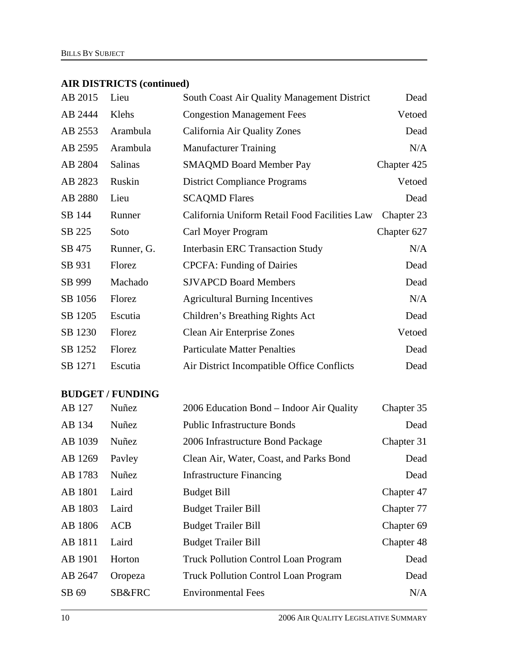# **AIR DISTRICTS (continued)**

| AB 2015 | Lieu           | South Coast Air Quality Management District   | Dead        |
|---------|----------------|-----------------------------------------------|-------------|
| AB 2444 | Klehs          | <b>Congestion Management Fees</b>             | Vetoed      |
| AB 2553 | Arambula       | California Air Quality Zones                  | Dead        |
| AB 2595 | Arambula       | <b>Manufacturer Training</b>                  | N/A         |
| AB 2804 | <b>Salinas</b> | <b>SMAQMD Board Member Pay</b>                | Chapter 425 |
| AB 2823 | Ruskin         | <b>District Compliance Programs</b>           | Vetoed      |
| AB 2880 | Lieu           | <b>SCAQMD Flares</b>                          | Dead        |
| SB 144  | Runner         | California Uniform Retail Food Facilities Law | Chapter 23  |
| SB 225  | Soto           | Carl Moyer Program                            | Chapter 627 |
| SB 475  | Runner, G.     | <b>Interbasin ERC Transaction Study</b>       | N/A         |
| SB 931  | Florez         | <b>CPCFA: Funding of Dairies</b>              | Dead        |
| SB 999  | Machado        | <b>SJVAPCD Board Members</b>                  | Dead        |
| SB 1056 | Florez         | <b>Agricultural Burning Incentives</b>        | N/A         |
| SB 1205 | Escutia        | Children's Breathing Rights Act               | Dead        |
| SB 1230 | Florez         | Clean Air Enterprise Zones                    | Vetoed      |
| SB 1252 | Florez         | <b>Particulate Matter Penalties</b>           | Dead        |
| SB 1271 | Escutia        | Air District Incompatible Office Conflicts    | Dead        |

## **BUDGET / FUNDING**

| AB 127  | Nuñez      | 2006 Education Bond – Indoor Air Quality    | Chapter 35 |
|---------|------------|---------------------------------------------|------------|
| AB 134  | Nuñez      | <b>Public Infrastructure Bonds</b>          | Dead       |
| AB 1039 | Nuñez      | 2006 Infrastructure Bond Package            | Chapter 31 |
| AB 1269 | Payley     | Clean Air, Water, Coast, and Parks Bond     | Dead       |
| AB 1783 | Nuñez      | <b>Infrastructure Financing</b>             | Dead       |
| AB 1801 | Laird      | <b>Budget Bill</b>                          | Chapter 47 |
| AB 1803 | Laird      | <b>Budget Trailer Bill</b>                  | Chapter 77 |
| AB 1806 | <b>ACB</b> | <b>Budget Trailer Bill</b>                  | Chapter 69 |
| AB 1811 | Laird      | <b>Budget Trailer Bill</b>                  | Chapter 48 |
| AB 1901 | Horton     | <b>Truck Pollution Control Loan Program</b> | Dead       |
| AB 2647 | Oropeza    | <b>Truck Pollution Control Loan Program</b> | Dead       |
| SB 69   | SB&FRC     | <b>Environmental Fees</b>                   | N/A        |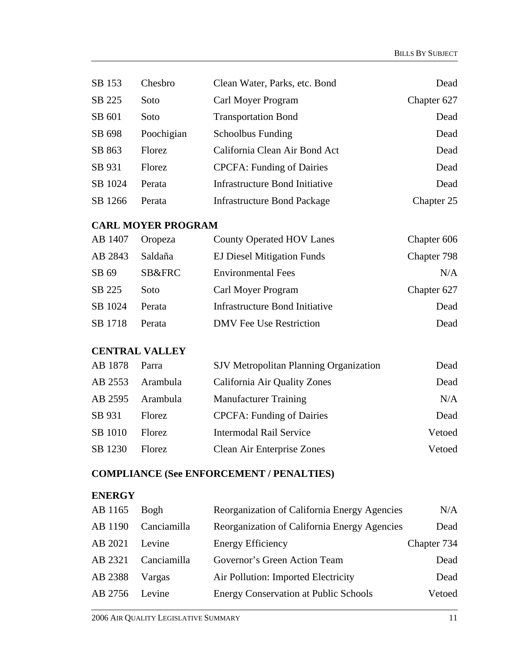| SB 153  | Chesbro    | Clean Water, Parks, etc. Bond      | Dead        |
|---------|------------|------------------------------------|-------------|
| SB 225  | Soto       | Carl Moyer Program                 | Chapter 627 |
| SB 601  | Soto       | <b>Transportation Bond</b>         | Dead        |
| SB 698  | Poochigian | <b>Schoolbus Funding</b>           | Dead        |
| SB 863  | Florez     | California Clean Air Bond Act      | Dead        |
| SB 931  | Florez     | <b>CPCFA: Funding of Dairies</b>   | Dead        |
| SB 1024 | Perata     | Infrastructure Bond Initiative     | Dead        |
| SB 1266 | Perata     | <b>Infrastructure Bond Package</b> | Chapter 25  |

## **CARL MOYER PROGRAM**

| AB 1407 | Oropeza           | <b>County Operated HOV Lanes</b>  | Chapter 606 |
|---------|-------------------|-----------------------------------|-------------|
| AB 2843 | Saldaña           | <b>EJ Diesel Mitigation Funds</b> | Chapter 798 |
| SB 69   | <b>SB&amp;FRC</b> | <b>Environmental Fees</b>         | N/A         |
| SB 225  | Soto              | Carl Moyer Program                | Chapter 627 |
| SB 1024 | Perata            | Infrastructure Bond Initiative    | Dead        |
| SB 1718 | Perata            | <b>DMV</b> Fee Use Restriction    | Dead        |

## **CENTRAL VALLEY**

| AB 1878 | Parra         | SJV Metropolitan Planning Organization | Dead   |
|---------|---------------|----------------------------------------|--------|
| AB 2553 | Arambula      | California Air Quality Zones           | Dead   |
| AB 2595 | Arambula      | <b>Manufacturer Training</b>           | N/A    |
| SB 931  | <b>Florez</b> | <b>CPCFA: Funding of Dairies</b>       | Dead   |
| SB 1010 | <b>Florez</b> | <b>Intermodal Rail Service</b>         | Vetoed |
| SB 1230 | <b>Florez</b> | <b>Clean Air Enterprise Zones</b>      | Vetoed |

# **COMPLIANCE (See ENFORCEMENT / PENALTIES)**

## **ENERGY**

| AB 1165 | Bogh        | Reorganization of California Energy Agencies | N/A         |
|---------|-------------|----------------------------------------------|-------------|
| AB 1190 | Canciamilla | Reorganization of California Energy Agencies | Dead        |
| AB 2021 | Levine      | <b>Energy Efficiency</b>                     | Chapter 734 |
| AB 2321 | Canciamilla | Governor's Green Action Team                 | Dead        |
| AB 2388 | Vargas      | Air Pollution: Imported Electricity          | Dead        |
| AB 2756 | Levine      | <b>Energy Conservation at Public Schools</b> | Vetoed      |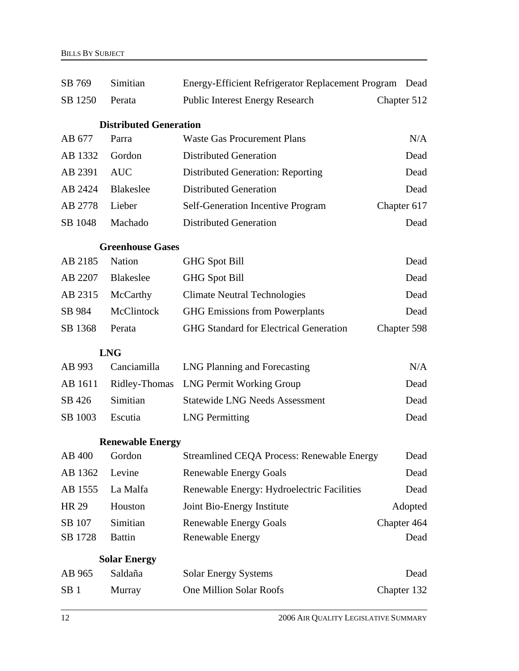| SB 769          | Simitian                      | Energy-Efficient Refrigerator Replacement Program Dead |             |  |
|-----------------|-------------------------------|--------------------------------------------------------|-------------|--|
| SB 1250         | Perata                        | <b>Public Interest Energy Research</b>                 | Chapter 512 |  |
|                 | <b>Distributed Generation</b> |                                                        |             |  |
| AB 677          | Parra                         | <b>Waste Gas Procurement Plans</b>                     | N/A         |  |
| AB 1332         | Gordon                        | <b>Distributed Generation</b>                          | Dead        |  |
| AB 2391         | <b>AUC</b>                    | <b>Distributed Generation: Reporting</b>               | Dead        |  |
| AB 2424         | <b>Blakeslee</b>              | <b>Distributed Generation</b>                          | Dead        |  |
| AB 2778         | Lieber                        | <b>Self-Generation Incentive Program</b>               | Chapter 617 |  |
| SB 1048         | Machado                       | <b>Distributed Generation</b>                          | Dead        |  |
|                 | <b>Greenhouse Gases</b>       |                                                        |             |  |
| AB 2185         | Nation                        | <b>GHG Spot Bill</b>                                   | Dead        |  |
| AB 2207         | <b>Blakeslee</b>              | <b>GHG Spot Bill</b>                                   | Dead        |  |
| AB 2315         | McCarthy                      | <b>Climate Neutral Technologies</b>                    | Dead        |  |
| SB 984          | McClintock                    | <b>GHG Emissions from Powerplants</b>                  | Dead        |  |
| SB 1368         | Perata                        | <b>GHG Standard for Electrical Generation</b>          | Chapter 598 |  |
|                 | <b>LNG</b>                    |                                                        |             |  |
| AB 993          | Canciamilla                   | LNG Planning and Forecasting                           | N/A         |  |
| AB 1611         | Ridley-Thomas                 | <b>LNG Permit Working Group</b>                        | Dead        |  |
| SB 426          | Simitian                      | <b>Statewide LNG Needs Assessment</b>                  | Dead        |  |
| SB 1003         | Escutia                       | <b>LNG</b> Permitting                                  | Dead        |  |
|                 | <b>Renewable Energy</b>       |                                                        |             |  |
| AB 400          | Gordon                        | Streamlined CEQA Process: Renewable Energy             | Dead        |  |
| AB 1362         | Levine                        | <b>Renewable Energy Goals</b>                          | Dead        |  |
| AB 1555         | La Malfa                      | Renewable Energy: Hydroelectric Facilities             | Dead        |  |
| <b>HR 29</b>    | Houston                       | Joint Bio-Energy Institute                             | Adopted     |  |
| SB 107          | Simitian                      | <b>Renewable Energy Goals</b>                          | Chapter 464 |  |
| SB 1728         | <b>Battin</b>                 | <b>Renewable Energy</b>                                | Dead        |  |
|                 | <b>Solar Energy</b>           |                                                        |             |  |
| AB 965          | Saldaña                       | <b>Solar Energy Systems</b>                            | Dead        |  |
| SB <sub>1</sub> | Murray                        | One Million Solar Roofs                                | Chapter 132 |  |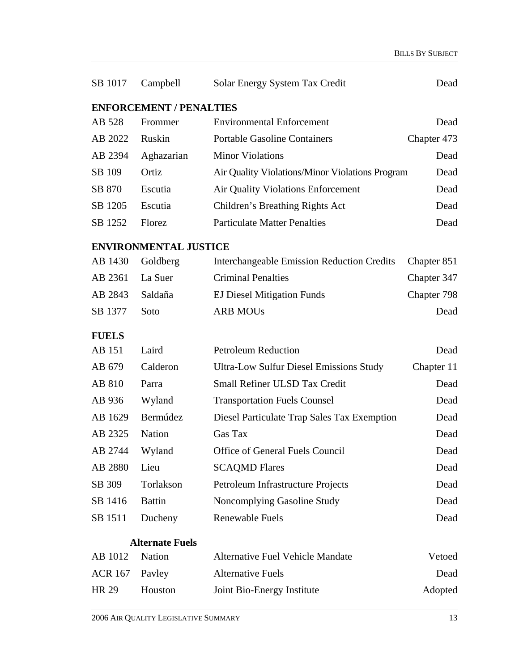| SB 1017        | Campbell                       | Solar Energy System Tax Credit                    | Dead        |
|----------------|--------------------------------|---------------------------------------------------|-------------|
|                | <b>ENFORCEMENT / PENALTIES</b> |                                                   |             |
| AB 528         | Frommer                        | <b>Environmental Enforcement</b>                  | Dead        |
| AB 2022        | Ruskin                         | <b>Portable Gasoline Containers</b>               | Chapter 473 |
| AB 2394        | Aghazarian                     | <b>Minor Violations</b>                           | Dead        |
| SB 109         | Ortiz                          | Air Quality Violations/Minor Violations Program   | Dead        |
| SB 870         | Escutia                        | Air Quality Violations Enforcement                | Dead        |
| SB 1205        | Escutia                        | Children's Breathing Rights Act                   | Dead        |
| SB 1252        | Florez                         | <b>Particulate Matter Penalties</b>               | Dead        |
|                | <b>ENVIRONMENTAL JUSTICE</b>   |                                                   |             |
| AB 1430        | Goldberg                       | <b>Interchangeable Emission Reduction Credits</b> | Chapter 851 |
| AB 2361        | La Suer                        | <b>Criminal Penalties</b>                         | Chapter 347 |
| AB 2843        | Saldaña                        | <b>EJ Diesel Mitigation Funds</b>                 | Chapter 798 |
| SB 1377        | Soto                           | <b>ARB MOUs</b>                                   | Dead        |
| <b>FUELS</b>   |                                |                                                   |             |
| AB 151         | Laird                          | <b>Petroleum Reduction</b>                        | Dead        |
| AB 679         | Calderon                       | <b>Ultra-Low Sulfur Diesel Emissions Study</b>    | Chapter 11  |
| AB 810         | Parra                          | Small Refiner ULSD Tax Credit                     | Dead        |
| AB 936         | Wyland                         | <b>Transportation Fuels Counsel</b>               | Dead        |
| AB 1629        | Bermúdez                       | Diesel Particulate Trap Sales Tax Exemption       | Dead        |
| AB 2325        | <b>Nation</b>                  | Gas Tax                                           | Dead        |
| AB 2744        | Wyland                         | Office of General Fuels Council                   | Dead        |
| AB 2880        | Lieu                           | <b>SCAQMD Flares</b>                              | Dead        |
| SB 309         | Torlakson                      | Petroleum Infrastructure Projects                 | Dead        |
| SB 1416        | <b>Battin</b>                  | Noncomplying Gasoline Study                       | Dead        |
| SB 1511        | Ducheny                        | <b>Renewable Fuels</b>                            | Dead        |
|                | <b>Alternate Fuels</b>         |                                                   |             |
| AB 1012        | <b>Nation</b>                  | <b>Alternative Fuel Vehicle Mandate</b>           | Vetoed      |
| <b>ACR 167</b> | Payley                         | <b>Alternative Fuels</b>                          | Dead        |
| HR 29          | Houston                        | Joint Bio-Energy Institute                        | Adopted     |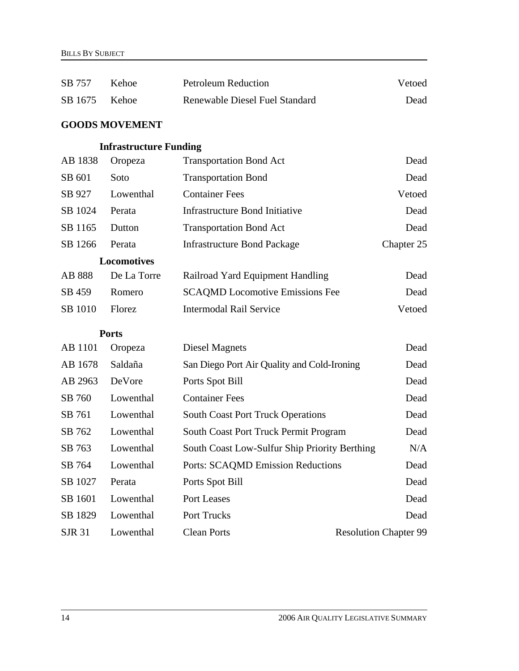| SB 757        | Kehoe                         | <b>Petroleum Reduction</b>                    | Vetoed                       |
|---------------|-------------------------------|-----------------------------------------------|------------------------------|
| SB 1675       | Kehoe                         | Renewable Diesel Fuel Standard                | Dead                         |
|               | <b>GOODS MOVEMENT</b>         |                                               |                              |
|               | <b>Infrastructure Funding</b> |                                               |                              |
| AB 1838       | Oropeza                       | <b>Transportation Bond Act</b>                | Dead                         |
| SB 601        | Soto                          | <b>Transportation Bond</b>                    | Dead                         |
| SB 927        | Lowenthal                     | <b>Container Fees</b>                         | Vetoed                       |
| SB 1024       | Perata                        | <b>Infrastructure Bond Initiative</b>         | Dead                         |
| SB 1165       | Dutton                        | <b>Transportation Bond Act</b>                | Dead                         |
| SB 1266       | Perata                        | <b>Infrastructure Bond Package</b>            | Chapter 25                   |
|               | <b>Locomotives</b>            |                                               |                              |
| AB 888        | De La Torre                   | Railroad Yard Equipment Handling              | Dead                         |
| SB 459        | Romero                        | <b>SCAQMD</b> Locomotive Emissions Fee        | Dead                         |
| SB 1010       | Florez                        | <b>Intermodal Rail Service</b>                | Vetoed                       |
|               | <b>Ports</b>                  |                                               |                              |
| AB 1101       | Oropeza                       | <b>Diesel Magnets</b>                         | Dead                         |
| AB 1678       | Saldaña                       | San Diego Port Air Quality and Cold-Ironing   | Dead                         |
| AB 2963       | DeVore                        | Ports Spot Bill                               | Dead                         |
| SB 760        | Lowenthal                     | <b>Container Fees</b>                         | Dead                         |
| SB 761        | Lowenthal                     | <b>South Coast Port Truck Operations</b>      | Dead                         |
| SB 762        | Lowenthal                     | South Coast Port Truck Permit Program         | Dead                         |
| SB 763        | Lowenthal                     | South Coast Low-Sulfur Ship Priority Berthing | N/A                          |
| SB 764        | Lowenthal                     | <b>Ports: SCAQMD Emission Reductions</b>      | Dead                         |
| SB 1027       | Perata                        | Ports Spot Bill                               | Dead                         |
| SB 1601       | Lowenthal                     | Port Leases                                   | Dead                         |
| SB 1829       | Lowenthal                     | Port Trucks                                   | Dead                         |
| <b>SJR 31</b> | Lowenthal                     | <b>Clean Ports</b>                            | <b>Resolution Chapter 99</b> |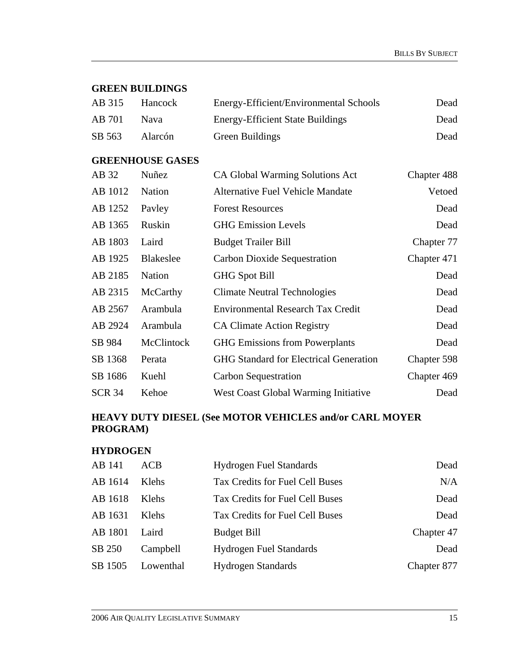#### **GREEN BUILDINGS**

| AB 315 | Hancock        | Energy-Efficient/Environmental Schools  | Dead |
|--------|----------------|-----------------------------------------|------|
| AB 701 | <b>Nava</b>    | <b>Energy-Efficient State Buildings</b> | Dead |
| SB 563 | <b>Alarcón</b> | Green Buildings                         | Dead |

## **GREENHOUSE GASES**

| AB 32         | Nuñez            | <b>CA Global Warming Solutions Act</b>        | Chapter 488 |
|---------------|------------------|-----------------------------------------------|-------------|
| AB 1012       | Nation           | <b>Alternative Fuel Vehicle Mandate</b>       | Vetoed      |
| AB 1252       | Payley           | <b>Forest Resources</b>                       | Dead        |
| AB 1365       | Ruskin           | <b>GHG Emission Levels</b>                    | Dead        |
| AB 1803       | Laird            | <b>Budget Trailer Bill</b>                    | Chapter 77  |
| AB 1925       | <b>Blakeslee</b> | Carbon Dioxide Sequestration                  | Chapter 471 |
| AB 2185       | <b>Nation</b>    | <b>GHG Spot Bill</b>                          | Dead        |
| AB 2315       | McCarthy         | Climate Neutral Technologies                  | Dead        |
| AB 2567       | Arambula         | <b>Environmental Research Tax Credit</b>      | Dead        |
| AB 2924       | Arambula         | <b>CA Climate Action Registry</b>             | Dead        |
| SB 984        | McClintock       | <b>GHG</b> Emissions from Powerplants         | Dead        |
| SB 1368       | Perata           | <b>GHG Standard for Electrical Generation</b> | Chapter 598 |
| SB 1686       | Kuehl            | Carbon Sequestration                          | Chapter 469 |
| <b>SCR 34</b> | Kehoe            | West Coast Global Warming Initiative          | Dead        |

## **HEAVY DUTY DIESEL (See MOTOR VEHICLES and/or CARL MOYER PROGRAM)**

#### **HYDROGEN**

| AB 141  | ACB          | <b>Hydrogen Fuel Standards</b>  | Dead        |
|---------|--------------|---------------------------------|-------------|
| AB 1614 | Klehs        | Tax Credits for Fuel Cell Buses | N/A         |
| AB 1618 | <b>Klehs</b> | Tax Credits for Fuel Cell Buses | Dead        |
| AB 1631 | Klehs        | Tax Credits for Fuel Cell Buses | Dead        |
| AB 1801 | Laird        | <b>Budget Bill</b>              | Chapter 47  |
| SB 250  | Campbell     | <b>Hydrogen Fuel Standards</b>  | Dead        |
| SB 1505 | Lowenthal    | <b>Hydrogen Standards</b>       | Chapter 877 |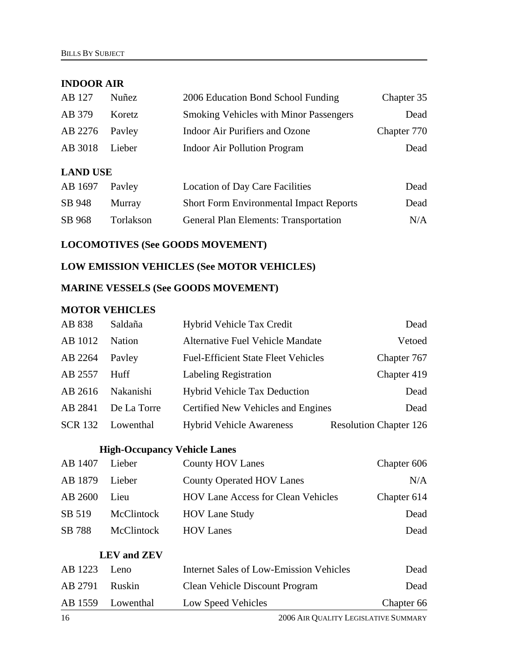#### **INDOOR AIR**

| AB 127          | Nuñez         | 2006 Education Bond School Funding             | Chapter 35  |
|-----------------|---------------|------------------------------------------------|-------------|
| AB 379          | Koretz        | <b>Smoking Vehicles with Minor Passengers</b>  | Dead        |
| AB 2276         | Payley        | Indoor Air Purifiers and Ozone                 | Chapter 770 |
| AB 3018         | Lieber        | <b>Indoor Air Pollution Program</b>            | Dead        |
| <b>LAND USE</b> |               |                                                |             |
| AB 1697         | Payley        | <b>Location of Day Care Facilities</b>         | Dead        |
| SB 948          | <b>Murray</b> | <b>Short Form Environmental Impact Reports</b> | Dead        |

SB 968 Torlakson General Plan Elements: Transportation N/A

## **LOCOMOTIVES (See GOODS MOVEMENT)**

## **LOW EMISSION VEHICLES (See MOTOR VEHICLES)**

#### **MARINE VESSELS (See GOODS MOVEMENT)**

#### **MOTOR VEHICLES**

| AB 838         | Saldaña       | Hybrid Vehicle Tax Credit                  | Dead                          |
|----------------|---------------|--------------------------------------------|-------------------------------|
| AB 1012        | <b>Nation</b> | <b>Alternative Fuel Vehicle Mandate</b>    | Vetoed                        |
| AB 2264        | Payley        | <b>Fuel-Efficient State Fleet Vehicles</b> | Chapter 767                   |
| AB 2557        | Huff          | <b>Labeling Registration</b>               | Chapter 419                   |
| AB 2616        | Nakanishi     | <b>Hybrid Vehicle Tax Deduction</b>        | Dead                          |
| AB 2841        | De La Torre   | Certified New Vehicles and Engines         | Dead                          |
| <b>SCR 132</b> | Lowenthal     | <b>Hybrid Vehicle Awareness</b>            | <b>Resolution Chapter 126</b> |

#### **High-Occupancy Vehicle Lanes**

| AB 1407 | Lieber     | <b>County HOV Lanes</b>                   | Chapter 606 |
|---------|------------|-------------------------------------------|-------------|
| AB 1879 | Lieber     | <b>County Operated HOV Lanes</b>          | N/A         |
| AB 2600 | Lieu       | <b>HOV Lane Access for Clean Vehicles</b> | Chapter 614 |
| SB 519  | McClintock | <b>HOV Lane Study</b>                     | Dead        |
| SB 788  | McClintock | <b>HOV Lanes</b>                          | Dead        |

#### **LEV and ZEV**

|                | AB 1559 Lowenthal | Low Speed Vehicles                      | Chapter 66 |
|----------------|-------------------|-----------------------------------------|------------|
| AB 2791 Ruskin |                   | Clean Vehicle Discount Program          | Dead       |
| AB 1223        | Leno              | Internet Sales of Low-Emission Vehicles | Dead       |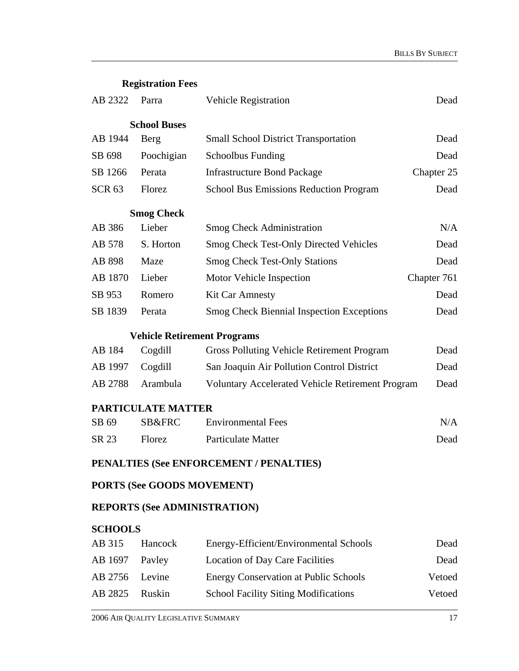**Registration Fees** 

| AB 2322                           | Parra                                                               | <b>Vehicle Registration</b>                       | Dead        |  |
|-----------------------------------|---------------------------------------------------------------------|---------------------------------------------------|-------------|--|
|                                   | <b>School Buses</b>                                                 |                                                   |             |  |
| AB 1944                           | Berg                                                                | <b>Small School District Transportation</b>       | Dead        |  |
| SB 698                            | Poochigian                                                          | <b>Schoolbus Funding</b>                          | Dead        |  |
| SB 1266                           | Perata                                                              | <b>Infrastructure Bond Package</b>                | Chapter 25  |  |
| <b>SCR 63</b>                     | Florez                                                              | School Bus Emissions Reduction Program            | Dead        |  |
|                                   | <b>Smog Check</b>                                                   |                                                   |             |  |
| AB 386                            | Lieber                                                              | <b>Smog Check Administration</b>                  | N/A         |  |
| AB 578                            | S. Horton                                                           | <b>Smog Check Test-Only Directed Vehicles</b>     | Dead        |  |
| AB 898                            | Maze                                                                | <b>Smog Check Test-Only Stations</b>              | Dead        |  |
| AB 1870                           | Lieber                                                              | Motor Vehicle Inspection                          | Chapter 761 |  |
| SB 953                            | Romero                                                              | <b>Kit Car Amnesty</b>                            | Dead        |  |
| SB 1839                           | Perata                                                              | <b>Smog Check Biennial Inspection Exceptions</b>  | Dead        |  |
|                                   | <b>Vehicle Retirement Programs</b>                                  |                                                   |             |  |
| AB 184                            | Cogdill                                                             | <b>Gross Polluting Vehicle Retirement Program</b> | Dead        |  |
| AB 1997                           | Cogdill                                                             | San Joaquin Air Pollution Control District        | Dead        |  |
| AB 2788                           | Arambula<br><b>Voluntary Accelerated Vehicle Retirement Program</b> |                                                   | Dead        |  |
|                                   | <b>PARTICULATE MATTER</b>                                           |                                                   |             |  |
| SB 69                             | SB&FRC                                                              | <b>Environmental Fees</b>                         | N/A         |  |
| SR 23                             | Florez                                                              | <b>Particulate Matter</b>                         | Dead        |  |
|                                   |                                                                     | PENALTIES (See ENFORCEMENT / PENALTIES)           |             |  |
| <b>PORTS (See GOODS MOVEMENT)</b> |                                                                     |                                                   |             |  |
|                                   | <b>REPORTS (See ADMINISTRATION)</b>                                 |                                                   |             |  |
| <b>SCHOOLS</b>                    |                                                                     |                                                   |             |  |
| AB 315                            | Hancock                                                             | Energy-Efficient/Environmental Schools            | Dead        |  |
| AB 1697                           | Payley                                                              | <b>Location of Day Care Facilities</b>            | Dead        |  |
| AB 2756                           | Levine                                                              | <b>Energy Conservation at Public Schools</b>      | Vetoed      |  |
| AB 2825                           | Ruskin                                                              | <b>School Facility Siting Modifications</b>       | Vetoed      |  |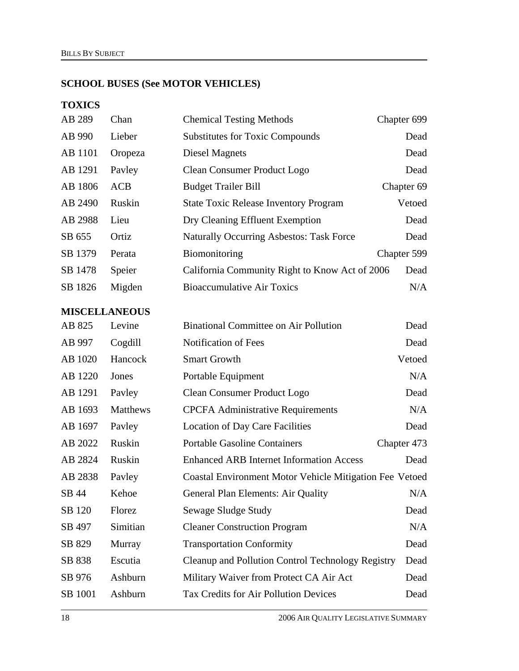## **SCHOOL BUSES (See MOTOR VEHICLES)**

## **TOXICS**

| AB 289               | Chan       | <b>Chemical Testing Methods</b>                                | Chapter 699 |
|----------------------|------------|----------------------------------------------------------------|-------------|
| AB 990               | Lieber     | <b>Substitutes for Toxic Compounds</b>                         | Dead        |
| AB 1101              | Oropeza    | <b>Diesel Magnets</b>                                          | Dead        |
| AB 1291              | Payley     | <b>Clean Consumer Product Logo</b>                             | Dead        |
| AB 1806              | <b>ACB</b> | <b>Budget Trailer Bill</b>                                     | Chapter 69  |
| AB 2490              | Ruskin     | <b>State Toxic Release Inventory Program</b>                   | Vetoed      |
| AB 2988              | Lieu       | Dry Cleaning Effluent Exemption                                | Dead        |
| SB 655               | Ortiz      | <b>Naturally Occurring Asbestos: Task Force</b>                | Dead        |
| SB 1379              | Perata     | Biomonitoring                                                  | Chapter 599 |
| SB 1478              | Speier     | California Community Right to Know Act of 2006                 | Dead        |
| SB 1826              | Migden     | <b>Bioaccumulative Air Toxics</b>                              | N/A         |
| <b>MISCELLANEOUS</b> |            |                                                                |             |
| AB 825               | Levine     | <b>Binational Committee on Air Pollution</b>                   | Dead        |
| AB 997               | Cogdill    | Notification of Fees                                           | Dead        |
| AB 1020              | Hancock    | <b>Smart Growth</b>                                            | Vetoed      |
| AB 1220              | Jones      | Portable Equipment                                             | N/A         |
| AB 1291              | Payley     | <b>Clean Consumer Product Logo</b>                             | Dead        |
| AB 1693              | Matthews   | <b>CPCFA</b> Administrative Requirements                       | N/A         |
| AB 1697              | Payley     | <b>Location of Day Care Facilities</b>                         | Dead        |
| AB 2022              | Ruskin     | <b>Portable Gasoline Containers</b>                            | Chapter 473 |
| AB 2824              | Ruskin     | <b>Enhanced ARB Internet Information Access</b>                | Dead        |
| AB 2838              | Payley     | <b>Coastal Environment Motor Vehicle Mitigation Fee Vetoed</b> |             |
| SB 44                | Kehoe      | General Plan Elements: Air Quality                             | N/A         |
| SB 120               | Florez     | Sewage Sludge Study                                            | Dead        |
| SB 497               | Simitian   | <b>Cleaner Construction Program</b>                            | N/A         |
| SB 829               | Murray     | <b>Transportation Conformity</b>                               | Dead        |
| SB 838               | Escutia    | Cleanup and Pollution Control Technology Registry              | Dead        |
| SB 976               | Ashburn    | Military Waiver from Protect CA Air Act                        | Dead        |

SB 1001 Ashburn Tax Credits for Air Pollution Devices Dead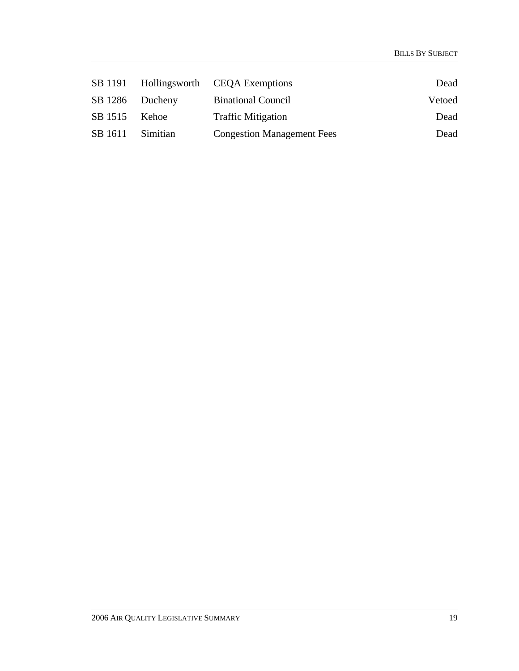|         |                 | SB 1191 Hollingsworth CEQA Exemptions | Dead   |
|---------|-----------------|---------------------------------------|--------|
|         | SB 1286 Ducheny | <b>Binational Council</b>             | Vetoed |
| SB 1515 | Kehoe           | <b>Traffic Mitigation</b>             | Dead   |
| SB 1611 | Simitian        | <b>Congestion Management Fees</b>     | Dead   |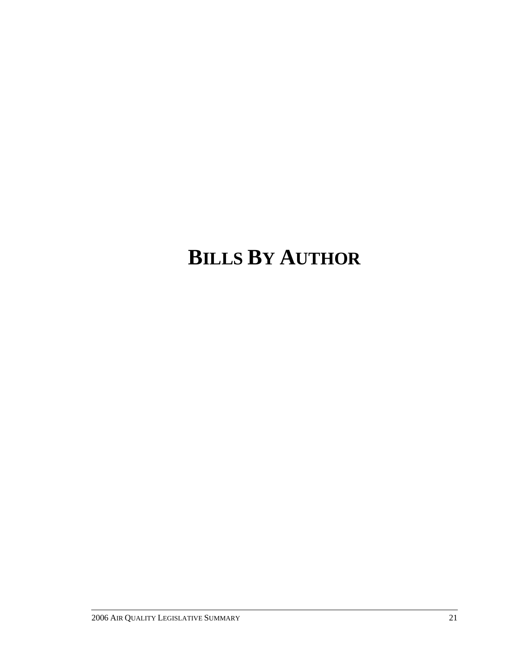# **BILLS BY AUTHOR**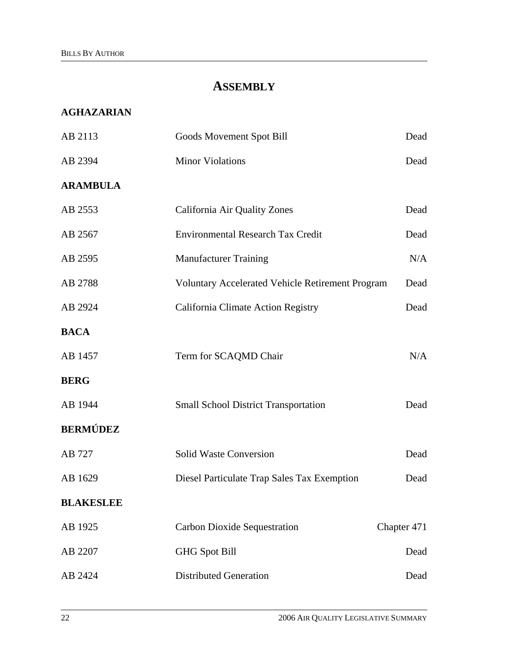# **ASSEMBLY**

## **AGHAZARIAN**

| AB 2113          | Goods Movement Spot Bill                         | Dead        |
|------------------|--------------------------------------------------|-------------|
| AB 2394          | <b>Minor Violations</b>                          | Dead        |
| <b>ARAMBULA</b>  |                                                  |             |
| AB 2553          | California Air Quality Zones                     | Dead        |
| AB 2567          | <b>Environmental Research Tax Credit</b>         | Dead        |
| AB 2595          | <b>Manufacturer Training</b>                     | N/A         |
| AB 2788          | Voluntary Accelerated Vehicle Retirement Program | Dead        |
| AB 2924          | California Climate Action Registry               | Dead        |
| <b>BACA</b>      |                                                  |             |
| AB 1457          | Term for SCAQMD Chair                            | N/A         |
| <b>BERG</b>      |                                                  |             |
| AB 1944          | <b>Small School District Transportation</b>      | Dead        |
| <b>BERMÚDEZ</b>  |                                                  |             |
| AB 727           | <b>Solid Waste Conversion</b>                    | Dead        |
| AB 1629          | Diesel Particulate Trap Sales Tax Exemption      | Dead        |
| <b>BLAKESLEE</b> |                                                  |             |
| AB 1925          | <b>Carbon Dioxide Sequestration</b>              | Chapter 471 |
| AB 2207          | <b>GHG Spot Bill</b>                             | Dead        |
| AB 2424          | <b>Distributed Generation</b>                    | Dead        |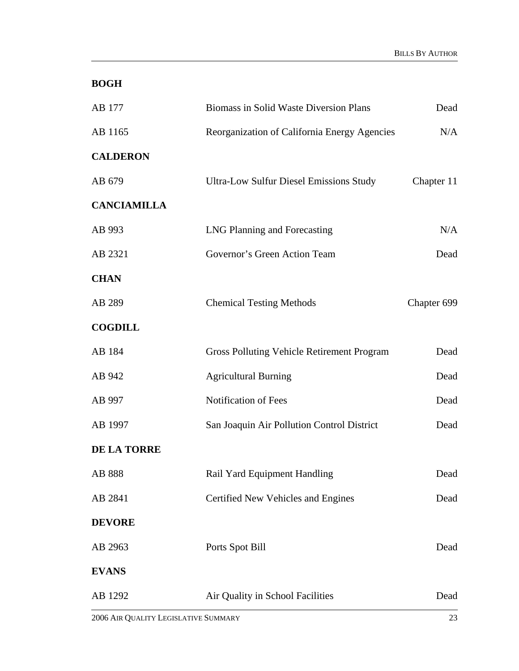# **BOGH**

| AB 177             | <b>Biomass in Solid Waste Diversion Plans</b>     | Dead        |
|--------------------|---------------------------------------------------|-------------|
| AB 1165            | Reorganization of California Energy Agencies      | N/A         |
| <b>CALDERON</b>    |                                                   |             |
| AB 679             | <b>Ultra-Low Sulfur Diesel Emissions Study</b>    | Chapter 11  |
| <b>CANCIAMILLA</b> |                                                   |             |
| AB 993             | LNG Planning and Forecasting                      | N/A         |
| AB 2321            | Governor's Green Action Team                      | Dead        |
| <b>CHAN</b>        |                                                   |             |
| AB 289             | <b>Chemical Testing Methods</b>                   | Chapter 699 |
| <b>COGDILL</b>     |                                                   |             |
| AB 184             | <b>Gross Polluting Vehicle Retirement Program</b> | Dead        |
| AB 942             | <b>Agricultural Burning</b>                       | Dead        |
| AB 997             | Notification of Fees                              | Dead        |
| AB 1997            | San Joaquin Air Pollution Control District        | Dead        |
| DE LA TORRE        |                                                   |             |
| AB 888             | Rail Yard Equipment Handling                      | Dead        |
| AB 2841            | Certified New Vehicles and Engines                | Dead        |
| <b>DEVORE</b>      |                                                   |             |
| AB 2963            | Ports Spot Bill                                   | Dead        |
| <b>EVANS</b>       |                                                   |             |
| AB 1292            | Air Quality in School Facilities                  | Dead        |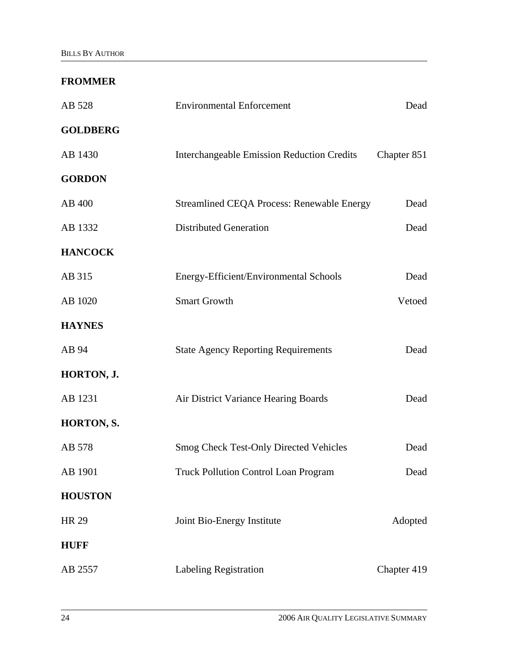#### **FROMMER**

| AB 528          | <b>Environmental Enforcement</b>                  | Dead        |
|-----------------|---------------------------------------------------|-------------|
| <b>GOLDBERG</b> |                                                   |             |
| AB 1430         | <b>Interchangeable Emission Reduction Credits</b> | Chapter 851 |
| <b>GORDON</b>   |                                                   |             |
| AB 400          | <b>Streamlined CEQA Process: Renewable Energy</b> | Dead        |
| AB 1332         | <b>Distributed Generation</b>                     | Dead        |
| <b>HANCOCK</b>  |                                                   |             |
| AB 315          | Energy-Efficient/Environmental Schools            | Dead        |
| AB 1020         | <b>Smart Growth</b>                               | Vetoed      |
| <b>HAYNES</b>   |                                                   |             |
| AB 94           | <b>State Agency Reporting Requirements</b>        | Dead        |
| HORTON, J.      |                                                   |             |
| AB 1231         | Air District Variance Hearing Boards              | Dead        |
| HORTON, S.      |                                                   |             |
| AB 578          | <b>Smog Check Test-Only Directed Vehicles</b>     | Dead        |
| AB 1901         | <b>Truck Pollution Control Loan Program</b>       | Dead        |
| <b>HOUSTON</b>  |                                                   |             |
| <b>HR 29</b>    | Joint Bio-Energy Institute                        | Adopted     |
| <b>HUFF</b>     |                                                   |             |
| AB 2557         | Labeling Registration                             | Chapter 419 |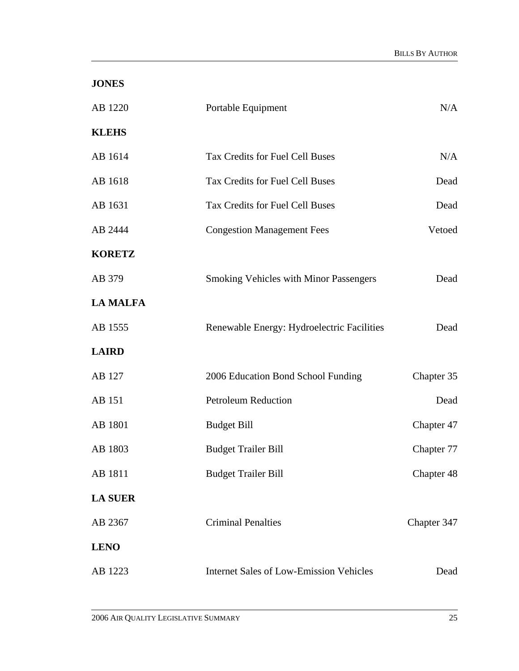| <b>JONES</b>    |                                                |             |
|-----------------|------------------------------------------------|-------------|
| AB 1220         | Portable Equipment                             | N/A         |
| <b>KLEHS</b>    |                                                |             |
| AB 1614         | Tax Credits for Fuel Cell Buses                | N/A         |
| AB 1618         | Tax Credits for Fuel Cell Buses                | Dead        |
| AB 1631         | Tax Credits for Fuel Cell Buses                | Dead        |
| AB 2444         | <b>Congestion Management Fees</b>              | Vetoed      |
| <b>KORETZ</b>   |                                                |             |
| AB 379          | Smoking Vehicles with Minor Passengers         | Dead        |
| <b>LA MALFA</b> |                                                |             |
| AB 1555         | Renewable Energy: Hydroelectric Facilities     | Dead        |
| <b>LAIRD</b>    |                                                |             |
| AB 127          | 2006 Education Bond School Funding             | Chapter 35  |
| AB 151          | <b>Petroleum Reduction</b>                     | Dead        |
| AB 1801         | <b>Budget Bill</b>                             | Chapter 47  |
| AB 1803         | <b>Budget Trailer Bill</b>                     | Chapter 77  |
| AB 1811         | <b>Budget Trailer Bill</b>                     | Chapter 48  |
| <b>LA SUER</b>  |                                                |             |
| AB 2367         | <b>Criminal Penalties</b>                      | Chapter 347 |
| <b>LENO</b>     |                                                |             |
| AB 1223         | <b>Internet Sales of Low-Emission Vehicles</b> | Dead        |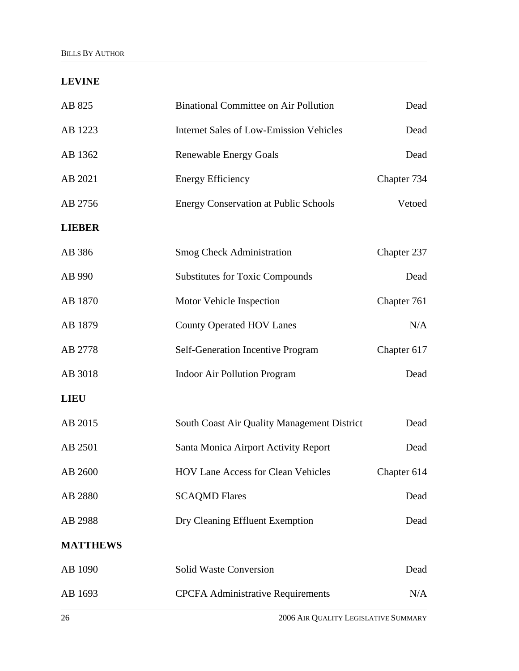## **LEVINE**

| AB 825          | <b>Binational Committee on Air Pollution</b>   | Dead        |
|-----------------|------------------------------------------------|-------------|
| AB 1223         | <b>Internet Sales of Low-Emission Vehicles</b> | Dead        |
| AB 1362         | <b>Renewable Energy Goals</b>                  | Dead        |
| AB 2021         | <b>Energy Efficiency</b>                       | Chapter 734 |
| AB 2756         | <b>Energy Conservation at Public Schools</b>   | Vetoed      |
| <b>LIEBER</b>   |                                                |             |
| AB 386          | <b>Smog Check Administration</b>               | Chapter 237 |
| AB 990          | <b>Substitutes for Toxic Compounds</b>         | Dead        |
| AB 1870         | Motor Vehicle Inspection                       | Chapter 761 |
| AB 1879         | <b>County Operated HOV Lanes</b>               | N/A         |
| AB 2778         | Self-Generation Incentive Program              | Chapter 617 |
| AB 3018         | <b>Indoor Air Pollution Program</b>            | Dead        |
| <b>LIEU</b>     |                                                |             |
| AB 2015         | South Coast Air Quality Management District    | Dead        |
| AB 2501         | Santa Monica Airport Activity Report           | Dead        |
| AB 2600         | HOV Lane Access for Clean Vehicles             | Chapter 614 |
| AB 2880         | <b>SCAQMD Flares</b>                           | Dead        |
| AB 2988         | Dry Cleaning Effluent Exemption                | Dead        |
| <b>MATTHEWS</b> |                                                |             |
| AB 1090         | <b>Solid Waste Conversion</b>                  | Dead        |
| AB 1693         | <b>CPCFA Administrative Requirements</b>       | N/A         |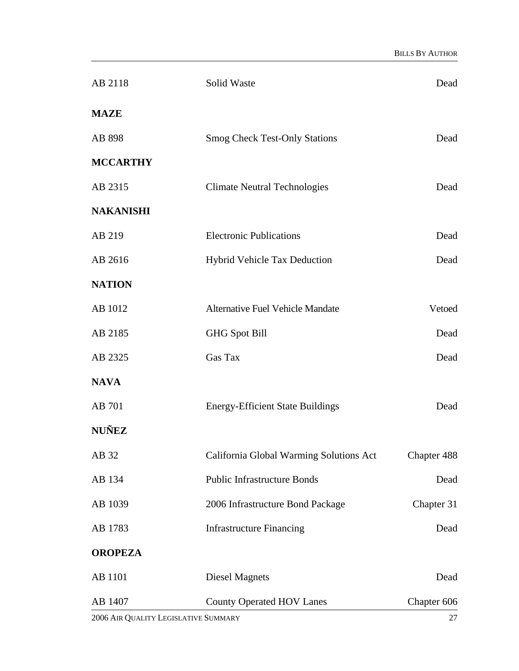| AB 2118          | Solid Waste                             | Dead        |
|------------------|-----------------------------------------|-------------|
| <b>MAZE</b>      |                                         |             |
| AB 898           | <b>Smog Check Test-Only Stations</b>    | Dead        |
| <b>MCCARTHY</b>  |                                         |             |
| AB 2315          | <b>Climate Neutral Technologies</b>     | Dead        |
| <b>NAKANISHI</b> |                                         |             |
| AB 219           | <b>Electronic Publications</b>          | Dead        |
| AB 2616          | <b>Hybrid Vehicle Tax Deduction</b>     | Dead        |
| <b>NATION</b>    |                                         |             |
| AB 1012          | <b>Alternative Fuel Vehicle Mandate</b> | Vetoed      |
| AB 2185          | <b>GHG Spot Bill</b>                    | Dead        |
| AB 2325          | Gas Tax                                 | Dead        |
| <b>NAVA</b>      |                                         |             |
| AB 701           | <b>Energy-Efficient State Buildings</b> | Dead        |
| <b>NUÑEZ</b>     |                                         |             |
| AB 32            | California Global Warming Solutions Act | Chapter 488 |
| AB 134           | <b>Public Infrastructure Bonds</b>      | Dead        |
| AB 1039          | 2006 Infrastructure Bond Package        | Chapter 31  |
| AB 1783          | <b>Infrastructure Financing</b>         | Dead        |
| <b>OROPEZA</b>   |                                         |             |
| AB 1101          | <b>Diesel Magnets</b>                   | Dead        |
| AB 1407          | <b>County Operated HOV Lanes</b>        | Chapter 606 |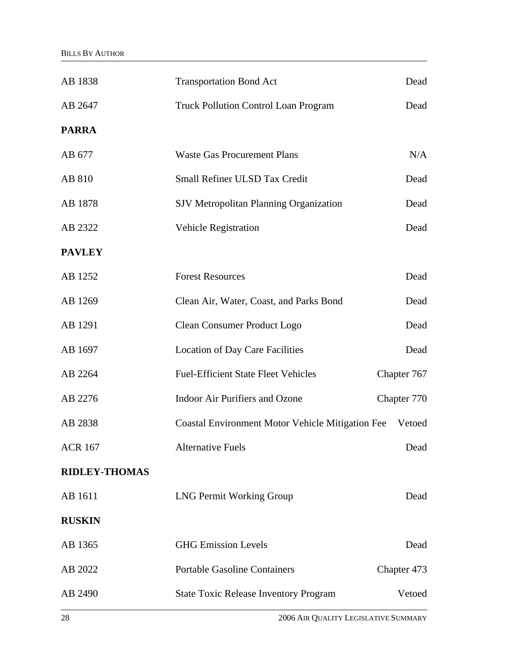| AB 1838              | <b>Transportation Bond Act</b>                          | Dead        |
|----------------------|---------------------------------------------------------|-------------|
| AB 2647              | <b>Truck Pollution Control Loan Program</b>             | Dead        |
| <b>PARRA</b>         |                                                         |             |
| AB 677               | <b>Waste Gas Procurement Plans</b>                      | N/A         |
| AB 810               | Small Refiner ULSD Tax Credit                           | Dead        |
| AB 1878              | <b>SJV Metropolitan Planning Organization</b>           | Dead        |
| AB 2322              | <b>Vehicle Registration</b>                             | Dead        |
| <b>PAVLEY</b>        |                                                         |             |
| AB 1252              | <b>Forest Resources</b>                                 | Dead        |
| AB 1269              | Clean Air, Water, Coast, and Parks Bond                 | Dead        |
| AB 1291              | <b>Clean Consumer Product Logo</b>                      | Dead        |
| AB 1697              | <b>Location of Day Care Facilities</b>                  | Dead        |
| AB 2264              | <b>Fuel-Efficient State Fleet Vehicles</b>              | Chapter 767 |
| AB 2276              | <b>Indoor Air Purifiers and Ozone</b>                   | Chapter 770 |
| AB 2838              | <b>Coastal Environment Motor Vehicle Mitigation Fee</b> | Vetoed      |
| <b>ACR 167</b>       | <b>Alternative Fuels</b>                                | Dead        |
| <b>RIDLEY-THOMAS</b> |                                                         |             |
| AB 1611              | <b>LNG Permit Working Group</b>                         | Dead        |
| <b>RUSKIN</b>        |                                                         |             |
| AB 1365              | <b>GHG</b> Emission Levels                              | Dead        |
| AB 2022              | <b>Portable Gasoline Containers</b>                     | Chapter 473 |
| AB 2490              | <b>State Toxic Release Inventory Program</b>            | Vetoed      |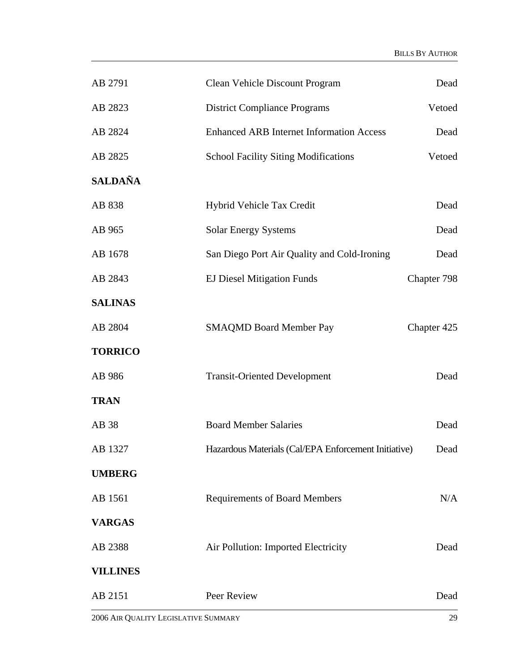| AB 2791         | Clean Vehicle Discount Program                       | Dead        |
|-----------------|------------------------------------------------------|-------------|
| AB 2823         | <b>District Compliance Programs</b>                  | Vetoed      |
| AB 2824         | <b>Enhanced ARB Internet Information Access</b>      | Dead        |
| AB 2825         | <b>School Facility Siting Modifications</b>          | Vetoed      |
| <b>SALDAÑA</b>  |                                                      |             |
| AB 838          | Hybrid Vehicle Tax Credit                            | Dead        |
| AB 965          | <b>Solar Energy Systems</b>                          | Dead        |
| AB 1678         | San Diego Port Air Quality and Cold-Ironing          | Dead        |
| AB 2843         | <b>EJ Diesel Mitigation Funds</b>                    | Chapter 798 |
| <b>SALINAS</b>  |                                                      |             |
| AB 2804         | <b>SMAQMD Board Member Pay</b>                       | Chapter 425 |
| <b>TORRICO</b>  |                                                      |             |
| AB 986          | <b>Transit-Oriented Development</b>                  | Dead        |
| <b>TRAN</b>     |                                                      |             |
| AB 38           | <b>Board Member Salaries</b>                         | Dead        |
| AB 1327         | Hazardous Materials (Cal/EPA Enforcement Initiative) | Dead        |
| <b>UMBERG</b>   |                                                      |             |
| AB 1561         | <b>Requirements of Board Members</b>                 | N/A         |
| <b>VARGAS</b>   |                                                      |             |
| AB 2388         | Air Pollution: Imported Electricity                  | Dead        |
| <b>VILLINES</b> |                                                      |             |
| AB 2151         | Peer Review                                          | Dead        |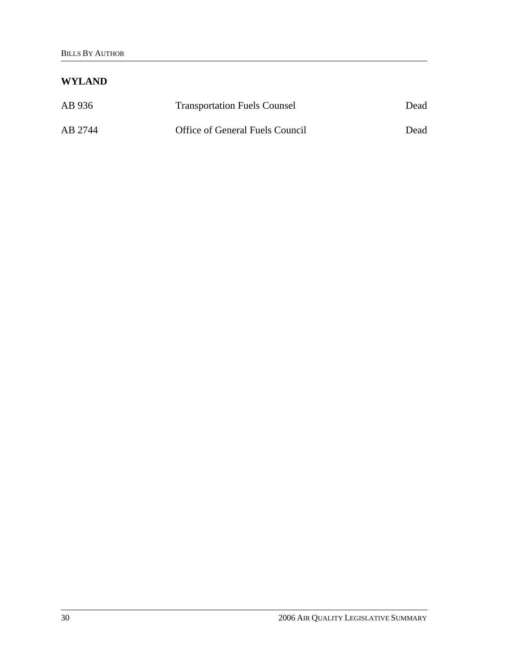### **WYLAND**

| AB 936  | <b>Transportation Fuels Counsel</b> | Dead |
|---------|-------------------------------------|------|
| AB 2744 | Office of General Fuels Council     | Dead |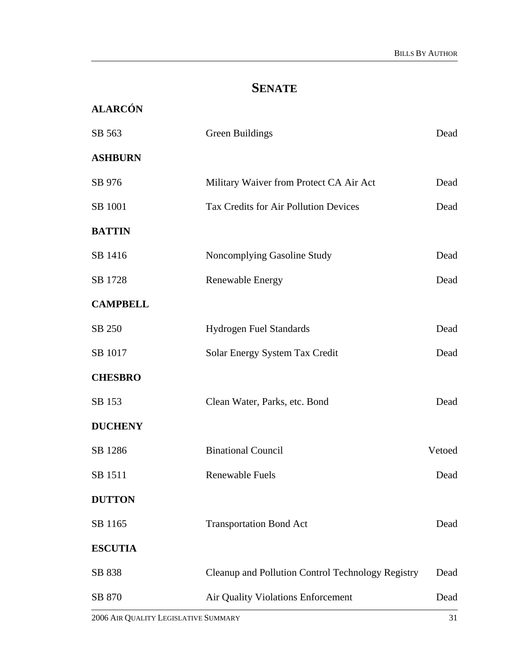## **SENATE**

**ALARCÓN** 

| SB 563          | Green Buildings                                   | Dead   |
|-----------------|---------------------------------------------------|--------|
| <b>ASHBURN</b>  |                                                   |        |
| SB 976          | Military Waiver from Protect CA Air Act           | Dead   |
| SB 1001         | <b>Tax Credits for Air Pollution Devices</b>      | Dead   |
| <b>BATTIN</b>   |                                                   |        |
| SB 1416         | Noncomplying Gasoline Study                       | Dead   |
| SB 1728         | Renewable Energy                                  | Dead   |
| <b>CAMPBELL</b> |                                                   |        |
| SB 250          | <b>Hydrogen Fuel Standards</b>                    | Dead   |
| SB 1017         | Solar Energy System Tax Credit                    | Dead   |
| <b>CHESBRO</b>  |                                                   |        |
| SB 153          | Clean Water, Parks, etc. Bond                     | Dead   |
| <b>DUCHENY</b>  |                                                   |        |
| SB 1286         | <b>Binational Council</b>                         | Vetoed |
| SB 1511         | <b>Renewable Fuels</b>                            | Dead   |
| <b>DUTTON</b>   |                                                   |        |
| SB 1165         | <b>Transportation Bond Act</b>                    | Dead   |
| <b>ESCUTIA</b>  |                                                   |        |
| SB 838          | Cleanup and Pollution Control Technology Registry | Dead   |
| SB 870          | Air Quality Violations Enforcement                | Dead   |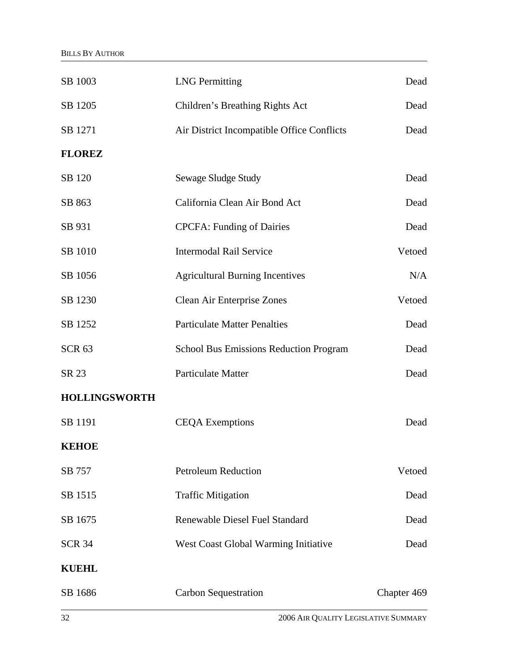| SB 1003              | <b>LNG</b> Permitting                         | Dead        |
|----------------------|-----------------------------------------------|-------------|
| SB 1205              | Children's Breathing Rights Act               | Dead        |
| SB 1271              | Air District Incompatible Office Conflicts    | Dead        |
| <b>FLOREZ</b>        |                                               |             |
| SB 120               | Sewage Sludge Study                           | Dead        |
| SB 863               | California Clean Air Bond Act                 | Dead        |
| SB 931               | <b>CPCFA: Funding of Dairies</b>              | Dead        |
| SB 1010              | <b>Intermodal Rail Service</b>                | Vetoed      |
| SB 1056              | <b>Agricultural Burning Incentives</b>        | N/A         |
| SB 1230              | Clean Air Enterprise Zones                    | Vetoed      |
| SB 1252              | <b>Particulate Matter Penalties</b>           | Dead        |
| <b>SCR 63</b>        | <b>School Bus Emissions Reduction Program</b> | Dead        |
| SR 23                | <b>Particulate Matter</b>                     | Dead        |
| <b>HOLLINGSWORTH</b> |                                               |             |
| SB 1191              | <b>CEQA Exemptions</b>                        | Dead        |
| <b>KEHOE</b>         |                                               |             |
| SB 757               | <b>Petroleum Reduction</b>                    | Vetoed      |
| SB 1515              | <b>Traffic Mitigation</b>                     | Dead        |
| SB 1675              | <b>Renewable Diesel Fuel Standard</b>         | Dead        |
| <b>SCR 34</b>        | West Coast Global Warming Initiative          | Dead        |
| <b>KUEHL</b>         |                                               |             |
| SB 1686              | <b>Carbon Sequestration</b>                   | Chapter 469 |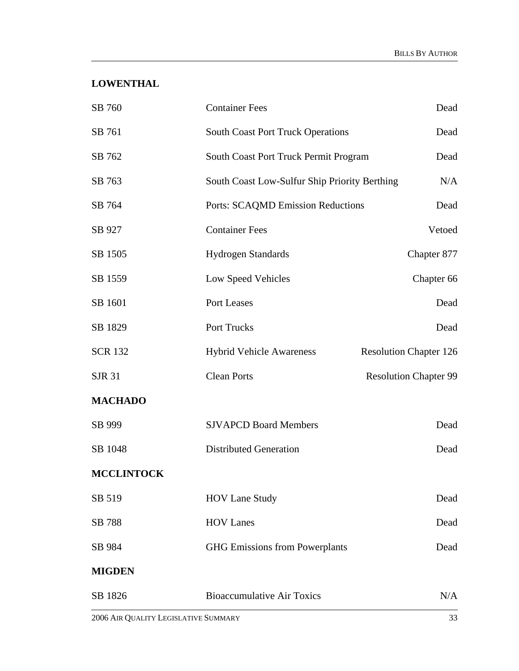### **LOWENTHAL**

| SB 760            | <b>Container Fees</b>                         | Dead                          |
|-------------------|-----------------------------------------------|-------------------------------|
| SB 761            | <b>South Coast Port Truck Operations</b>      | Dead                          |
| SB 762            | South Coast Port Truck Permit Program         | Dead                          |
| SB 763            | South Coast Low-Sulfur Ship Priority Berthing | N/A                           |
| SB 764            | Ports: SCAQMD Emission Reductions             | Dead                          |
| SB 927            | <b>Container Fees</b>                         | Vetoed                        |
| SB 1505           | <b>Hydrogen Standards</b>                     | Chapter 877                   |
| SB 1559           | Low Speed Vehicles                            | Chapter 66                    |
| SB 1601           | Port Leases                                   | Dead                          |
| SB 1829           | Port Trucks                                   | Dead                          |
| <b>SCR 132</b>    | <b>Hybrid Vehicle Awareness</b>               | <b>Resolution Chapter 126</b> |
| <b>SJR 31</b>     | <b>Clean Ports</b>                            | <b>Resolution Chapter 99</b>  |
| <b>MACHADO</b>    |                                               |                               |
| SB 999            | <b>SJVAPCD Board Members</b>                  | Dead                          |
| SB 1048           | <b>Distributed Generation</b>                 | Dead                          |
| <b>MCCLINTOCK</b> |                                               |                               |
| SB 519            | <b>HOV Lane Study</b>                         | Dead                          |
| <b>SB 788</b>     | <b>HOV</b> Lanes                              | Dead                          |
| SB 984            | <b>GHG Emissions from Powerplants</b>         | Dead                          |
| <b>MIGDEN</b>     |                                               |                               |
| SB 1826           | <b>Bioaccumulative Air Toxics</b>             | N/A                           |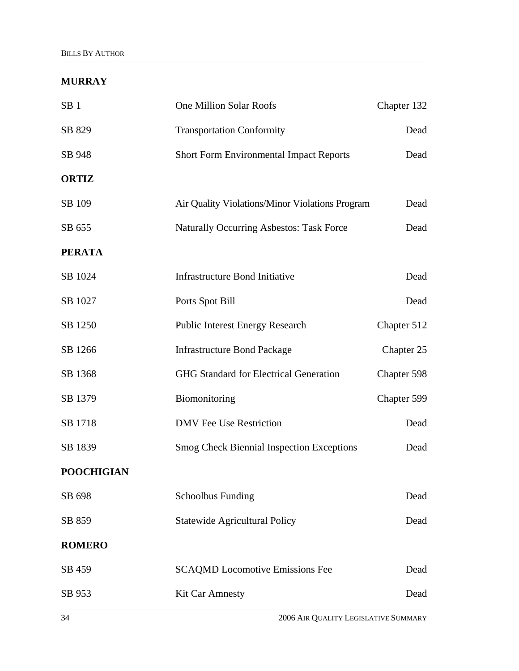### **MURRAY**

| SB <sub>1</sub>   | <b>One Million Solar Roofs</b>                   | Chapter 132 |
|-------------------|--------------------------------------------------|-------------|
| SB 829            | <b>Transportation Conformity</b>                 | Dead        |
| SB 948            | <b>Short Form Environmental Impact Reports</b>   | Dead        |
| <b>ORTIZ</b>      |                                                  |             |
| SB 109            | Air Quality Violations/Minor Violations Program  | Dead        |
| SB 655            | <b>Naturally Occurring Asbestos: Task Force</b>  | Dead        |
| <b>PERATA</b>     |                                                  |             |
| SB 1024           | <b>Infrastructure Bond Initiative</b>            | Dead        |
| SB 1027           | Ports Spot Bill                                  | Dead        |
| SB 1250           | <b>Public Interest Energy Research</b>           | Chapter 512 |
| SB 1266           | <b>Infrastructure Bond Package</b>               | Chapter 25  |
| SB 1368           | <b>GHG Standard for Electrical Generation</b>    | Chapter 598 |
| SB 1379           | Biomonitoring                                    | Chapter 599 |
| SB 1718           | <b>DMV</b> Fee Use Restriction                   | Dead        |
| SB 1839           | <b>Smog Check Biennial Inspection Exceptions</b> | Dead        |
| <b>POOCHIGIAN</b> |                                                  |             |
| SB 698            | <b>Schoolbus Funding</b>                         | Dead        |
| SB 859            | <b>Statewide Agricultural Policy</b>             | Dead        |
| <b>ROMERO</b>     |                                                  |             |
| SB 459            | <b>SCAQMD Locomotive Emissions Fee</b>           | Dead        |
| SB 953            | <b>Kit Car Amnesty</b>                           | Dead        |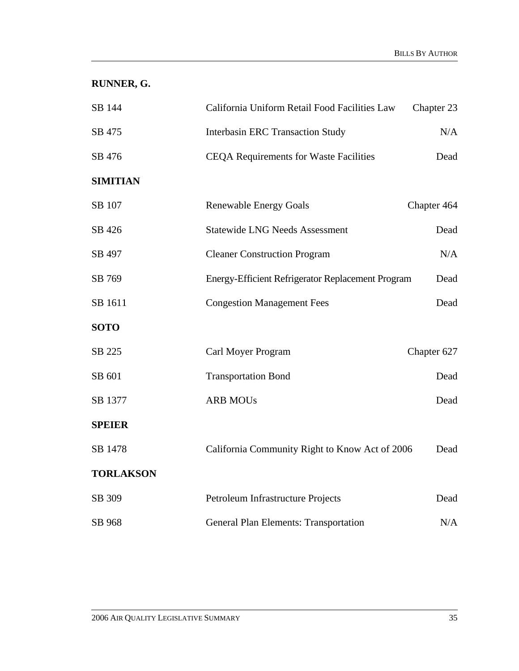**RUNNER, G.** 

| SB 144           | California Uniform Retail Food Facilities Law     | Chapter 23  |
|------------------|---------------------------------------------------|-------------|
| SB 475           | <b>Interbasin ERC Transaction Study</b>           | N/A         |
| SB 476           | <b>CEQA Requirements for Waste Facilities</b>     | Dead        |
| <b>SIMITIAN</b>  |                                                   |             |
| SB 107           | <b>Renewable Energy Goals</b>                     | Chapter 464 |
| SB 426           | <b>Statewide LNG Needs Assessment</b>             | Dead        |
| SB 497           | <b>Cleaner Construction Program</b>               | N/A         |
| SB 769           | Energy-Efficient Refrigerator Replacement Program | Dead        |
| SB 1611          | <b>Congestion Management Fees</b>                 | Dead        |
| <b>SOTO</b>      |                                                   |             |
| SB 225           | Carl Moyer Program                                | Chapter 627 |
| SB 601           | <b>Transportation Bond</b>                        | Dead        |
| SB 1377          | <b>ARB MOUs</b>                                   | Dead        |
| <b>SPEIER</b>    |                                                   |             |
| SB 1478          | California Community Right to Know Act of 2006    | Dead        |
| <b>TORLAKSON</b> |                                                   |             |
| SB 309           | Petroleum Infrastructure Projects                 | Dead        |
| SB 968           | <b>General Plan Elements: Transportation</b>      | N/A         |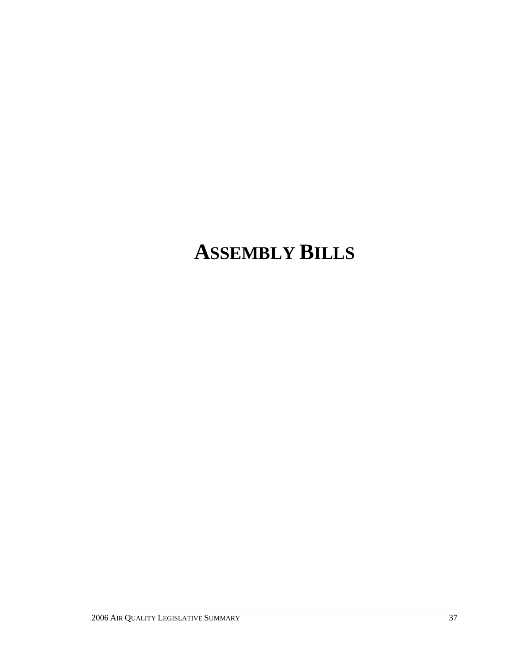# **ASSEMBLY BILLS**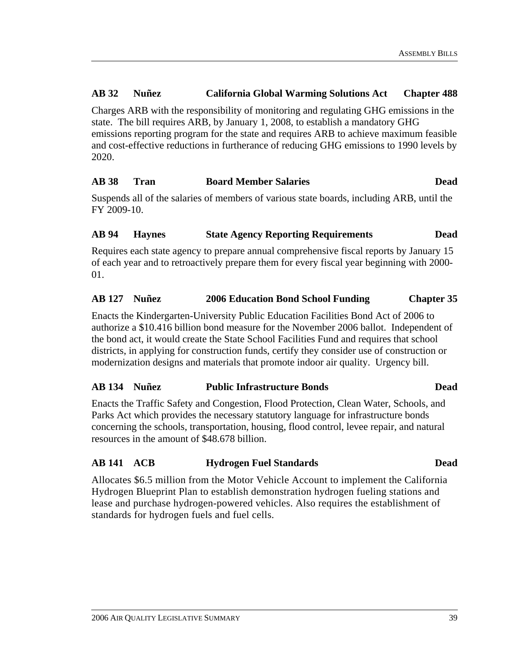#### **AB 32 Nuñez California Global Warming Solutions Act Chapter 488**

Charges ARB with the responsibility of monitoring and regulating GHG emissions in the state. The bill requires ARB, by January 1, 2008, to establish a mandatory GHG emissions reporting program for the state and requires ARB to achieve maximum feasible and cost-effective reductions in furtherance of reducing GHG emissions to 1990 levels by 2020.

#### **AB 38 Tran Board Member Salaries Dead**

Suspends all of the salaries of members of various state boards, including ARB, until the FY 2009-10.

#### **AB 94 Haynes State Agency Reporting Requirements Dead**

Requires each state agency to prepare annual comprehensive fiscal reports by January 15 of each year and to retroactively prepare them for every fiscal year beginning with 2000- 01.

### **AB 127 Nuñez 2006 Education Bond School Funding Chapter 35**

Enacts the Kindergarten-University Public Education Facilities Bond Act of 2006 to authorize a \$10.416 billion bond measure for the November 2006 ballot. Independent of the bond act, it would create the State School Facilities Fund and requires that school districts, in applying for construction funds, certify they consider use of construction or modernization designs and materials that promote indoor air quality. Urgency bill.

### **AB 134 Nuñez Public Infrastructure Bonds Dead**

Enacts the Traffic Safety and Congestion, Flood Protection, Clean Water, Schools, and Parks Act which provides the necessary statutory language for infrastructure bonds concerning the schools, transportation, housing, flood control, levee repair, and natural resources in the amount of \$48.678 billion.

### **AB 141 ACB Hydrogen Fuel Standards Dead**

Allocates \$6.5 million from the Motor Vehicle Account to implement the California Hydrogen Blueprint Plan to establish demonstration hydrogen fueling stations and lease and purchase hydrogen-powered vehicles. Also requires the establishment of standards for hydrogen fuels and fuel cells.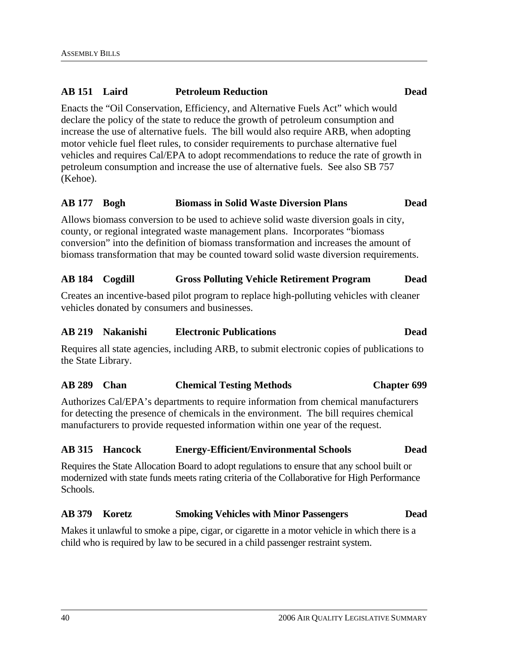# **AB 151 Laird Petroleum Reduction Dead**

Enacts the "Oil Conservation, Efficiency, and Alternative Fuels Act" which would declare the policy of the state to reduce the growth of petroleum consumption and increase the use of alternative fuels. The bill would also require ARB, when adopting motor vehicle fuel fleet rules, to consider requirements to purchase alternative fuel vehicles and requires Cal/EPA to adopt recommendations to reduce the rate of growth in petroleum consumption and increase the use of alternative fuels. See also SB 757 (Kehoe).

#### **AB 177 Bogh Biomass in Solid Waste Diversion Plans Dead**

Allows biomass conversion to be used to achieve solid waste diversion goals in city, county, or regional integrated waste management plans. Incorporates "biomass conversion" into the definition of biomass transformation and increases the amount of biomass transformation that may be counted toward solid waste diversion requirements.

#### **AB 184 Cogdill Gross Polluting Vehicle Retirement Program Dead**

Creates an incentive-based pilot program to replace high-polluting vehicles with cleaner vehicles donated by consumers and businesses.

### **AB 219 Nakanishi Electronic Publications Dead**

Requires all state agencies, including ARB, to submit electronic copies of publications to the State Library.

#### **AB 289 Chan Chemical Testing Methods Chapter 699**

Authorizes Cal/EPA's departments to require information from chemical manufacturers for detecting the presence of chemicals in the environment. The bill requires chemical manufacturers to provide requested information within one year of the request.

#### **AB 315 Hancock Energy-Efficient/Environmental Schools Dead**

Requires the State Allocation Board to adopt regulations to ensure that any school built or modernized with state funds meets rating criteria of the Collaborative for High Performance Schools.

#### **AB 379 Koretz Smoking Vehicles with Minor Passengers Dead**

Makes it unlawful to smoke a pipe, cigar, or cigarette in a motor vehicle in which there is a child who is required by law to be secured in a child passenger restraint system.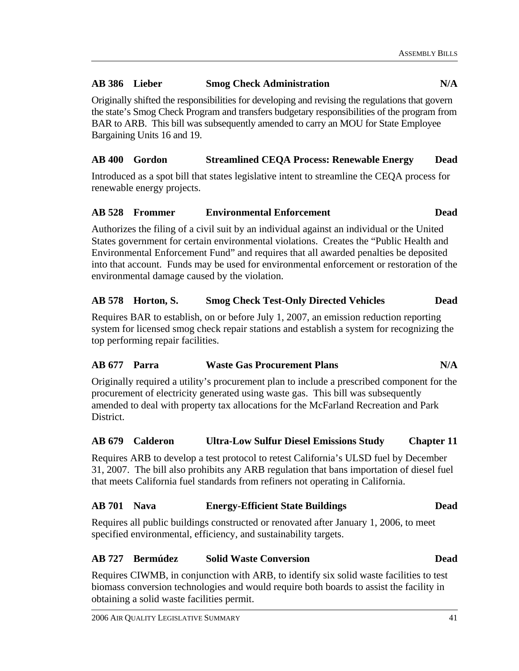### **AB 386 Lieber Smog Check Administration N/A**

Originally shifted the responsibilities for developing and revising the regulations that govern the state's Smog Check Program and transfers budgetary responsibilities of the program from BAR to ARB. This bill was subsequently amended to carry an MOU for State Employee Bargaining Units 16 and 19.

### **AB 400 Gordon Streamlined CEQA Process: Renewable Energy Dead**

Introduced as a spot bill that states legislative intent to streamline the CEQA process for renewable energy projects.

#### **AB 528 Frommer Environmental Enforcement Dead**

Authorizes the filing of a civil suit by an individual against an individual or the United States government for certain environmental violations. Creates the "Public Health and Environmental Enforcement Fund" and requires that all awarded penalties be deposited into that account. Funds may be used for environmental enforcement or restoration of the environmental damage caused by the violation.

### **AB 578 Horton, S. Smog Check Test-Only Directed Vehicles Dead**

Requires BAR to establish, on or before July 1, 2007, an emission reduction reporting system for licensed smog check repair stations and establish a system for recognizing the top performing repair facilities.

### **AB 677 Parra Waste Gas Procurement Plans N/A**

Originally required a utility's procurement plan to include a prescribed component for the procurement of electricity generated using waste gas. This bill was subsequently amended to deal with property tax allocations for the McFarland Recreation and Park District.

#### **AB 679 Calderon Ultra-Low Sulfur Diesel Emissions Study Chapter 11**

Requires ARB to develop a test protocol to retest California's ULSD fuel by December 31, 2007. The bill also prohibits any ARB regulation that bans importation of diesel fuel that meets California fuel standards from refiners not operating in California.

#### **AB 701 Nava Energy-Efficient State Buildings Dead**

Requires all public buildings constructed or renovated after January 1, 2006, to meet specified environmental, efficiency, and sustainability targets.

#### **AB 727 Bermúdez Solid Waste Conversion Dead**

Requires CIWMB, in conjunction with ARB, to identify six solid waste facilities to test biomass conversion technologies and would require both boards to assist the facility in obtaining a solid waste facilities permit.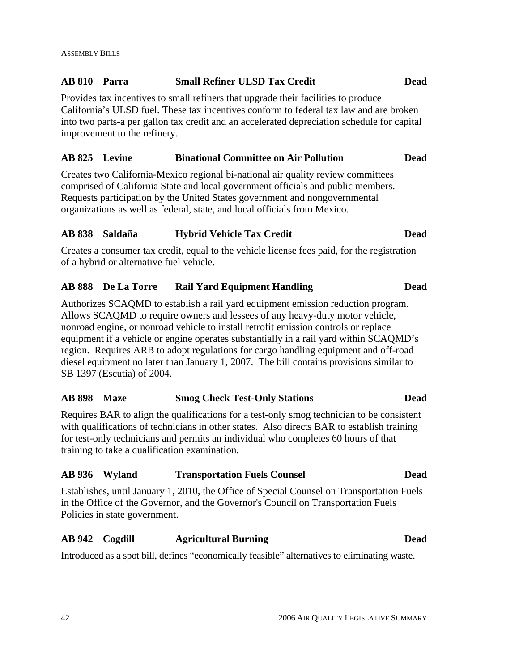#### **AB 810 Parra Small Refiner ULSD Tax Credit Dead**

Provides tax incentives to small refiners that upgrade their facilities to produce California's ULSD fuel. These tax incentives conform to federal tax law and are broken into two parts-a per gallon tax credit and an accelerated depreciation schedule for capital improvement to the refinery.

#### **AB 825 Levine Binational Committee on Air Pollution Dead**

Creates two California-Mexico regional bi-national air quality review committees comprised of California State and local government officials and public members. Requests participation by the United States government and nongovernmental organizations as well as federal, state, and local officials from Mexico.

#### **AB 838 Saldaña Hybrid Vehicle Tax Credit Dead**

Creates a consumer tax credit, equal to the vehicle license fees paid, for the registration of a hybrid or alternative fuel vehicle.

#### **AB 888 De La Torre Rail Yard Equipment Handling Dead**

Authorizes SCAQMD to establish a rail yard equipment emission reduction program. Allows SCAQMD to require owners and lessees of any heavy-duty motor vehicle, nonroad engine, or nonroad vehicle to install retrofit emission controls or replace equipment if a vehicle or engine operates substantially in a rail yard within SCAQMD's region. Requires ARB to adopt regulations for cargo handling equipment and off-road diesel equipment no later than January 1, 2007. The bill contains provisions similar to SB 1397 (Escutia) of 2004.

#### **AB 898 Maze Smog Check Test-Only Stations Dead**

Requires BAR to align the qualifications for a test-only smog technician to be consistent with qualifications of technicians in other states. Also directs BAR to establish training for test-only technicians and permits an individual who completes 60 hours of that training to take a qualification examination.

### **AB 936 Wyland Transportation Fuels Counsel Dead**

Establishes, until January 1, 2010, the Office of Special Counsel on Transportation Fuels in the Office of the Governor, and the Governor's Council on Transportation Fuels Policies in state government.

#### **AB 942 Cogdill Agricultural Burning Dead**

Introduced as a spot bill, defines "economically feasible" alternatives to eliminating waste.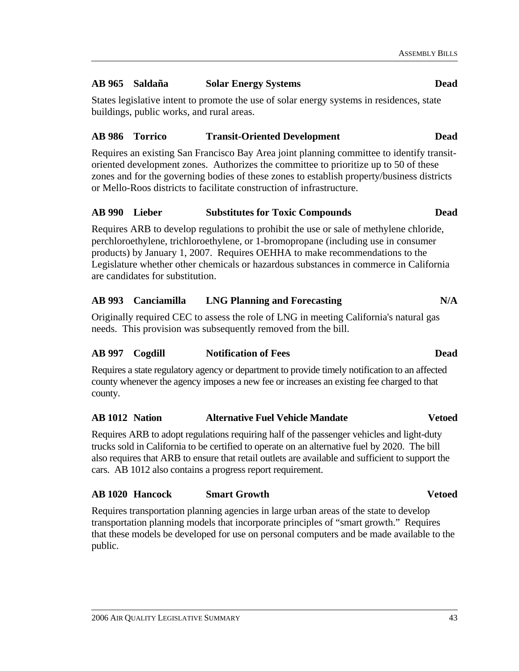#### **AB 965 Saldaña Solar Energy Systems Dead**

States legislative intent to promote the use of solar energy systems in residences, state buildings, public works, and rural areas.

#### **AB 986 Torrico Transit-Oriented Development Dead**

Requires an existing San Francisco Bay Area joint planning committee to identify transitoriented development zones. Authorizes the committee to prioritize up to 50 of these zones and for the governing bodies of these zones to establish property/business districts or Mello-Roos districts to facilitate construction of infrastructure.

#### **AB 990 Lieber Substitutes for Toxic Compounds Dead**

Requires ARB to develop regulations to prohibit the use or sale of methylene chloride, perchloroethylene, trichloroethylene, or 1-bromopropane (including use in consumer products) by January 1, 2007. Requires OEHHA to make recommendations to the Legislature whether other chemicals or hazardous substances in commerce in California are candidates for substitution.

#### **AB 993 Canciamilla LNG Planning and Forecasting N/A**

Originally required CEC to assess the role of LNG in meeting California's natural gas needs. This provision was subsequently removed from the bill.

#### **AB 997 Cogdill Notification of Fees Dead**

Requires a state regulatory agency or department to provide timely notification to an affected county whenever the agency imposes a new fee or increases an existing fee charged to that county.

#### **AB 1012 Nation Alternative Fuel Vehicle Mandate Vetoed**

Requires ARB to adopt regulations requiring half of the passenger vehicles and light-duty trucks sold in California to be certified to operate on an alternative fuel by 2020. The bill also requires that ARB to ensure that retail outlets are available and sufficient to support the cars. AB 1012 also contains a progress report requirement.

#### **AB 1020 Hancock Smart Growth Vetoed**

Requires transportation planning agencies in large urban areas of the state to develop transportation planning models that incorporate principles of "smart growth." Requires that these models be developed for use on personal computers and be made available to the public.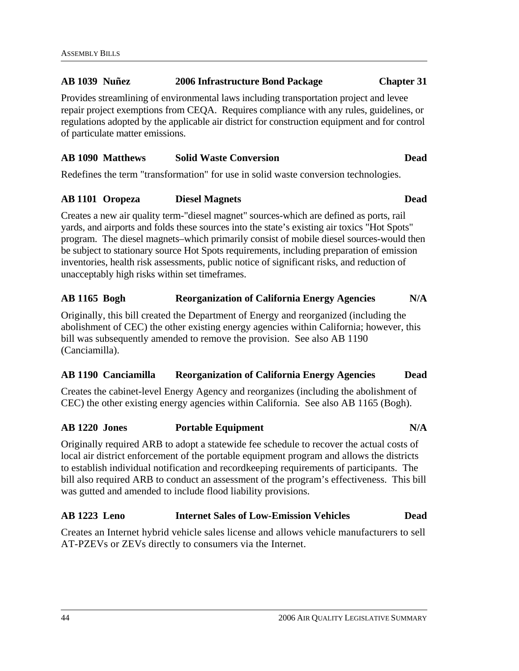#### **AB 1039 Nuñez 2006 Infrastructure Bond Package Chapter 31**

Provides streamlining of environmental laws including transportation project and levee repair project exemptions from CEQA. Requires compliance with any rules, guidelines, or regulations adopted by the applicable air district for construction equipment and for control of particulate matter emissions.

### **AB 1090 Matthews Solid Waste Conversion Dead**

Redefines the term "transformation" for use in solid waste conversion technologies.

#### **AB 1101 Oropeza Diesel Magnets Dead**

Creates a new air quality term-"diesel magnet" sources-which are defined as ports, rail yards, and airports and folds these sources into the state's existing air toxics "Hot Spots" program. The diesel magnets–which primarily consist of mobile diesel sources-would then be subject to stationary source Hot Spots requirements, including preparation of emission inventories, health risk assessments, public notice of significant risks, and reduction of unacceptably high risks within set timeframes.

### **AB 1165 Bogh Reorganization of California Energy Agencies N/A**

Originally, this bill created the Department of Energy and reorganized (including the abolishment of CEC) the other existing energy agencies within California; however, this bill was subsequently amended to remove the provision. See also AB 1190 (Canciamilla).

#### **AB 1190 Canciamilla Reorganization of California Energy Agencies Dead**

Creates the cabinet-level Energy Agency and reorganizes (including the abolishment of CEC) the other existing energy agencies within California. See also AB 1165 (Bogh).

### **AB 1220 Jones Portable Equipment N/A**

Originally required ARB to adopt a statewide fee schedule to recover the actual costs of local air district enforcement of the portable equipment program and allows the districts to establish individual notification and recordkeeping requirements of participants. The bill also required ARB to conduct an assessment of the program's effectiveness. This bill was gutted and amended to include flood liability provisions.

### **AB 1223 Leno Internet Sales of Low-Emission Vehicles Dead**

Creates an Internet hybrid vehicle sales license and allows vehicle manufacturers to sell AT-PZEVs or ZEVs directly to consumers via the Internet.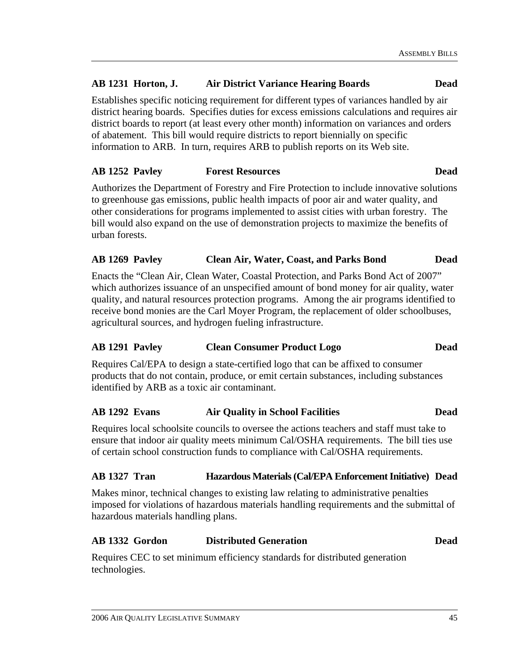### **AB 1231 Horton, J. Air District Variance Hearing Boards Dead**

Establishes specific noticing requirement for different types of variances handled by air district hearing boards. Specifies duties for excess emissions calculations and requires air district boards to report (at least every other month) information on variances and orders of abatement. This bill would require districts to report biennially on specific information to ARB. In turn, requires ARB to publish reports on its Web site.

#### **AB 1252 Pavley Forest Resources Dead**

Authorizes the Department of Forestry and Fire Protection to include innovative solutions to greenhouse gas emissions, public health impacts of poor air and water quality, and other considerations for programs implemented to assist cities with urban forestry. The bill would also expand on the use of demonstration projects to maximize the benefits of urban forests.

### **AB 1269 Pavley Clean Air, Water, Coast, and Parks Bond Dead**

Enacts the "Clean Air, Clean Water, Coastal Protection, and Parks Bond Act of 2007" which authorizes issuance of an unspecified amount of bond money for air quality, water quality, and natural resources protection programs. Among the air programs identified to receive bond monies are the Carl Moyer Program, the replacement of older schoolbuses, agricultural sources, and hydrogen fueling infrastructure.

### **AB 1291 Pavley Clean Consumer Product Logo Dead**

Requires Cal/EPA to design a state-certified logo that can be affixed to consumer products that do not contain, produce, or emit certain substances, including substances identified by ARB as a toxic air contaminant.

#### **AB 1292 Evans Air Quality in School Facilities Dead**

Requires local schoolsite councils to oversee the actions teachers and staff must take to ensure that indoor air quality meets minimum Cal/OSHA requirements. The bill ties use of certain school construction funds to compliance with Cal/OSHA requirements.

#### **AB 1327 Tran Hazardous Materials (Cal/EPA Enforcement Initiative) Dead**

Makes minor, technical changes to existing law relating to administrative penalties imposed for violations of hazardous materials handling requirements and the submittal of hazardous materials handling plans.

### **AB 1332 Gordon Distributed Generation Dead**

Requires CEC to set minimum efficiency standards for distributed generation technologies.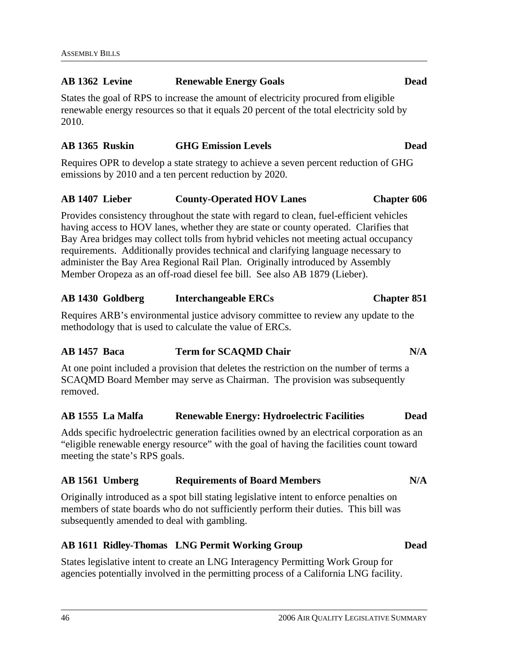#### **AB 1362 Levine Renewable Energy Goals Dead**

States the goal of RPS to increase the amount of electricity procured from eligible renewable energy resources so that it equals 20 percent of the total electricity sold by 2010.

### **AB 1365 Ruskin GHG Emission Levels Dead**

Requires OPR to develop a state strategy to achieve a seven percent reduction of GHG emissions by 2010 and a ten percent reduction by 2020.

#### **AB 1407 Lieber County-Operated HOV Lanes Chapter 606**

Provides consistency throughout the state with regard to clean, fuel-efficient vehicles having access to HOV lanes, whether they are state or county operated. Clarifies that Bay Area bridges may collect tolls from hybrid vehicles not meeting actual occupancy requirements. Additionally provides technical and clarifying language necessary to administer the Bay Area Regional Rail Plan. Originally introduced by Assembly Member Oropeza as an off-road diesel fee bill. See also AB 1879 (Lieber).

### **AB 1430 Goldberg Interchangeable ERCs Chapter 851**

Requires ARB's environmental justice advisory committee to review any update to the methodology that is used to calculate the value of ERCs.

### **AB 1457 Baca Term for SCAQMD Chair N/A**

At one point included a provision that deletes the restriction on the number of terms a SCAQMD Board Member may serve as Chairman. The provision was subsequently removed.

### **AB 1555 La Malfa Renewable Energy: Hydroelectric Facilities Dead**

Adds specific hydroelectric generation facilities owned by an electrical corporation as an "eligible renewable energy resource" with the goal of having the facilities count toward meeting the state's RPS goals.

### **AB 1561 Umberg Requirements of Board Members N/A**

Originally introduced as a spot bill stating legislative intent to enforce penalties on members of state boards who do not sufficiently perform their duties. This bill was subsequently amended to deal with gambling.

### **AB 1611 Ridley-Thomas LNG Permit Working Group Dead**

States legislative intent to create an LNG Interagency Permitting Work Group for agencies potentially involved in the permitting process of a California LNG facility.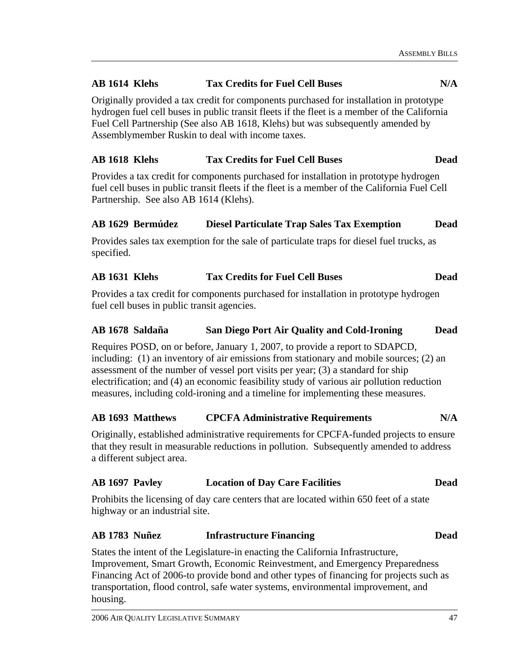### **AB 1614 Klehs Tax Credits for Fuel Cell Buses N/A**

Originally provided a tax credit for components purchased for installation in prototype hydrogen fuel cell buses in public transit fleets if the fleet is a member of the California Fuel Cell Partnership (See also AB 1618, Klehs) but was subsequently amended by Assemblymember Ruskin to deal with income taxes.

#### **AB 1618 Klehs Tax Credits for Fuel Cell Buses Dead**

Provides a tax credit for components purchased for installation in prototype hydrogen fuel cell buses in public transit fleets if the fleet is a member of the California Fuel Cell Partnership. See also AB 1614 (Klehs).

#### **AB 1629 Bermúdez Diesel Particulate Trap Sales Tax Exemption Dead**

Provides sales tax exemption for the sale of particulate traps for diesel fuel trucks, as specified.

#### **AB 1631 Klehs Tax Credits for Fuel Cell Buses Dead**

Provides a tax credit for components purchased for installation in prototype hydrogen fuel cell buses in public transit agencies.

#### **AB 1678 Saldaña San Diego Port Air Quality and Cold-Ironing Dead**

Requires POSD, on or before, January 1, 2007, to provide a report to SDAPCD, including: (1) an inventory of air emissions from stationary and mobile sources; (2) an assessment of the number of vessel port visits per year; (3) a standard for ship electrification; and (4) an economic feasibility study of various air pollution reduction measures, including cold-ironing and a timeline for implementing these measures.

#### **AB 1693 Matthews CPCFA Administrative Requirements N/A**

Originally, established administrative requirements for CPCFA-funded projects to ensure that they result in measurable reductions in pollution. Subsequently amended to address a different subject area.

#### **AB 1697 Pavley Location of Day Care Facilities Dead**

Prohibits the licensing of day care centers that are located within 650 feet of a state highway or an industrial site.

#### **AB 1783 Nuñez Infrastructure Financing Dead**

States the intent of the Legislature-in enacting the California Infrastructure, Improvement, Smart Growth, Economic Reinvestment, and Emergency Preparedness Financing Act of 2006-to provide bond and other types of financing for projects such as transportation, flood control, safe water systems, environmental improvement, and housing.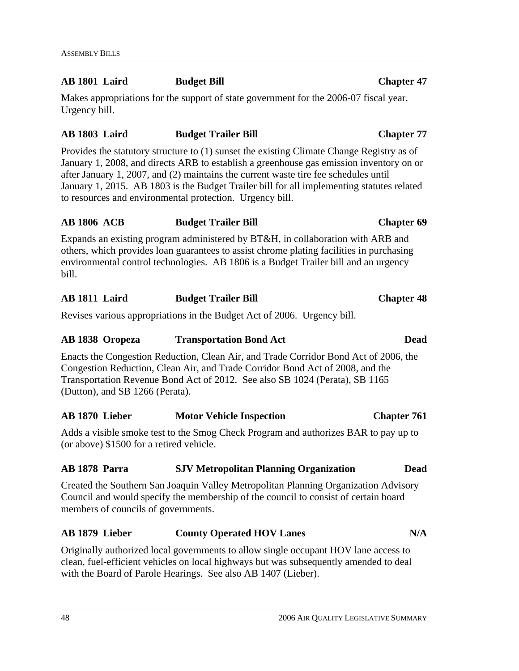#### **AB 1801 Laird Budget Bill Chapter 47**

Makes appropriations for the support of state government for the 2006-07 fiscal year. Urgency bill.

### **AB 1803 Laird Budget Trailer Bill Chapter 77**

Provides the statutory structure to (1) sunset the existing Climate Change Registry as of January 1, 2008, and directs ARB to establish a greenhouse gas emission inventory on or after January 1, 2007, and (2) maintains the current waste tire fee schedules until January 1, 2015. AB 1803 is the Budget Trailer bill for all implementing statutes related to resources and environmental protection. Urgency bill.

### **AB 1806 ACB Budget Trailer Bill Chapter 69**

Expands an existing program administered by BT&H, in collaboration with ARB and others, which provides loan guarantees to assist chrome plating facilities in purchasing environmental control technologies. AB 1806 is a Budget Trailer bill and an urgency bill.

### **AB 1811 Laird Budget Trailer Bill Chapter 48**

Revises various appropriations in the Budget Act of 2006. Urgency bill.

### **AB 1838 Oropeza Transportation Bond Act Dead**

Enacts the Congestion Reduction, Clean Air, and Trade Corridor Bond Act of 2006, the Congestion Reduction, Clean Air, and Trade Corridor Bond Act of 2008, and the Transportation Revenue Bond Act of 2012. See also SB 1024 (Perata), SB 1165 (Dutton), and SB 1266 (Perata).

### **AB 1870 Lieber Motor Vehicle Inspection Chapter 761**

Adds a visible smoke test to the Smog Check Program and authorizes BAR to pay up to (or above) \$1500 for a retired vehicle.

### **AB 1878 Parra SJV Metropolitan Planning Organization Dead**

Created the Southern San Joaquin Valley Metropolitan Planning Organization Advisory Council and would specify the membership of the council to consist of certain board members of councils of governments.

### **AB 1879 Lieber County Operated HOV Lanes N/A**

Originally authorized local governments to allow single occupant HOV lane access to clean, fuel-efficient vehicles on local highways but was subsequently amended to deal with the Board of Parole Hearings. See also AB 1407 (Lieber).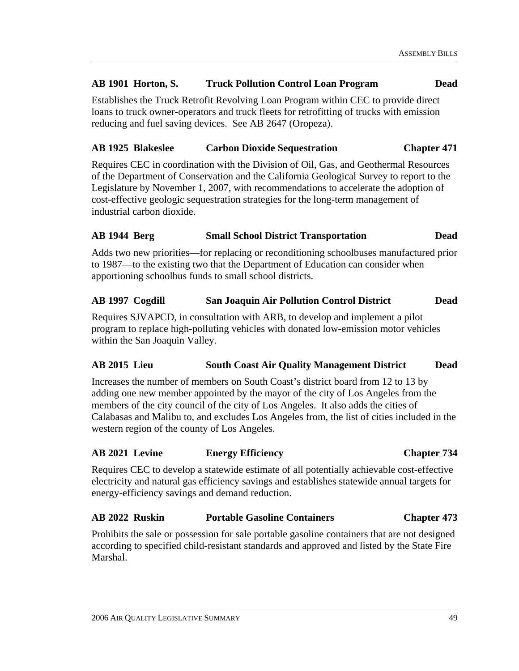#### **AB 1901 Horton, S. Truck Pollution Control Loan Program Dead**

Establishes the Truck Retrofit Revolving Loan Program within CEC to provide direct loans to truck owner-operators and truck fleets for retrofitting of trucks with emission reducing and fuel saving devices. See AB 2647 (Oropeza).

#### **AB 1925 Blakeslee Carbon Dioxide Sequestration Chapter 471**

Requires CEC in coordination with the Division of Oil, Gas, and Geothermal Resources of the Department of Conservation and the California Geological Survey to report to the Legislature by November 1, 2007, with recommendations to accelerate the adoption of cost-effective geologic sequestration strategies for the long-term management of industrial carbon dioxide.

#### **AB 1944 Berg Small School District Transportation Dead**

Adds two new priorities—for replacing or reconditioning schoolbuses manufactured prior to 1987—to the existing two that the Department of Education can consider when apportioning schoolbus funds to small school districts.

#### **AB 1997 Cogdill San Joaquin Air Pollution Control District Dead**

Requires SJVAPCD, in consultation with ARB, to develop and implement a pilot program to replace high-polluting vehicles with donated low-emission motor vehicles within the San Joaquin Valley.

#### **AB 2015 Lieu South Coast Air Quality Management District Dead**

Increases the number of members on South Coast's district board from 12 to 13 by adding one new member appointed by the mayor of the city of Los Angeles from the members of the city council of the city of Los Angeles. It also adds the cities of Calabasas and Malibu to, and excludes Los Angeles from, the list of cities included in the western region of the county of Los Angeles.

#### **AB 2021 Levine Energy Efficiency Chapter 734**

Requires CEC to develop a statewide estimate of all potentially achievable cost-effective electricity and natural gas efficiency savings and establishes statewide annual targets for energy-efficiency savings and demand reduction.

#### **AB 2022 Ruskin Portable Gasoline Containers Chapter 473**

Prohibits the sale or possession for sale portable gasoline containers that are not designed according to specified child-resistant standards and approved and listed by the State Fire Marshal.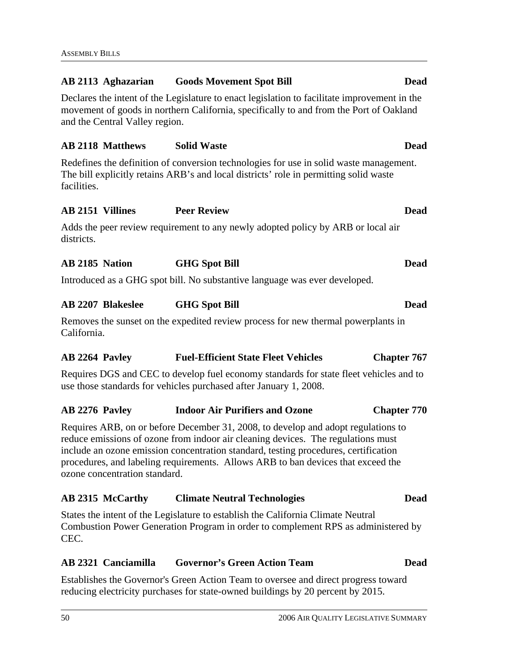# **AB 2113 Aghazarian Goods Movement Spot Bill Dead**  Declares the intent of the Legislature to enact legislation to facilitate improvement in the movement of goods in northern California, specifically to and from the Port of Oakland and the Central Valley region. **AB 2118 Matthews Solid Waste Dead**  Redefines the definition of conversion technologies for use in solid waste management. The bill explicitly retains ARB's and local districts' role in permitting solid waste facilities. **AB 2151 Villines Peer Review Dead**  Adds the peer review requirement to any newly adopted policy by ARB or local air districts. **AB 2185 Nation GHG Spot Bill Dead**  Introduced as a GHG spot bill. No substantive language was ever developed. **AB 2207 Blakeslee GHG Spot Bill Dead**  Removes the sunset on the expedited review process for new thermal powerplants in California. **AB 2264 Pavley Fuel-Efficient State Fleet Vehicles Chapter 767**  Requires DGS and CEC to develop fuel economy standards for state fleet vehicles and to use those standards for vehicles purchased after January 1, 2008. **AB 2276 Pavley Indoor Air Purifiers and Ozone Chapter 770**  Requires ARB, on or before December 31, 2008, to develop and adopt regulations to reduce emissions of ozone from indoor air cleaning devices. The regulations must include an ozone emission concentration standard, testing procedures, certification procedures, and labeling requirements. Allows ARB to ban devices that exceed the ozone concentration standard. **AB 2315 McCarthy Climate Neutral Technologies Dead**  States the intent of the Legislature to establish the California Climate Neutral Combustion Power Generation Program in order to complement RPS as administered by CEC. **AB 2321 Canciamilla Governor's Green Action Team Dead**

Establishes the Governor's Green Action Team to oversee and direct progress toward reducing electricity purchases for state-owned buildings by 20 percent by 2015.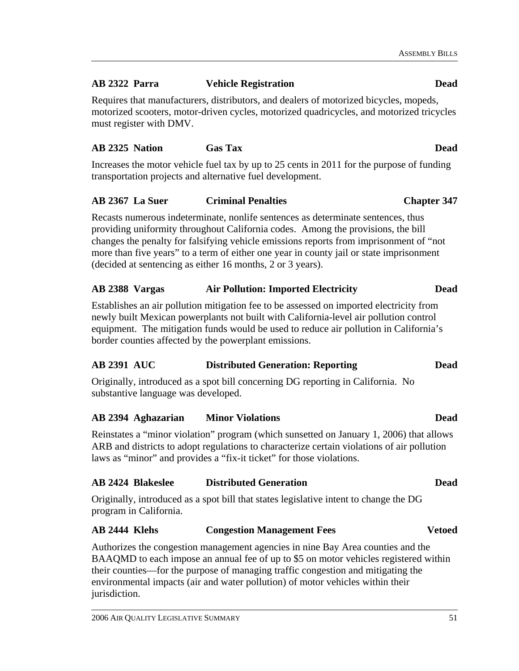### **AB 2322 Parra Vehicle Registration Dead**

Requires that manufacturers, distributors, and dealers of motorized bicycles, mopeds, motorized scooters, motor-driven cycles, motorized quadricycles, and motorized tricycles must register with DMV.

#### **AB 2325 Nation Gas Tax Dead**

Increases the motor vehicle fuel tax by up to 25 cents in 2011 for the purpose of funding transportation projects and alternative fuel development.

### **AB 2367 La Suer Criminal Penalties Chapter 347**

Recasts numerous indeterminate, nonlife sentences as determinate sentences, thus providing uniformity throughout California codes. Among the provisions, the bill changes the penalty for falsifying vehicle emissions reports from imprisonment of "not more than five years" to a term of either one year in county jail or state imprisonment (decided at sentencing as either 16 months, 2 or 3 years).

### **AB 2388 Vargas Air Pollution: Imported Electricity Dead**

Establishes an air pollution mitigation fee to be assessed on imported electricity from newly built Mexican powerplants not built with California-level air pollution control equipment. The mitigation funds would be used to reduce air pollution in California's border counties affected by the powerplant emissions.

### **AB 2391 AUC Distributed Generation: Reporting Dead**

Originally, introduced as a spot bill concerning DG reporting in California. No substantive language was developed.

### **AB 2394 Aghazarian Minor Violations Dead**

Reinstates a "minor violation" program (which sunsetted on January 1, 2006) that allows ARB and districts to adopt regulations to characterize certain violations of air pollution laws as "minor" and provides a "fix-it ticket" for those violations.

### **AB 2424 Blakeslee Distributed Generation Dead**

Originally, introduced as a spot bill that states legislative intent to change the DG program in California.

### **AB 2444 Klehs Congestion Management Fees Vetoed**

Authorizes the congestion management agencies in nine Bay Area counties and the BAAQMD to each impose an annual fee of up to \$5 on motor vehicles registered within their counties—for the purpose of managing traffic congestion and mitigating the environmental impacts (air and water pollution) of motor vehicles within their jurisdiction.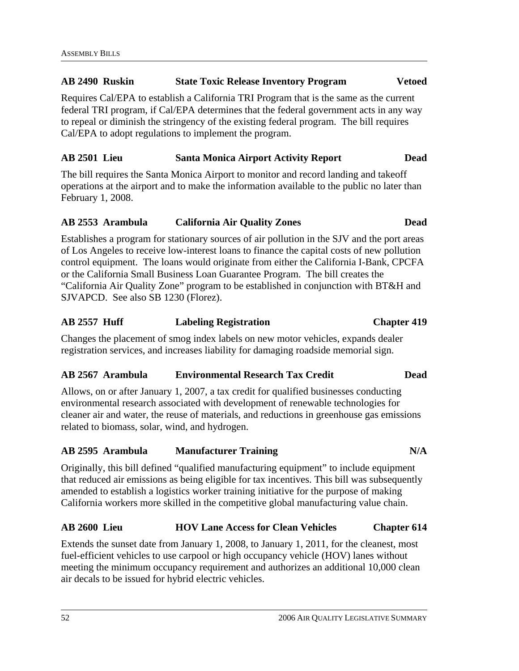#### **AB 2490 Ruskin State Toxic Release Inventory Program Vetoed**

Requires Cal/EPA to establish a California TRI Program that is the same as the current federal TRI program, if Cal/EPA determines that the federal government acts in any way to repeal or diminish the stringency of the existing federal program. The bill requires Cal/EPA to adopt regulations to implement the program.

#### **AB 2501 Lieu Santa Monica Airport Activity Report Dead**

The bill requires the Santa Monica Airport to monitor and record landing and takeoff operations at the airport and to make the information available to the public no later than February 1, 2008.

### **AB 2553 Arambula California Air Quality Zones Dead**

Establishes a program for stationary sources of air pollution in the SJV and the port areas of Los Angeles to receive low-interest loans to finance the capital costs of new pollution control equipment. The loans would originate from either the California I-Bank, CPCFA or the California Small Business Loan Guarantee Program. The bill creates the "California Air Quality Zone" program to be established in conjunction with BT&H and SJVAPCD. See also SB 1230 (Florez).

### **AB 2557 Huff Labeling Registration Chapter 419**

Changes the placement of smog index labels on new motor vehicles, expands dealer registration services, and increases liability for damaging roadside memorial sign.

#### **AB 2567 Arambula Environmental Research Tax Credit Dead**

Allows, on or after January 1, 2007, a tax credit for qualified businesses conducting environmental research associated with development of renewable technologies for cleaner air and water, the reuse of materials, and reductions in greenhouse gas emissions related to biomass, solar, wind, and hydrogen.

#### **AB 2595 Arambula Manufacturer Training N/A**

Originally, this bill defined "qualified manufacturing equipment" to include equipment that reduced air emissions as being eligible for tax incentives. This bill was subsequently amended to establish a logistics worker training initiative for the purpose of making California workers more skilled in the competitive global manufacturing value chain.

#### **AB 2600 Lieu HOV Lane Access for Clean Vehicles Chapter 614**

Extends the sunset date from January 1, 2008, to January 1, 2011, for the cleanest, most fuel-efficient vehicles to use carpool or high occupancy vehicle (HOV) lanes without meeting the minimum occupancy requirement and authorizes an additional 10,000 clean air decals to be issued for hybrid electric vehicles.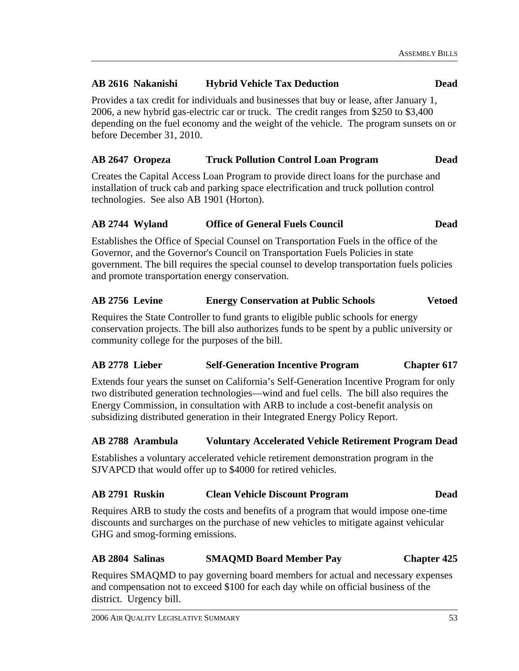### **AB 2616 Nakanishi Hybrid Vehicle Tax Deduction Dead**

Provides a tax credit for individuals and businesses that buy or lease, after January 1, 2006, a new hybrid gas-electric car or truck. The credit ranges from \$250 to \$3,400 depending on the fuel economy and the weight of the vehicle. The program sunsets on or before December 31, 2010.

### **AB 2647 Oropeza Truck Pollution Control Loan Program Dead**

Creates the Capital Access Loan Program to provide direct loans for the purchase and installation of truck cab and parking space electrification and truck pollution control technologies. See also AB 1901 (Horton).

#### **AB 2744 Wyland Office of General Fuels Council Dead**

Establishes the Office of Special Counsel on Transportation Fuels in the office of the Governor, and the Governor's Council on Transportation Fuels Policies in state government. The bill requires the special counsel to develop transportation fuels policies and promote transportation energy conservation.

#### **AB 2756 Levine Energy Conservation at Public Schools Vetoed**

Requires the State Controller to fund grants to eligible public schools for energy conservation projects. The bill also authorizes funds to be spent by a public university or community college for the purposes of the bill.

### **AB 2778 Lieber Self-Generation Incentive Program Chapter 617**

Extends four years the sunset on California's Self-Generation Incentive Program for only two distributed generation technologies—wind and fuel cells. The bill also requires the Energy Commission, in consultation with ARB to include a cost-benefit analysis on subsidizing distributed generation in their Integrated Energy Policy Report.

### **AB 2788 Arambula Voluntary Accelerated Vehicle Retirement Program Dead**

Establishes a voluntary accelerated vehicle retirement demonstration program in the SJVAPCD that would offer up to \$4000 for retired vehicles.

#### **AB 2791 Ruskin Clean Vehicle Discount Program Dead**

Requires ARB to study the costs and benefits of a program that would impose one-time discounts and surcharges on the purchase of new vehicles to mitigate against vehicular GHG and smog-forming emissions.

### **AB 2804 Salinas SMAQMD Board Member Pay Chapter 425**

Requires SMAQMD to pay governing board members for actual and necessary expenses and compensation not to exceed \$100 for each day while on official business of the district. Urgency bill.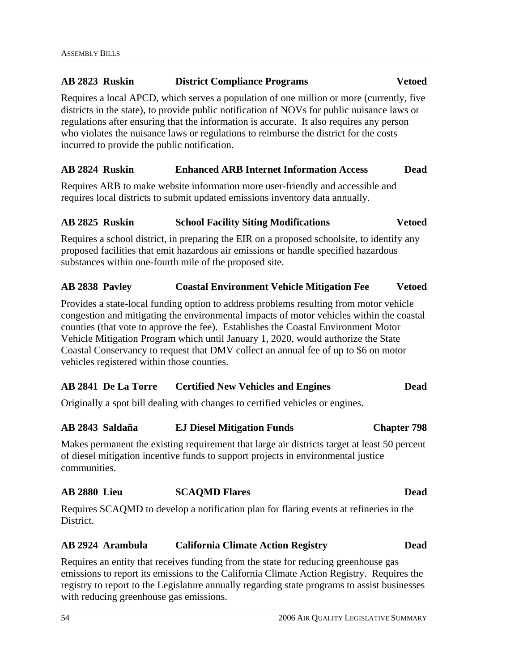# **AB 2823 Ruskin District Compliance Programs Vetoed**  Requires a local APCD, which serves a population of one million or more (currently, five

districts in the state), to provide public notification of NOVs for public nuisance laws or regulations after ensuring that the information is accurate. It also requires any person who violates the nuisance laws or regulations to reimburse the district for the costs incurred to provide the public notification.

### **AB 2824 Ruskin Enhanced ARB Internet Information Access Dead**

Requires ARB to make website information more user-friendly and accessible and requires local districts to submit updated emissions inventory data annually.

#### **AB 2825 Ruskin School Facility Siting Modifications Vetoed**

Requires a school district, in preparing the EIR on a proposed schoolsite, to identify any proposed facilities that emit hazardous air emissions or handle specified hazardous substances within one-fourth mile of the proposed site.

### **AB 2838 Pavley Coastal Environment Vehicle Mitigation Fee Vetoed**

Provides a state-local funding option to address problems resulting from motor vehicle congestion and mitigating the environmental impacts of motor vehicles within the coastal counties (that vote to approve the fee). Establishes the Coastal Environment Motor Vehicle Mitigation Program which until January 1, 2020, would authorize the State Coastal Conservancy to request that DMV collect an annual fee of up to \$6 on motor vehicles registered within those counties.

### **AB 2841 De La Torre Certified New Vehicles and Engines Dead**

Originally a spot bill dealing with changes to certified vehicles or engines.

### **AB 2843 Saldaña EJ Diesel Mitigation Funds Chapter 798**

Makes permanent the existing requirement that large air districts target at least 50 percent of diesel mitigation incentive funds to support projects in environmental justice communities.

### **AB 2880 Lieu SCAQMD Flares Dead**

Requires SCAQMD to develop a notification plan for flaring events at refineries in the District.

### **AB 2924 Arambula California Climate Action Registry Dead**

Requires an entity that receives funding from the state for reducing greenhouse gas emissions to report its emissions to the California Climate Action Registry. Requires the registry to report to the Legislature annually regarding state programs to assist businesses with reducing greenhouse gas emissions.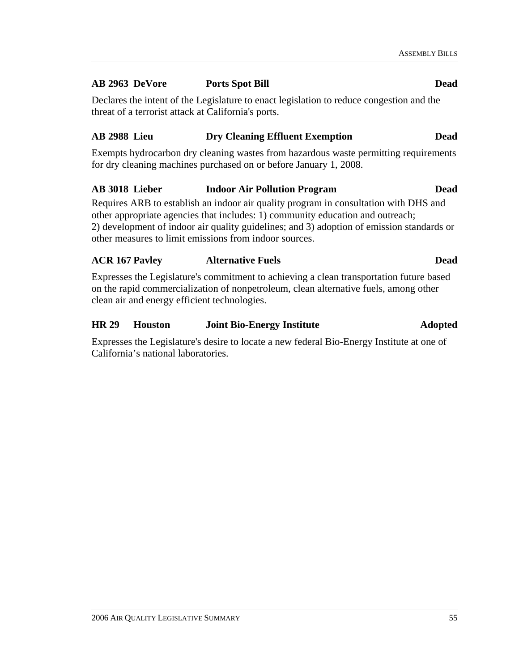#### **AB 2963 DeVore Ports Spot Bill Dead**

Declares the intent of the Legislature to enact legislation to reduce congestion and the threat of a terrorist attack at California's ports.

#### **AB 2988 Lieu Dry Cleaning Effluent Exemption Dead**

Exempts hydrocarbon dry cleaning wastes from hazardous waste permitting requirements for dry cleaning machines purchased on or before January 1, 2008.

#### **AB 3018 Lieber Indoor Air Pollution Program Dead**

Requires ARB to establish an indoor air quality program in consultation with DHS and other appropriate agencies that includes: 1) community education and outreach; 2) development of indoor air quality guidelines; and 3) adoption of emission standards or other measures to limit emissions from indoor sources.

#### **ACR 167 Pavley Alternative Fuels Dead**

Expresses the Legislature's commitment to achieving a clean transportation future based on the rapid commercialization of nonpetroleum, clean alternative fuels, among other clean air and energy efficient technologies.

#### **HR 29 Houston Joint Bio-Energy Institute Adopted**

Expresses the Legislature's desire to locate a new federal Bio-Energy Institute at one of California's national laboratories.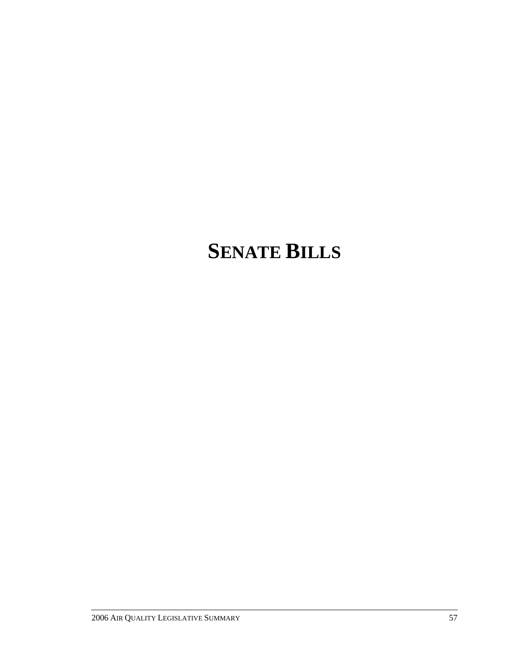# **SENATE BILLS**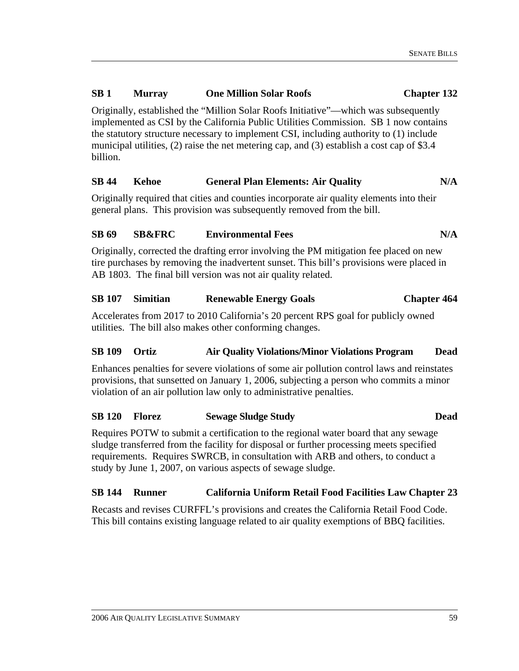#### **SB 1 Murray One Million Solar Roofs Chapter 132**

Originally, established the "Million Solar Roofs Initiative"—which was subsequently implemented as CSI by the California Public Utilities Commission. SB 1 now contains the statutory structure necessary to implement CSI, including authority to (1) include municipal utilities, (2) raise the net metering cap, and (3) establish a cost cap of \$3.4 billion.

#### SB 44 Kehoe General Plan Elements: Air Quality N/A

Originally required that cities and counties incorporate air quality elements into their general plans. This provision was subsequently removed from the bill.

#### **SB 69 SB&FRC Environmental Fees N/A**

Originally, corrected the drafting error involving the PM mitigation fee placed on new tire purchases by removing the inadvertent sunset. This bill's provisions were placed in AB 1803. The final bill version was not air quality related.

#### **SB 107 Simitian Renewable Energy Goals Chapter 464**

Accelerates from 2017 to 2010 California's 20 percent RPS goal for publicly owned utilities. The bill also makes other conforming changes.

#### **SB 109 Ortiz Air Quality Violations/Minor Violations Program Dead**

Enhances penalties for severe violations of some air pollution control laws and reinstates provisions, that sunsetted on January 1, 2006, subjecting a person who commits a minor violation of an air pollution law only to administrative penalties.

### **SB 120 Florez Sewage Sludge Study Dead**

Requires POTW to submit a certification to the regional water board that any sewage sludge transferred from the facility for disposal or further processing meets specified requirements. Requires SWRCB, in consultation with ARB and others, to conduct a study by June 1, 2007, on various aspects of sewage sludge.

#### **SB 144 Runner California Uniform Retail Food Facilities Law Chapter 23**

Recasts and revises CURFFL's provisions and creates the California Retail Food Code. This bill contains existing language related to air quality exemptions of BBQ facilities.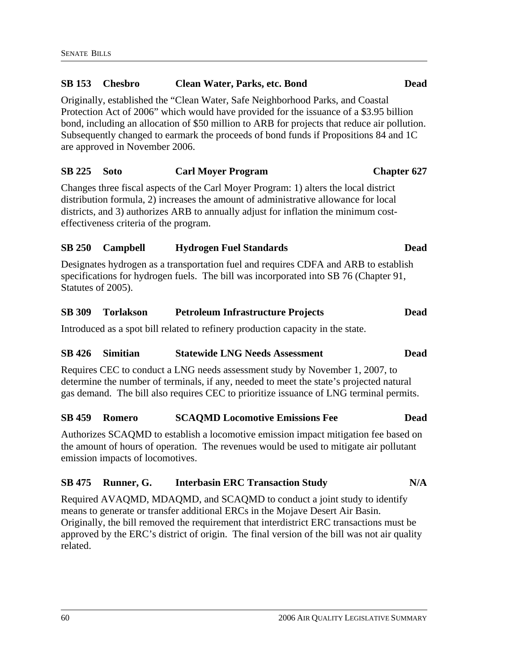## **SB 153 Chesbro Clean Water, Parks, etc. Bond Dead**  Originally, established the "Clean Water, Safe Neighborhood Parks, and Coastal Protection Act of 2006" which would have provided for the issuance of a \$3.95 billion bond, including an allocation of \$50 million to ARB for projects that reduce air pollution. Subsequently changed to earmark the proceeds of bond funds if Propositions 84 and 1C are approved in November 2006. **SB 225 Soto Carl Moyer Program Chapter 627**  Changes three fiscal aspects of the Carl Moyer Program: 1) alters the local district distribution formula, 2) increases the amount of administrative allowance for local districts, and 3) authorizes ARB to annually adjust for inflation the minimum costeffectiveness criteria of the program. **SB 250 Campbell Hydrogen Fuel Standards Dead**

Designates hydrogen as a transportation fuel and requires CDFA and ARB to establish specifications for hydrogen fuels. The bill was incorporated into SB 76 (Chapter 91, Statutes of 2005).

#### **SB 309 Torlakson Petroleum Infrastructure Projects Dead**

Introduced as a spot bill related to refinery production capacity in the state.

#### **SB 426 Simitian Statewide LNG Needs Assessment Dead**

Requires CEC to conduct a LNG needs assessment study by November 1, 2007, to determine the number of terminals, if any, needed to meet the state's projected natural gas demand. The bill also requires CEC to prioritize issuance of LNG terminal permits.

### **SB 459 Romero SCAQMD Locomotive Emissions Fee Dead**

Authorizes SCAQMD to establish a locomotive emission impact mitigation fee based on the amount of hours of operation. The revenues would be used to mitigate air pollutant emission impacts of locomotives.

### SB 475 Runner, G. Interbasin ERC Transaction Study N/A

Required AVAQMD, MDAQMD, and SCAQMD to conduct a joint study to identify means to generate or transfer additional ERCs in the Mojave Desert Air Basin. Originally, the bill removed the requirement that interdistrict ERC transactions must be approved by the ERC's district of origin. The final version of the bill was not air quality related.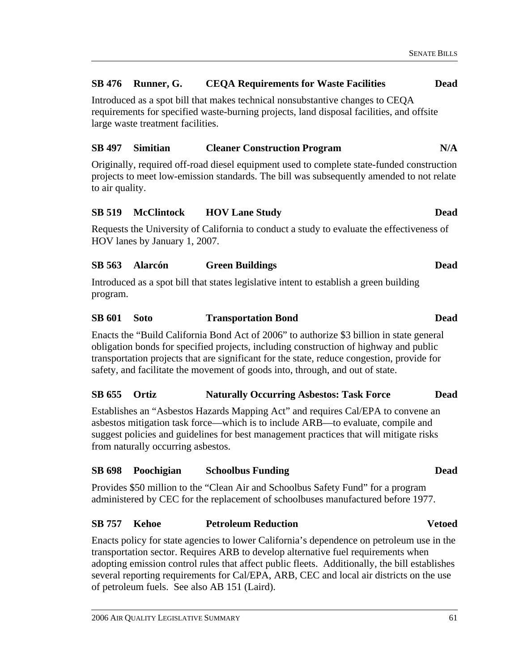#### **SB 476 Runner, G. CEQA Requirements for Waste Facilities Dead**

Introduced as a spot bill that makes technical nonsubstantive changes to CEQA requirements for specified waste-burning projects, land disposal facilities, and offsite large waste treatment facilities.

#### **SB 497 Simitian Cleaner Construction Program N/A**

Originally, required off-road diesel equipment used to complete state-funded construction projects to meet low-emission standards. The bill was subsequently amended to not relate to air quality.

#### **SB 519 McClintock HOV Lane Study Dead**

Requests the University of California to conduct a study to evaluate the effectiveness of HOV lanes by January 1, 2007.

#### **SB 563 Alarcón Green Buildings Dead**

Introduced as a spot bill that states legislative intent to establish a green building program.

#### **SB 601 Soto Transportation Bond Dead**

Enacts the "Build California Bond Act of 2006" to authorize \$3 billion in state general obligation bonds for specified projects, including construction of highway and public transportation projects that are significant for the state, reduce congestion, provide for safety, and facilitate the movement of goods into, through, and out of state.

#### **SB 655 Ortiz Naturally Occurring Asbestos: Task Force Dead**

Establishes an "Asbestos Hazards Mapping Act" and requires Cal/EPA to convene an asbestos mitigation task force—which is to include ARB—to evaluate, compile and suggest policies and guidelines for best management practices that will mitigate risks from naturally occurring asbestos.

#### **SB 698 Poochigian Schoolbus Funding Dead**

Provides \$50 million to the "Clean Air and Schoolbus Safety Fund" for a program administered by CEC for the replacement of schoolbuses manufactured before 1977.

#### **SB 757 Kehoe Petroleum Reduction Vetoed**

Enacts policy for state agencies to lower California's dependence on petroleum use in the transportation sector. Requires ARB to develop alternative fuel requirements when adopting emission control rules that affect public fleets. Additionally, the bill establishes several reporting requirements for Cal/EPA, ARB, CEC and local air districts on the use of petroleum fuels. See also AB 151 (Laird).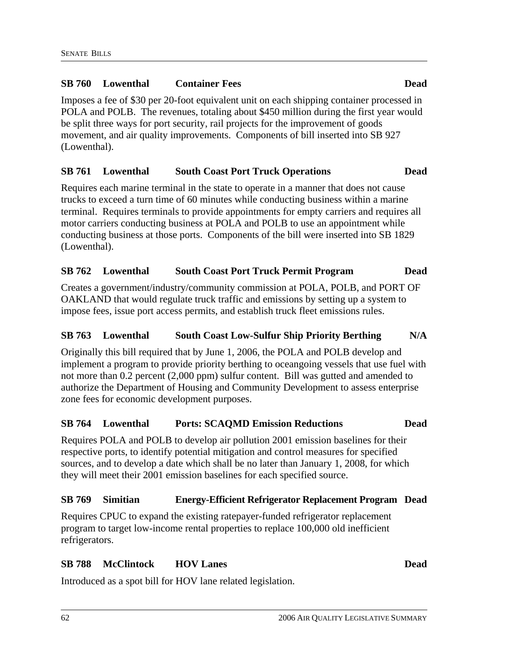#### **SB 760 Lowenthal Container Fees Dead**

Imposes a fee of \$30 per 20-foot equivalent unit on each shipping container processed in POLA and POLB. The revenues, totaling about \$450 million during the first year would be split three ways for port security, rail projects for the improvement of goods movement, and air quality improvements. Components of bill inserted into SB 927 (Lowenthal).

#### **SB 761 Lowenthal South Coast Port Truck Operations Dead**

Requires each marine terminal in the state to operate in a manner that does not cause trucks to exceed a turn time of 60 minutes while conducting business within a marine terminal. Requires terminals to provide appointments for empty carriers and requires all motor carriers conducting business at POLA and POLB to use an appointment while conducting business at those ports. Components of the bill were inserted into SB 1829 (Lowenthal).

#### **SB 762 Lowenthal South Coast Port Truck Permit Program Dead**

Creates a government/industry/community commission at POLA, POLB, and PORT OF OAKLAND that would regulate truck traffic and emissions by setting up a system to impose fees, issue port access permits, and establish truck fleet emissions rules.

#### **SB 763 Lowenthal South Coast Low-Sulfur Ship Priority Berthing N/A**

Originally this bill required that by June 1, 2006, the POLA and POLB develop and implement a program to provide priority berthing to oceangoing vessels that use fuel with not more than 0.2 percent (2,000 ppm) sulfur content. Bill was gutted and amended to authorize the Department of Housing and Community Development to assess enterprise zone fees for economic development purposes.

#### **SB 764 Lowenthal Ports: SCAQMD Emission Reductions Dead**

Requires POLA and POLB to develop air pollution 2001 emission baselines for their respective ports, to identify potential mitigation and control measures for specified sources, and to develop a date which shall be no later than January 1, 2008, for which they will meet their 2001 emission baselines for each specified source.

#### **SB 769 Simitian Energy-Efficient Refrigerator Replacement Program Dead**

Requires CPUC to expand the existing ratepayer-funded refrigerator replacement program to target low-income rental properties to replace 100,000 old inefficient refrigerators.

#### **SB 788 McClintock HOV Lanes Dead**

Introduced as a spot bill for HOV lane related legislation.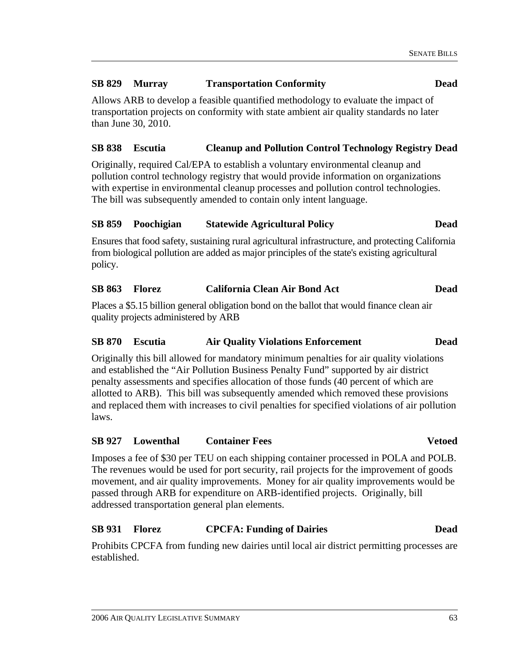#### **SB 829 Murray Transportation Conformity Dead**

Allows ARB to develop a feasible quantified methodology to evaluate the impact of transportation projects on conformity with state ambient air quality standards no later than June 30, 2010.

#### **SB 838 Escutia Cleanup and Pollution Control Technology Registry Dead**

Originally, required Cal/EPA to establish a voluntary environmental cleanup and pollution control technology registry that would provide information on organizations with expertise in environmental cleanup processes and pollution control technologies. The bill was subsequently amended to contain only intent language.

#### **SB 859 Poochigian Statewide Agricultural Policy Dead**

Ensures that food safety, sustaining rural agricultural infrastructure, and protecting California from biological pollution are added as major principles of the state's existing agricultural policy.

#### **SB 863 Florez California Clean Air Bond Act Dead**

Places a \$5.15 billion general obligation bond on the ballot that would finance clean air quality projects administered by ARB

#### **SB 870 Escutia Air Quality Violations Enforcement Dead**

Originally this bill allowed for mandatory minimum penalties for air quality violations and established the "Air Pollution Business Penalty Fund" supported by air district penalty assessments and specifies allocation of those funds (40 percent of which are allotted to ARB). This bill was subsequently amended which removed these provisions and replaced them with increases to civil penalties for specified violations of air pollution laws.

### **SB 927 Lowenthal Container Fees Vetoed**

Imposes a fee of \$30 per TEU on each shipping container processed in POLA and POLB. The revenues would be used for port security, rail projects for the improvement of goods movement, and air quality improvements. Money for air quality improvements would be passed through ARB for expenditure on ARB-identified projects. Originally, bill addressed transportation general plan elements.

### **SB 931 Florez CPCFA: Funding of Dairies Dead**

Prohibits CPCFA from funding new dairies until local air district permitting processes are established.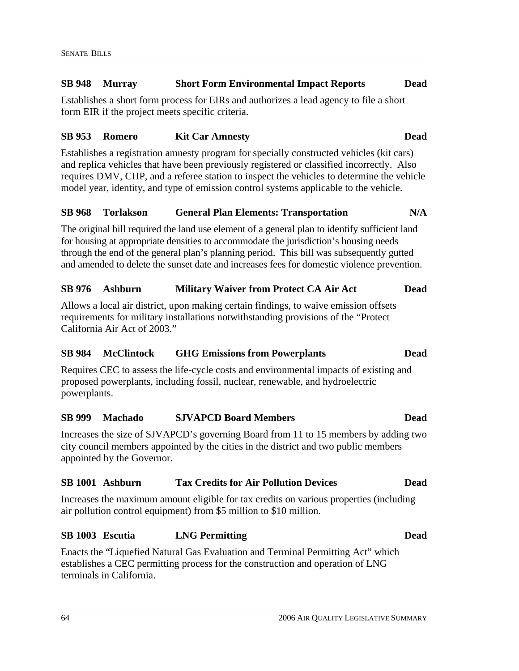#### **SB 948 Murray Short Form Environmental Impact Reports Dead**

Establishes a short form process for EIRs and authorizes a lead agency to file a short form EIR if the project meets specific criteria.

#### **SB 953 Romero Kit Car Amnesty Dead**

Establishes a registration amnesty program for specially constructed vehicles (kit cars) and replica vehicles that have been previously registered or classified incorrectly. Also requires DMV, CHP, and a referee station to inspect the vehicles to determine the vehicle model year, identity, and type of emission control systems applicable to the vehicle.

#### **SB 968 Torlakson General Plan Elements: Transportation N/A**

The original bill required the land use element of a general plan to identify sufficient land for housing at appropriate densities to accommodate the jurisdiction's housing needs through the end of the general plan's planning period. This bill was subsequently gutted and amended to delete the sunset date and increases fees for domestic violence prevention.

#### **SB 976 Ashburn Military Waiver from Protect CA Air Act Dead**

Allows a local air district, upon making certain findings, to waive emission offsets requirements for military installations notwithstanding provisions of the "Protect California Air Act of 2003."

#### **SB 984 McClintock GHG Emissions from Powerplants Dead**

Requires CEC to assess the life-cycle costs and environmental impacts of existing and proposed powerplants, including fossil, nuclear, renewable, and hydroelectric powerplants.

### **SB 999 Machado SJVAPCD Board Members Dead**

Increases the size of SJVAPCD's governing Board from 11 to 15 members by adding two city council members appointed by the cities in the district and two public members appointed by the Governor.

#### **SB 1001 Ashburn Tax Credits for Air Pollution Devices Dead**

Increases the maximum amount eligible for tax credits on various properties (including air pollution control equipment) from \$5 million to \$10 million.

#### **SB 1003 Escutia LNG Permitting Dead**

Enacts the "Liquefied Natural Gas Evaluation and Terminal Permitting Act" which establishes a CEC permitting process for the construction and operation of LNG terminals in California.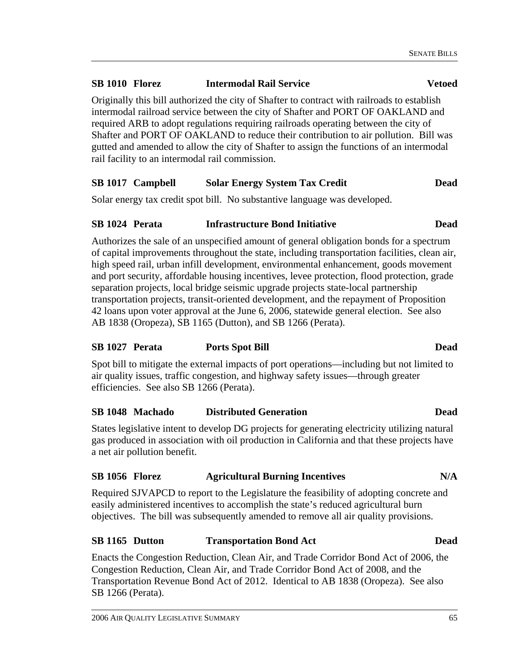### **SB 1010 Florez Intermodal Rail Service Vetoed**

Originally this bill authorized the city of Shafter to contract with railroads to establish intermodal railroad service between the city of Shafter and PORT OF OAKLAND and required ARB to adopt regulations requiring railroads operating between the city of Shafter and PORT OF OAKLAND to reduce their contribution to air pollution. Bill was gutted and amended to allow the city of Shafter to assign the functions of an intermodal rail facility to an intermodal rail commission.

#### **SB 1017 Campbell Solar Energy System Tax Credit Dead**

Solar energy tax credit spot bill. No substantive language was developed.

#### **SB 1024 Perata Infrastructure Bond Initiative Dead**

Authorizes the sale of an unspecified amount of general obligation bonds for a spectrum of capital improvements throughout the state, including transportation facilities, clean air, high speed rail, urban infill development, environmental enhancement, goods movement and port security, affordable housing incentives, levee protection, flood protection, grade separation projects, local bridge seismic upgrade projects state-local partnership transportation projects, transit-oriented development, and the repayment of Proposition 42 loans upon voter approval at the June 6, 2006, statewide general election. See also AB 1838 (Oropeza), SB 1165 (Dutton), and SB 1266 (Perata).

### **SB 1027 Perata Ports Spot Bill Dead**

Spot bill to mitigate the external impacts of port operations—including but not limited to air quality issues, traffic congestion, and highway safety issues—through greater efficiencies. See also SB 1266 (Perata).

#### **SB 1048 Machado Distributed Generation Dead**

States legislative intent to develop DG projects for generating electricity utilizing natural gas produced in association with oil production in California and that these projects have a net air pollution benefit.

#### SB 1056 Florez **Agricultural Burning Incentives** N/A

Required SJVAPCD to report to the Legislature the feasibility of adopting concrete and easily administered incentives to accomplish the state's reduced agricultural burn objectives. The bill was subsequently amended to remove all air quality provisions.

#### **SB 1165 Dutton Transportation Bond Act Dead**

Enacts the Congestion Reduction, Clean Air, and Trade Corridor Bond Act of 2006, the Congestion Reduction, Clean Air, and Trade Corridor Bond Act of 2008, and the Transportation Revenue Bond Act of 2012. Identical to AB 1838 (Oropeza). See also SB 1266 (Perata).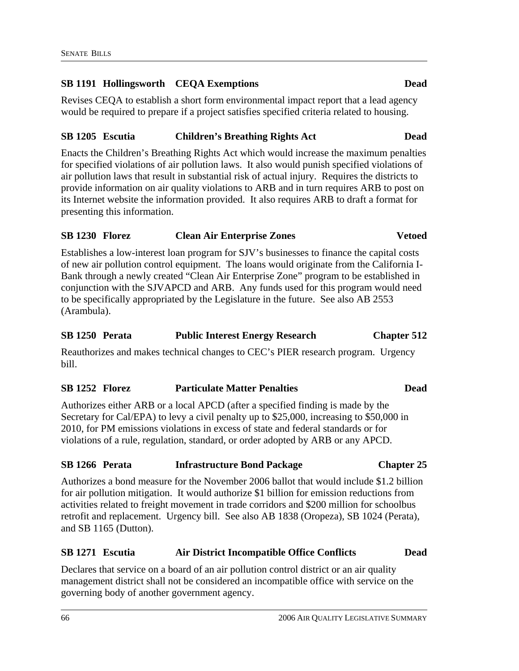### **SB 1191 Hollingsworth CEQA Exemptions Dead**

Revises CEQA to establish a short form environmental impact report that a lead agency would be required to prepare if a project satisfies specified criteria related to housing.

#### **SB 1205 Escutia Children's Breathing Rights Act Dead**

Enacts the Children's Breathing Rights Act which would increase the maximum penalties for specified violations of air pollution laws. It also would punish specified violations of air pollution laws that result in substantial risk of actual injury. Requires the districts to provide information on air quality violations to ARB and in turn requires ARB to post on its Internet website the information provided. It also requires ARB to draft a format for presenting this information.

#### **SB 1230 Florez Clean Air Enterprise Zones Vetoed**

Establishes a low-interest loan program for SJV's businesses to finance the capital costs of new air pollution control equipment. The loans would originate from the California I-Bank through a newly created "Clean Air Enterprise Zone" program to be established in conjunction with the SJVAPCD and ARB. Any funds used for this program would need to be specifically appropriated by the Legislature in the future. See also AB 2553 (Arambula).

#### **SB 1250 Perata Public Interest Energy Research Chapter 512**

Reauthorizes and makes technical changes to CEC's PIER research program. Urgency bill.

#### **SB 1252 Florez Particulate Matter Penalties Dead**

Authorizes either ARB or a local APCD (after a specified finding is made by the Secretary for Cal/EPA) to levy a civil penalty up to \$25,000, increasing to \$50,000 in 2010, for PM emissions violations in excess of state and federal standards or for violations of a rule, regulation, standard, or order adopted by ARB or any APCD.

#### **SB 1266 Perata Infrastructure Bond Package Chapter 25**

Authorizes a bond measure for the November 2006 ballot that would include \$1.2 billion for air pollution mitigation. It would authorize \$1 billion for emission reductions from activities related to freight movement in trade corridors and \$200 million for schoolbus retrofit and replacement. Urgency bill. See also AB 1838 (Oropeza), SB 1024 (Perata), and SB 1165 (Dutton).

#### **SB 1271 Escutia Air District Incompatible Office Conflicts Dead**

Declares that service on a board of an air pollution control district or an air quality management district shall not be considered an incompatible office with service on the governing body of another government agency.

#### 66 2006 AIR QUALITY LEGISLATIVE SUMMARY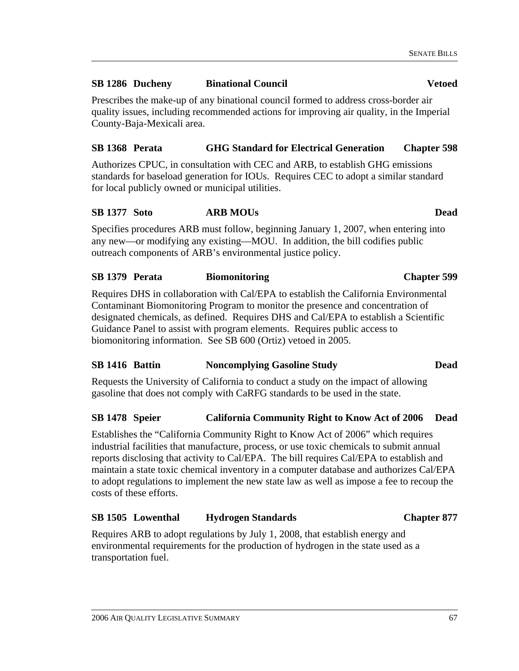County-Baja-Mexicali area.

# any new—or modifying any existing—MOU. In addition, the bill codifies public outreach components of ARB's environmental justice policy.

Specifies procedures ARB must follow, beginning January 1, 2007, when entering into

Prescribes the make-up of any binational council formed to address cross-border air quality issues, including recommended actions for improving air quality, in the Imperial

Authorizes CPUC, in consultation with CEC and ARB, to establish GHG emissions

**SB 1368 Perata GHG Standard for Electrical Generation Chapter 598** 

### **SB 1379 Perata Biomonitoring Chapter 599**

for local publicly owned or municipal utilities.

Requires DHS in collaboration with Cal/EPA to establish the California Environmental Contaminant Biomonitoring Program to monitor the presence and concentration of designated chemicals, as defined. Requires DHS and Cal/EPA to establish a Scientific Guidance Panel to assist with program elements. Requires public access to biomonitoring information. See SB 600 (Ortiz) vetoed in 2005.

### **SB 1416 Battin Noncomplying Gasoline Study Dead**

Requests the University of California to conduct a study on the impact of allowing gasoline that does not comply with CaRFG standards to be used in the state.

### **SB 1478 Speier California Community Right to Know Act of 2006 Dead**

Establishes the "California Community Right to Know Act of 2006" which requires industrial facilities that manufacture, process, or use toxic chemicals to submit annual reports disclosing that activity to Cal/EPA. The bill requires Cal/EPA to establish and maintain a state toxic chemical inventory in a computer database and authorizes Cal/EPA to adopt regulations to implement the new state law as well as impose a fee to recoup the costs of these efforts.

### **SB 1505 Lowenthal Hydrogen Standards Chapter 877**

Requires ARB to adopt regulations by July 1, 2008, that establish energy and environmental requirements for the production of hydrogen in the state used as a transportation fuel.

### **SB 1286 Ducheny Binational Council Vetoed**

standards for baseload generation for IOUs. Requires CEC to adopt a similar standard

# **SB 1377 Soto ARB MOUs Dead**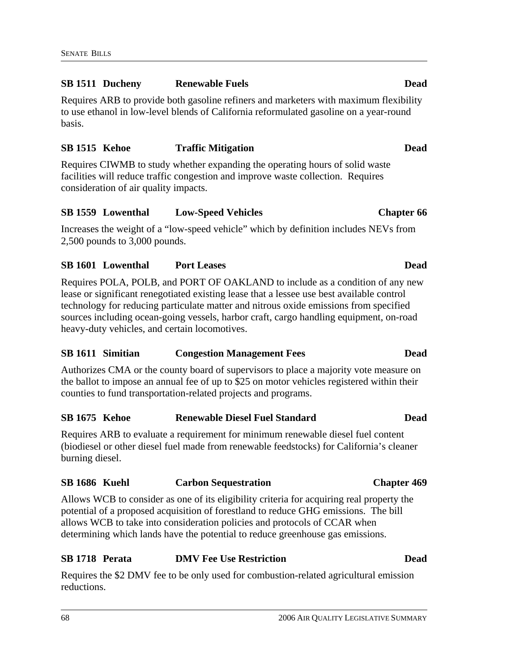## **SB 1511 Ducheny Renewable Fuels Dead**

Requires ARB to provide both gasoline refiners and marketers with maximum flexibility to use ethanol in low-level blends of California reformulated gasoline on a year-round basis.

# **SB 1515 Kehoe Traffic Mitigation Dead**  Requires CIWMB to study whether expanding the operating hours of solid waste

facilities will reduce traffic congestion and improve waste collection. Requires consideration of air quality impacts.

# **SB 1559 Lowenthal Low-Speed Vehicles Chapter 66**

Increases the weight of a "low-speed vehicle" which by definition includes NEVs from 2,500 pounds to 3,000 pounds.

# **SB 1601 Lowenthal Port Leases Dead**

Requires POLA, POLB, and PORT OF OAKLAND to include as a condition of any new lease or significant renegotiated existing lease that a lessee use best available control technology for reducing particulate matter and nitrous oxide emissions from specified sources including ocean-going vessels, harbor craft, cargo handling equipment, on-road heavy-duty vehicles, and certain locomotives.

# **SB 1611 Simitian Congestion Management Fees Dead**

Authorizes CMA or the county board of supervisors to place a majority vote measure on the ballot to impose an annual fee of up to \$25 on motor vehicles registered within their counties to fund transportation-related projects and programs.

# **SB 1675 Kehoe Renewable Diesel Fuel Standard Dead**

Requires ARB to evaluate a requirement for minimum renewable diesel fuel content (biodiesel or other diesel fuel made from renewable feedstocks) for California's cleaner burning diesel.

# **SB 1686 Kuehl Carbon Sequestration Chapter 469**

Allows WCB to consider as one of its eligibility criteria for acquiring real property the potential of a proposed acquisition of forestland to reduce GHG emissions. The bill allows WCB to take into consideration policies and protocols of CCAR when determining which lands have the potential to reduce greenhouse gas emissions.

# **SB 1718 Perata DMV Fee Use Restriction Dead**

Requires the \$2 DMV fee to be only used for combustion-related agricultural emission reductions.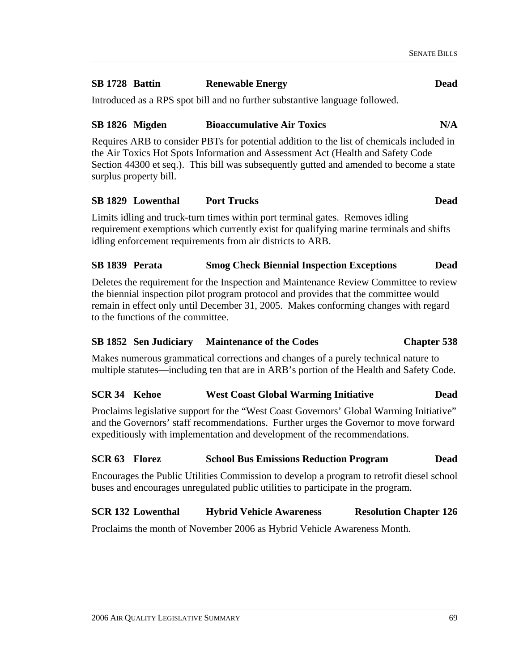## **SB 1728 Battin Renewable Energy Dead**

Introduced as a RPS spot bill and no further substantive language followed.

## SB 1826 Migden Bioaccumulative Air Toxics N/A

Requires ARB to consider PBTs for potential addition to the list of chemicals included in the Air Toxics Hot Spots Information and Assessment Act (Health and Safety Code Section 44300 et seq.). This bill was subsequently gutted and amended to become a state surplus property bill.

## **SB 1829 Lowenthal Port Trucks Dead**

Limits idling and truck-turn times within port terminal gates. Removes idling requirement exemptions which currently exist for qualifying marine terminals and shifts idling enforcement requirements from air districts to ARB.

## **SB 1839 Perata Smog Check Biennial Inspection Exceptions Dead**

Deletes the requirement for the Inspection and Maintenance Review Committee to review the biennial inspection pilot program protocol and provides that the committee would remain in effect only until December 31, 2005. Makes conforming changes with regard to the functions of the committee.

## **SB 1852 Sen Judiciary Maintenance of the Codes Chapter 538**

Makes numerous grammatical corrections and changes of a purely technical nature to multiple statutes—including ten that are in ARB's portion of the Health and Safety Code.

## **SCR 34 Kehoe West Coast Global Warming Initiative Dead**

Proclaims legislative support for the "West Coast Governors' Global Warming Initiative" and the Governors' staff recommendations. Further urges the Governor to move forward expeditiously with implementation and development of the recommendations.

## **SCR 63 Florez School Bus Emissions Reduction Program Dead**

Encourages the Public Utilities Commission to develop a program to retrofit diesel school buses and encourages unregulated public utilities to participate in the program.

# **SCR 132 Lowenthal Hybrid Vehicle Awareness Resolution Chapter 126**

Proclaims the month of November 2006 as Hybrid Vehicle Awareness Month.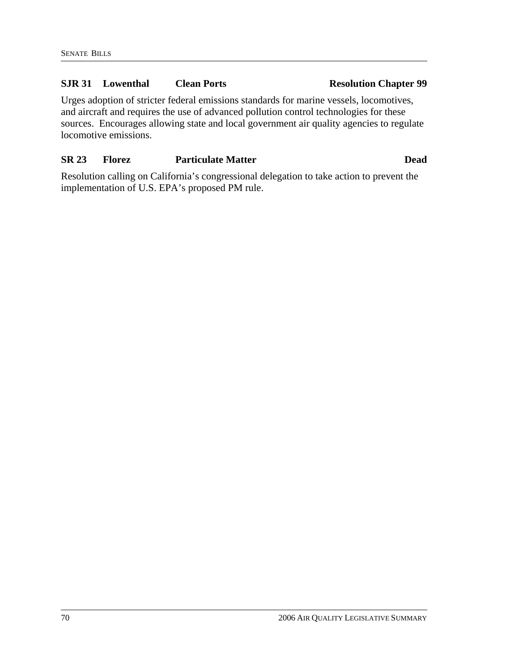## **SJR 31 Lowenthal Clean Ports Resolution Chapter 99**

Urges adoption of stricter federal emissions standards for marine vessels, locomotives, and aircraft and requires the use of advanced pollution control technologies for these sources. Encourages allowing state and local government air quality agencies to regulate locomotive emissions.

# **SR 23 Florez Particulate Matter Dead**

Resolution calling on California's congressional delegation to take action to prevent the implementation of U.S. EPA's proposed PM rule.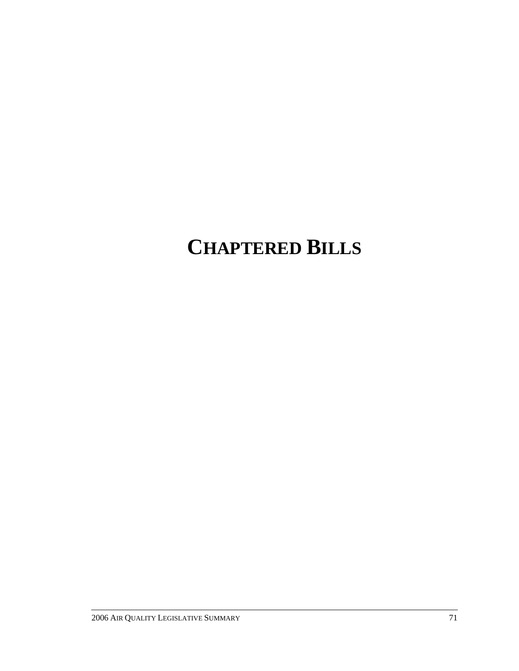# **CHAPTERED BILLS**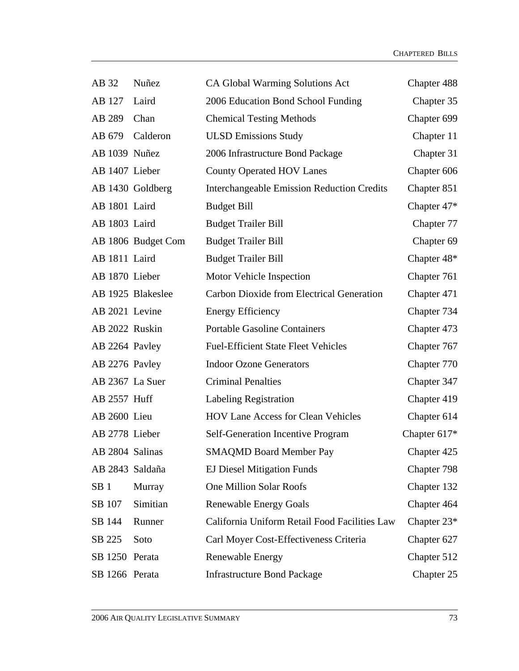| AB 32           | Nuñez              | CA Global Warming Solutions Act                   | Chapter 488    |
|-----------------|--------------------|---------------------------------------------------|----------------|
| AB 127          | Laird              | 2006 Education Bond School Funding                | Chapter 35     |
| AB 289          | Chan               | <b>Chemical Testing Methods</b>                   | Chapter 699    |
| AB 679          | Calderon           | <b>ULSD Emissions Study</b>                       | Chapter 11     |
| AB 1039 Nuñez   |                    | 2006 Infrastructure Bond Package                  | Chapter 31     |
| AB 1407 Lieber  |                    | <b>County Operated HOV Lanes</b>                  | Chapter 606    |
|                 | AB 1430 Goldberg   | <b>Interchangeable Emission Reduction Credits</b> | Chapter 851    |
| AB 1801 Laird   |                    | <b>Budget Bill</b>                                | Chapter $47*$  |
| AB 1803 Laird   |                    | <b>Budget Trailer Bill</b>                        | Chapter 77     |
|                 | AB 1806 Budget Com | <b>Budget Trailer Bill</b>                        | Chapter 69     |
| AB 1811 Laird   |                    | <b>Budget Trailer Bill</b>                        | Chapter 48*    |
| AB 1870 Lieber  |                    | Motor Vehicle Inspection                          | Chapter 761    |
|                 | AB 1925 Blakeslee  | Carbon Dioxide from Electrical Generation         | Chapter 471    |
| AB 2021 Levine  |                    | <b>Energy Efficiency</b>                          | Chapter 734    |
| AB 2022 Ruskin  |                    | <b>Portable Gasoline Containers</b>               | Chapter 473    |
| AB 2264 Pavley  |                    | <b>Fuel-Efficient State Fleet Vehicles</b>        | Chapter 767    |
| AB 2276 Pavley  |                    | <b>Indoor Ozone Generators</b>                    | Chapter 770    |
| AB 2367 La Suer |                    | <b>Criminal Penalties</b>                         | Chapter 347    |
| AB 2557 Huff    |                    | Labeling Registration                             | Chapter 419    |
| AB 2600 Lieu    |                    | <b>HOV Lane Access for Clean Vehicles</b>         | Chapter 614    |
| AB 2778 Lieber  |                    | Self-Generation Incentive Program                 | Chapter $617*$ |
| AB 2804 Salinas |                    | <b>SMAQMD Board Member Pay</b>                    | Chapter 425    |
| AB 2843 Saldaña |                    | <b>EJ Diesel Mitigation Funds</b>                 | Chapter 798    |
| SB <sub>1</sub> | Murray             | <b>One Million Solar Roofs</b>                    | Chapter 132    |
| SB 107          | Simitian           | <b>Renewable Energy Goals</b>                     | Chapter 464    |
| SB 144          | Runner             | California Uniform Retail Food Facilities Law     | Chapter 23*    |
| SB 225          | Soto               | Carl Moyer Cost-Effectiveness Criteria            | Chapter 627    |
| SB 1250 Perata  |                    | <b>Renewable Energy</b>                           | Chapter 512    |
| SB 1266 Perata  |                    | <b>Infrastructure Bond Package</b>                | Chapter 25     |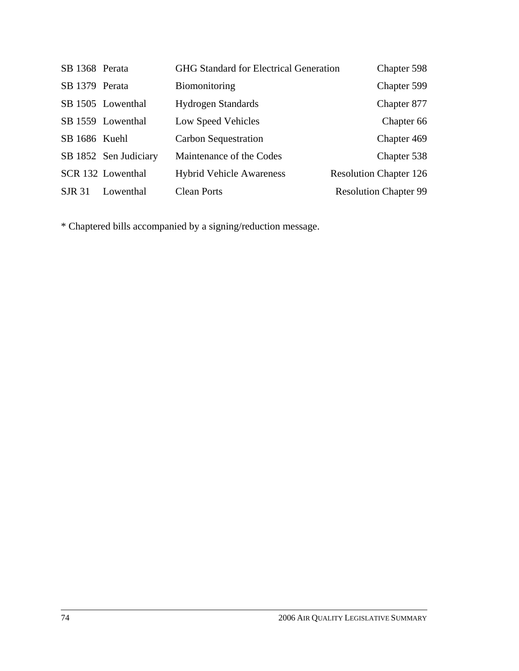| SB 1368 Perata |                       | <b>GHG Standard for Electrical Generation</b> | Chapter 598                   |
|----------------|-----------------------|-----------------------------------------------|-------------------------------|
| SB 1379 Perata |                       | Biomonitoring                                 | Chapter 599                   |
|                | SB 1505 Lowenthal     | <b>Hydrogen Standards</b>                     | Chapter 877                   |
|                | SB 1559 Lowenthal     | Low Speed Vehicles                            | Chapter 66                    |
| SB 1686 Kuehl  |                       | Carbon Sequestration                          | Chapter 469                   |
|                | SB 1852 Sen Judiciary | Maintenance of the Codes                      | Chapter 538                   |
|                | SCR 132 Lowenthal     | <b>Hybrid Vehicle Awareness</b>               | <b>Resolution Chapter 126</b> |
| <b>SJR 31</b>  | Lowenthal             | <b>Clean Ports</b>                            | <b>Resolution Chapter 99</b>  |

\* Chaptered bills accompanied by a signing/reduction message.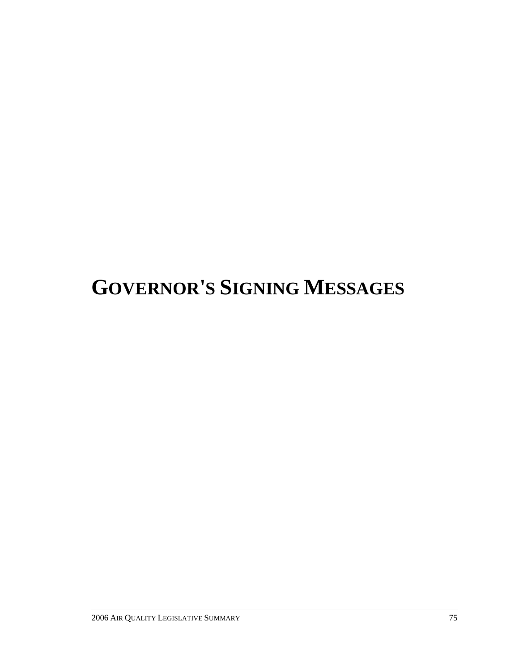# **GOVERNOR'S SIGNING MESSAGES**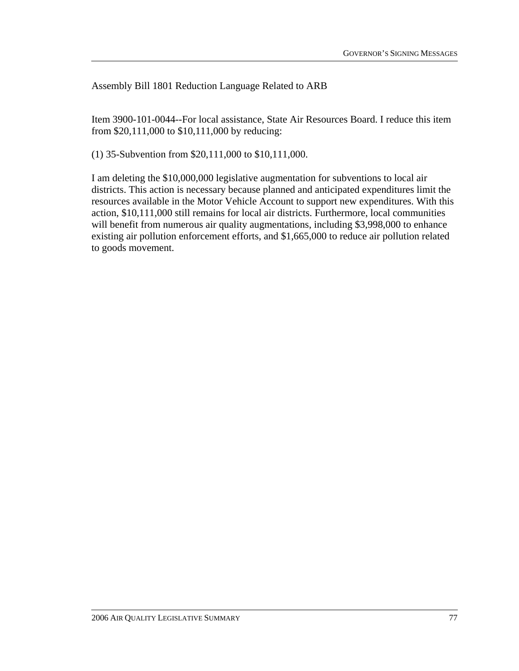Assembly Bill 1801 Reduction Language Related to ARB

Item 3900-101-0044--For local assistance, State Air Resources Board. I reduce this item from \$20,111,000 to \$10,111,000 by reducing:

(1) 35-Subvention from \$20,111,000 to \$10,111,000.

I am deleting the \$10,000,000 legislative augmentation for subventions to local air districts. This action is necessary because planned and anticipated expenditures limit the resources available in the Motor Vehicle Account to support new expenditures. With this action, \$10,111,000 still remains for local air districts. Furthermore, local communities will benefit from numerous air quality augmentations, including \$3,998,000 to enhance existing air pollution enforcement efforts, and \$1,665,000 to reduce air pollution related to goods movement.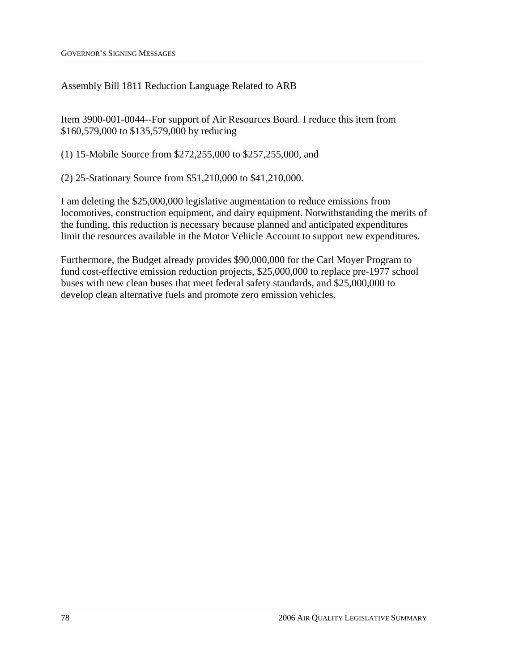Assembly Bill 1811 Reduction Language Related to ARB

Item 3900-001-0044--For support of Air Resources Board. I reduce this item from \$160,579,000 to \$135,579,000 by reducing

(1) 15-Mobile Source from \$272,255,000 to \$257,255,000, and

(2) 25-Stationary Source from \$51,210,000 to \$41,210,000.

I am deleting the \$25,000,000 legislative augmentation to reduce emissions from locomotives, construction equipment, and dairy equipment. Notwithstanding the merits of the funding, this reduction is necessary because planned and anticipated expenditures limit the resources available in the Motor Vehicle Account to support new expenditures.

Furthermore, the Budget already provides \$90,000,000 for the Carl Moyer Program to fund cost-effective emission reduction projects, \$25,000,000 to replace pre-1977 school buses with new clean buses that meet federal safety standards, and \$25,000,000 to develop clean alternative fuels and promote zero emission vehicles.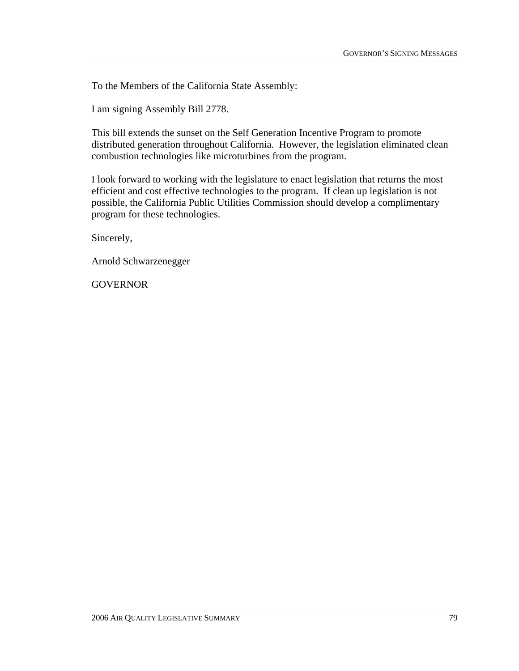I am signing Assembly Bill 2778.

This bill extends the sunset on the Self Generation Incentive Program to promote distributed generation throughout California. However, the legislation eliminated clean combustion technologies like microturbines from the program.

I look forward to working with the legislature to enact legislation that returns the most efficient and cost effective technologies to the program. If clean up legislation is not possible, the California Public Utilities Commission should develop a complimentary program for these technologies.

Sincerely,

Arnold Schwarzenegger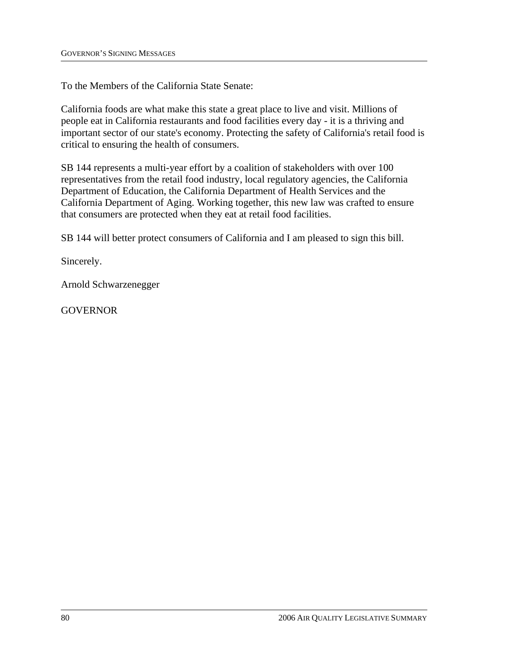To the Members of the California State Senate:

California foods are what make this state a great place to live and visit. Millions of people eat in California restaurants and food facilities every day - it is a thriving and important sector of our state's economy. Protecting the safety of California's retail food is critical to ensuring the health of consumers.

SB 144 represents a multi-year effort by a coalition of stakeholders with over 100 representatives from the retail food industry, local regulatory agencies, the California Department of Education, the California Department of Health Services and the California Department of Aging. Working together, this new law was crafted to ensure that consumers are protected when they eat at retail food facilities.

SB 144 will better protect consumers of California and I am pleased to sign this bill.

Sincerely.

Arnold Schwarzenegger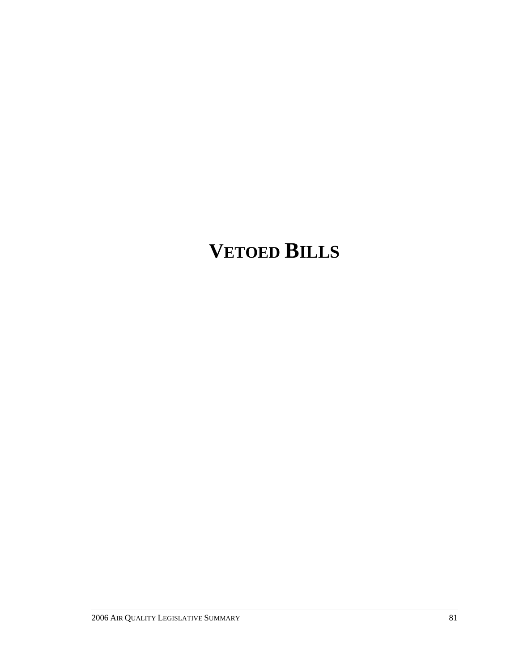# **VETOED BILLS**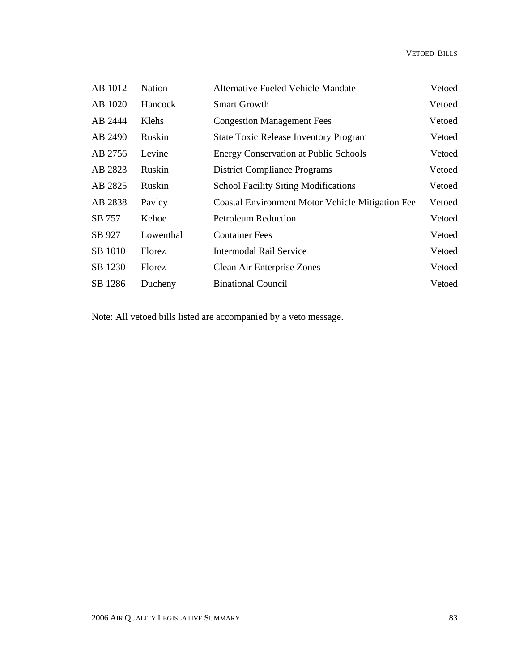| AB 1012 | Nation    | <b>Alternative Fueled Vehicle Mandate</b>               | Vetoed |
|---------|-----------|---------------------------------------------------------|--------|
| AB 1020 | Hancock   | <b>Smart Growth</b>                                     | Vetoed |
| AB 2444 | Klehs     | <b>Congestion Management Fees</b>                       | Vetoed |
| AB 2490 | Ruskin    | <b>State Toxic Release Inventory Program</b>            | Vetoed |
| AB 2756 | Levine    | <b>Energy Conservation at Public Schools</b>            | Vetoed |
| AB 2823 | Ruskin    | <b>District Compliance Programs</b>                     | Vetoed |
| AB 2825 | Ruskin    | <b>School Facility Siting Modifications</b>             | Vetoed |
| AB 2838 | Payley    | <b>Coastal Environment Motor Vehicle Mitigation Fee</b> | Vetoed |
| SB 757  | Kehoe     | <b>Petroleum Reduction</b>                              | Vetoed |
| SB 927  | Lowenthal | <b>Container Fees</b>                                   | Vetoed |
| SB 1010 | Florez    | <b>Intermodal Rail Service</b>                          | Vetoed |
| SB 1230 | Florez    | Clean Air Enterprise Zones                              | Vetoed |
| SB 1286 | Ducheny   | <b>Binational Council</b>                               | Vetoed |

Note: All vetoed bills listed are accompanied by a veto message.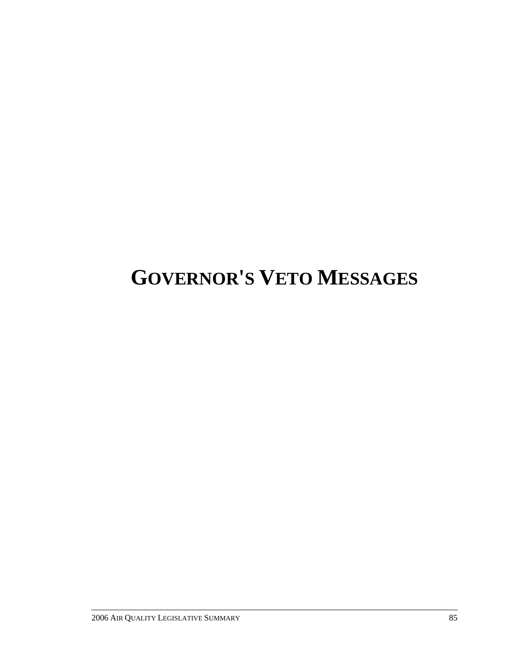# **GOVERNOR'S VETO MESSAGES**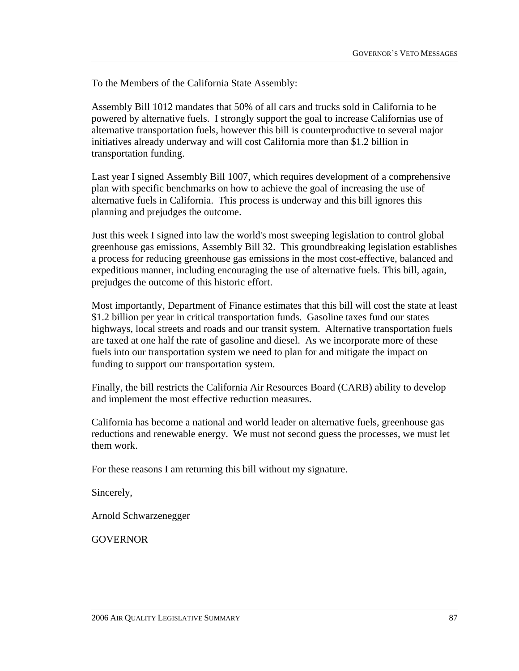Assembly Bill 1012 mandates that 50% of all cars and trucks sold in California to be powered by alternative fuels. I strongly support the goal to increase Californias use of alternative transportation fuels, however this bill is counterproductive to several major initiatives already underway and will cost California more than \$1.2 billion in transportation funding.

Last year I signed Assembly Bill 1007, which requires development of a comprehensive plan with specific benchmarks on how to achieve the goal of increasing the use of alternative fuels in California. This process is underway and this bill ignores this planning and prejudges the outcome.

Just this week I signed into law the world's most sweeping legislation to control global greenhouse gas emissions, Assembly Bill 32. This groundbreaking legislation establishes a process for reducing greenhouse gas emissions in the most cost-effective, balanced and expeditious manner, including encouraging the use of alternative fuels. This bill, again, prejudges the outcome of this historic effort.

Most importantly, Department of Finance estimates that this bill will cost the state at least \$1.2 billion per year in critical transportation funds. Gasoline taxes fund our states highways, local streets and roads and our transit system. Alternative transportation fuels are taxed at one half the rate of gasoline and diesel. As we incorporate more of these fuels into our transportation system we need to plan for and mitigate the impact on funding to support our transportation system.

Finally, the bill restricts the California Air Resources Board (CARB) ability to develop and implement the most effective reduction measures.

California has become a national and world leader on alternative fuels, greenhouse gas reductions and renewable energy. We must not second guess the processes, we must let them work.

For these reasons I am returning this bill without my signature.

Sincerely,

Arnold Schwarzenegger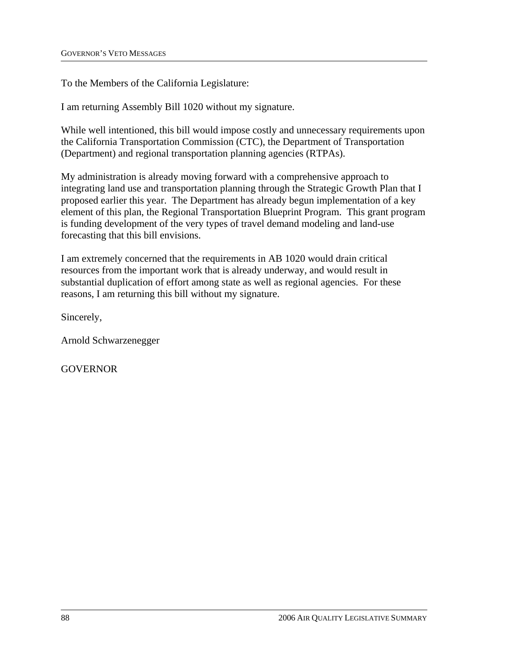To the Members of the California Legislature:

I am returning Assembly Bill 1020 without my signature.

While well intentioned, this bill would impose costly and unnecessary requirements upon the California Transportation Commission (CTC), the Department of Transportation (Department) and regional transportation planning agencies (RTPAs).

My administration is already moving forward with a comprehensive approach to integrating land use and transportation planning through the Strategic Growth Plan that I proposed earlier this year. The Department has already begun implementation of a key element of this plan, the Regional Transportation Blueprint Program. This grant program is funding development of the very types of travel demand modeling and land-use forecasting that this bill envisions.

I am extremely concerned that the requirements in AB 1020 would drain critical resources from the important work that is already underway, and would result in substantial duplication of effort among state as well as regional agencies. For these reasons, I am returning this bill without my signature.

Sincerely,

Arnold Schwarzenegger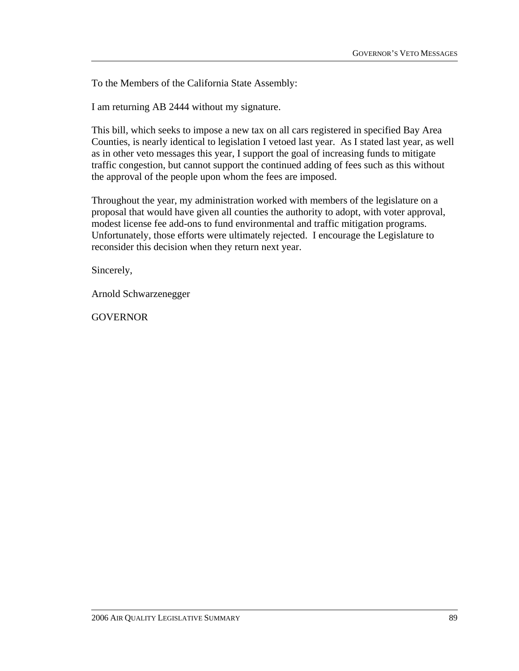I am returning AB 2444 without my signature.

This bill, which seeks to impose a new tax on all cars registered in specified Bay Area Counties, is nearly identical to legislation I vetoed last year. As I stated last year, as well as in other veto messages this year, I support the goal of increasing funds to mitigate traffic congestion, but cannot support the continued adding of fees such as this without the approval of the people upon whom the fees are imposed.

Throughout the year, my administration worked with members of the legislature on a proposal that would have given all counties the authority to adopt, with voter approval, modest license fee add-ons to fund environmental and traffic mitigation programs. Unfortunately, those efforts were ultimately rejected. I encourage the Legislature to reconsider this decision when they return next year.

Sincerely,

Arnold Schwarzenegger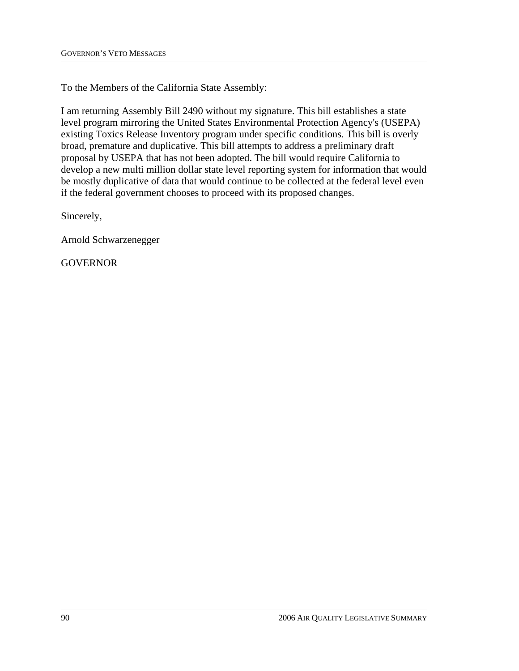I am returning Assembly Bill 2490 without my signature. This bill establishes a state level program mirroring the United States Environmental Protection Agency's (USEPA) existing Toxics Release Inventory program under specific conditions. This bill is overly broad, premature and duplicative. This bill attempts to address a preliminary draft proposal by USEPA that has not been adopted. The bill would require California to develop a new multi million dollar state level reporting system for information that would be mostly duplicative of data that would continue to be collected at the federal level even if the federal government chooses to proceed with its proposed changes.

Sincerely,

Arnold Schwarzenegger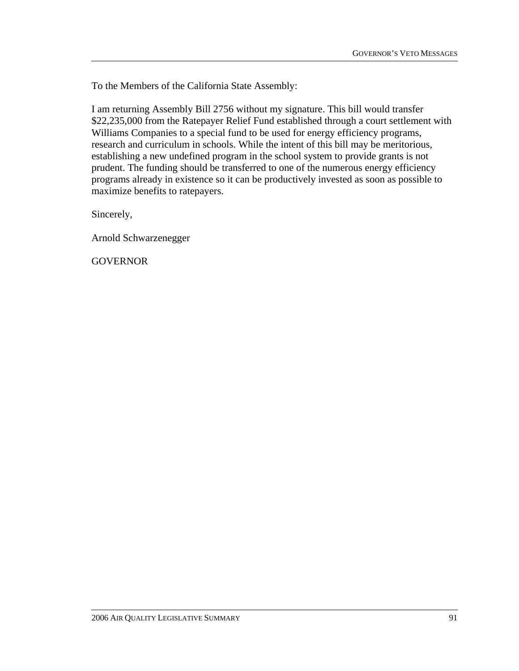I am returning Assembly Bill 2756 without my signature. This bill would transfer \$22,235,000 from the Ratepayer Relief Fund established through a court settlement with Williams Companies to a special fund to be used for energy efficiency programs, research and curriculum in schools. While the intent of this bill may be meritorious, establishing a new undefined program in the school system to provide grants is not prudent. The funding should be transferred to one of the numerous energy efficiency programs already in existence so it can be productively invested as soon as possible to maximize benefits to ratepayers.

Sincerely,

Arnold Schwarzenegger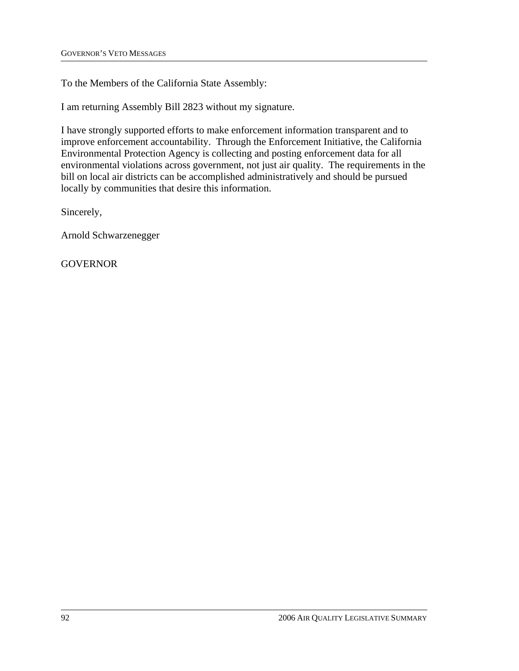I am returning Assembly Bill 2823 without my signature.

I have strongly supported efforts to make enforcement information transparent and to improve enforcement accountability. Through the Enforcement Initiative, the California Environmental Protection Agency is collecting and posting enforcement data for all environmental violations across government, not just air quality. The requirements in the bill on local air districts can be accomplished administratively and should be pursued locally by communities that desire this information.

Sincerely,

Arnold Schwarzenegger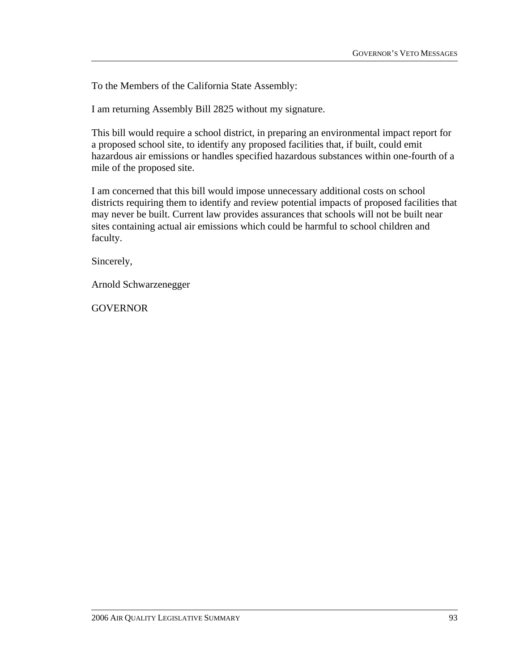I am returning Assembly Bill 2825 without my signature.

This bill would require a school district, in preparing an environmental impact report for a proposed school site, to identify any proposed facilities that, if built, could emit hazardous air emissions or handles specified hazardous substances within one-fourth of a mile of the proposed site.

I am concerned that this bill would impose unnecessary additional costs on school districts requiring them to identify and review potential impacts of proposed facilities that may never be built. Current law provides assurances that schools will not be built near sites containing actual air emissions which could be harmful to school children and faculty.

Sincerely,

Arnold Schwarzenegger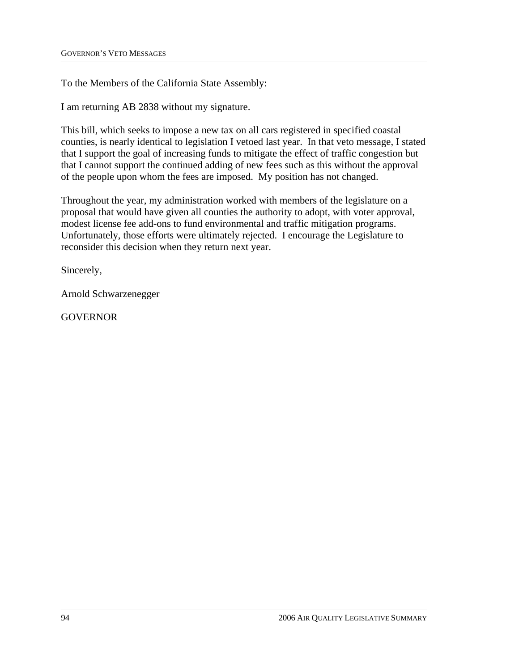I am returning AB 2838 without my signature.

This bill, which seeks to impose a new tax on all cars registered in specified coastal counties, is nearly identical to legislation I vetoed last year. In that veto message, I stated that I support the goal of increasing funds to mitigate the effect of traffic congestion but that I cannot support the continued adding of new fees such as this without the approval of the people upon whom the fees are imposed. My position has not changed.

Throughout the year, my administration worked with members of the legislature on a proposal that would have given all counties the authority to adopt, with voter approval, modest license fee add-ons to fund environmental and traffic mitigation programs. Unfortunately, those efforts were ultimately rejected. I encourage the Legislature to reconsider this decision when they return next year.

Sincerely,

Arnold Schwarzenegger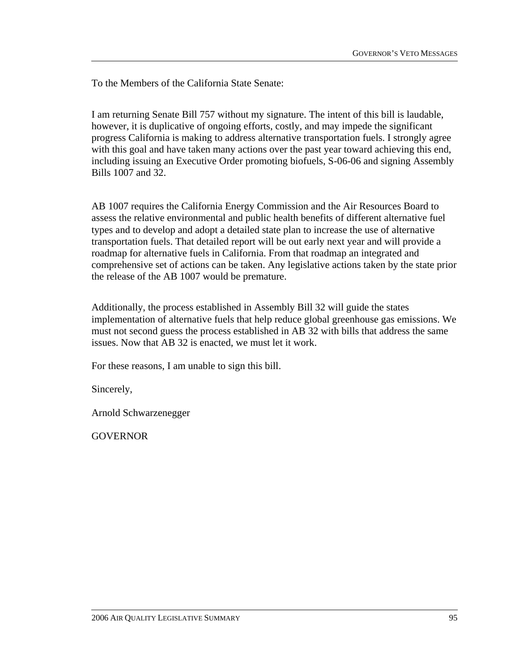To the Members of the California State Senate:

I am returning Senate Bill 757 without my signature. The intent of this bill is laudable, however, it is duplicative of ongoing efforts, costly, and may impede the significant progress California is making to address alternative transportation fuels. I strongly agree with this goal and have taken many actions over the past year toward achieving this end, including issuing an Executive Order promoting biofuels, S-06-06 and signing Assembly Bills 1007 and 32.

AB 1007 requires the California Energy Commission and the Air Resources Board to assess the relative environmental and public health benefits of different alternative fuel types and to develop and adopt a detailed state plan to increase the use of alternative transportation fuels. That detailed report will be out early next year and will provide a roadmap for alternative fuels in California. From that roadmap an integrated and comprehensive set of actions can be taken. Any legislative actions taken by the state prior the release of the AB 1007 would be premature.

Additionally, the process established in Assembly Bill 32 will guide the states implementation of alternative fuels that help reduce global greenhouse gas emissions. We must not second guess the process established in AB 32 with bills that address the same issues. Now that AB 32 is enacted, we must let it work.

For these reasons, I am unable to sign this bill.

Sincerely,

Arnold Schwarzenegger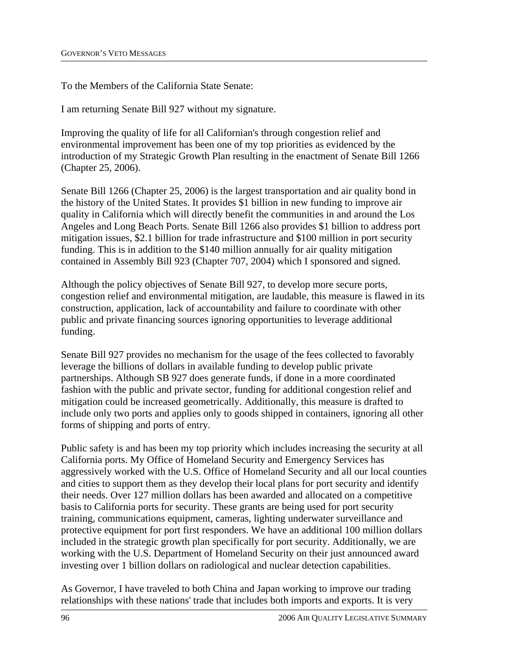To the Members of the California State Senate:

I am returning Senate Bill 927 without my signature.

Improving the quality of life for all Californian's through congestion relief and environmental improvement has been one of my top priorities as evidenced by the introduction of my Strategic Growth Plan resulting in the enactment of Senate Bill 1266 (Chapter 25, 2006).

Senate Bill 1266 (Chapter 25, 2006) is the largest transportation and air quality bond in the history of the United States. It provides \$1 billion in new funding to improve air quality in California which will directly benefit the communities in and around the Los Angeles and Long Beach Ports. Senate Bill 1266 also provides \$1 billion to address port mitigation issues, \$2.1 billion for trade infrastructure and \$100 million in port security funding. This is in addition to the \$140 million annually for air quality mitigation contained in Assembly Bill 923 (Chapter 707, 2004) which I sponsored and signed.

Although the policy objectives of Senate Bill 927, to develop more secure ports, congestion relief and environmental mitigation, are laudable, this measure is flawed in its construction, application, lack of accountability and failure to coordinate with other public and private financing sources ignoring opportunities to leverage additional funding.

Senate Bill 927 provides no mechanism for the usage of the fees collected to favorably leverage the billions of dollars in available funding to develop public private partnerships. Although SB 927 does generate funds, if done in a more coordinated fashion with the public and private sector, funding for additional congestion relief and mitigation could be increased geometrically. Additionally, this measure is drafted to include only two ports and applies only to goods shipped in containers, ignoring all other forms of shipping and ports of entry.

Public safety is and has been my top priority which includes increasing the security at all California ports. My Office of Homeland Security and Emergency Services has aggressively worked with the U.S. Office of Homeland Security and all our local counties and cities to support them as they develop their local plans for port security and identify their needs. Over 127 million dollars has been awarded and allocated on a competitive basis to California ports for security. These grants are being used for port security training, communications equipment, cameras, lighting underwater surveillance and protective equipment for port first responders. We have an additional 100 million dollars included in the strategic growth plan specifically for port security. Additionally, we are working with the U.S. Department of Homeland Security on their just announced award investing over 1 billion dollars on radiological and nuclear detection capabilities.

As Governor, I have traveled to both China and Japan working to improve our trading relationships with these nations' trade that includes both imports and exports. It is very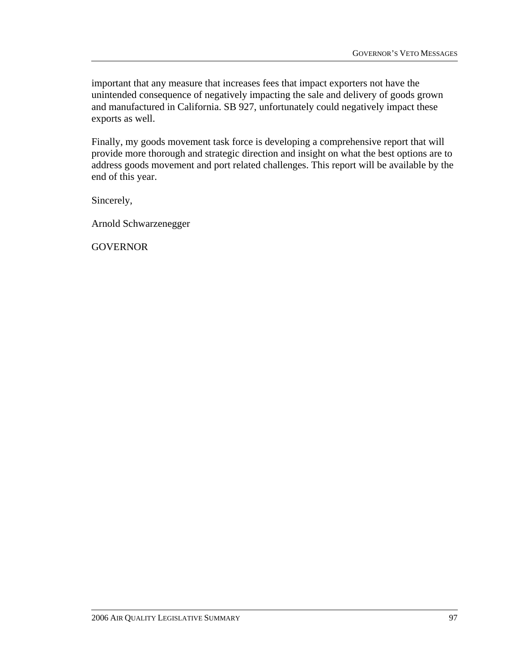important that any measure that increases fees that impact exporters not have the unintended consequence of negatively impacting the sale and delivery of goods grown and manufactured in California. SB 927, unfortunately could negatively impact these exports as well.

Finally, my goods movement task force is developing a comprehensive report that will provide more thorough and strategic direction and insight on what the best options are to address goods movement and port related challenges. This report will be available by the end of this year.

Sincerely,

Arnold Schwarzenegger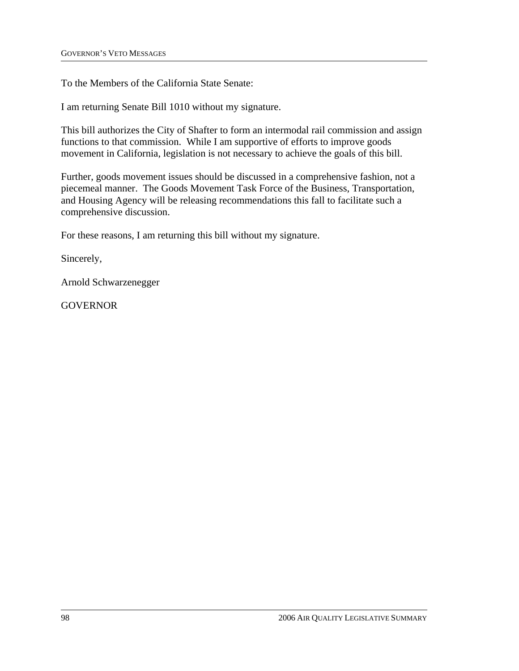To the Members of the California State Senate:

I am returning Senate Bill 1010 without my signature.

This bill authorizes the City of Shafter to form an intermodal rail commission and assign functions to that commission. While I am supportive of efforts to improve goods movement in California, legislation is not necessary to achieve the goals of this bill.

Further, goods movement issues should be discussed in a comprehensive fashion, not a piecemeal manner. The Goods Movement Task Force of the Business, Transportation, and Housing Agency will be releasing recommendations this fall to facilitate such a comprehensive discussion.

For these reasons, I am returning this bill without my signature.

Sincerely,

Arnold Schwarzenegger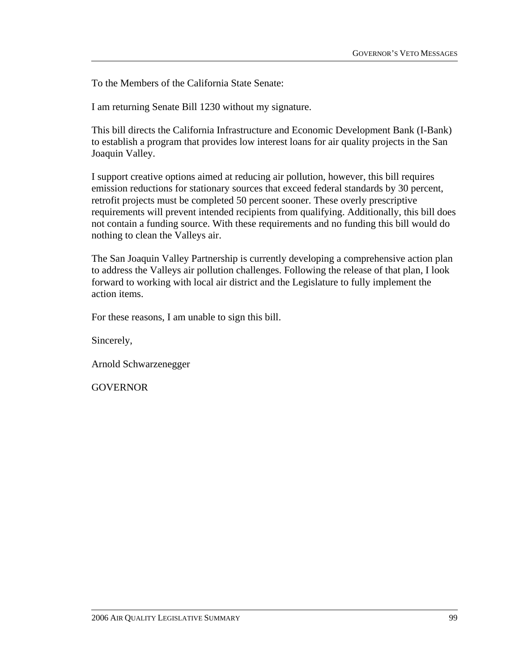To the Members of the California State Senate:

I am returning Senate Bill 1230 without my signature.

This bill directs the California Infrastructure and Economic Development Bank (I-Bank) to establish a program that provides low interest loans for air quality projects in the San Joaquin Valley.

I support creative options aimed at reducing air pollution, however, this bill requires emission reductions for stationary sources that exceed federal standards by 30 percent, retrofit projects must be completed 50 percent sooner. These overly prescriptive requirements will prevent intended recipients from qualifying. Additionally, this bill does not contain a funding source. With these requirements and no funding this bill would do nothing to clean the Valleys air.

The San Joaquin Valley Partnership is currently developing a comprehensive action plan to address the Valleys air pollution challenges. Following the release of that plan, I look forward to working with local air district and the Legislature to fully implement the action items.

For these reasons, I am unable to sign this bill.

Sincerely,

Arnold Schwarzenegger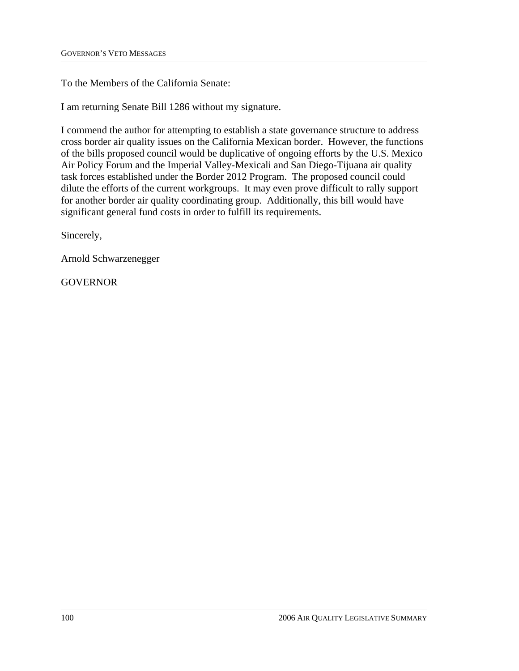To the Members of the California Senate:

I am returning Senate Bill 1286 without my signature.

I commend the author for attempting to establish a state governance structure to address cross border air quality issues on the California Mexican border. However, the functions of the bills proposed council would be duplicative of ongoing efforts by the U.S. Mexico Air Policy Forum and the Imperial Valley-Mexicali and San Diego-Tijuana air quality task forces established under the Border 2012 Program. The proposed council could dilute the efforts of the current workgroups. It may even prove difficult to rally support for another border air quality coordinating group. Additionally, this bill would have significant general fund costs in order to fulfill its requirements.

Sincerely,

Arnold Schwarzenegger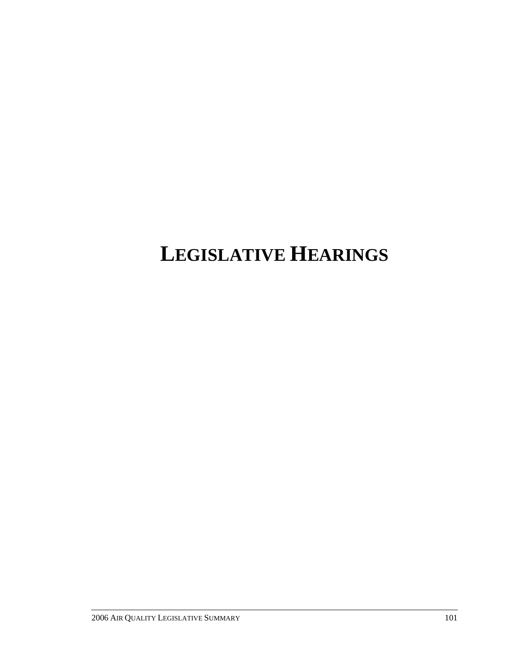# **LEGISLATIVE HEARINGS**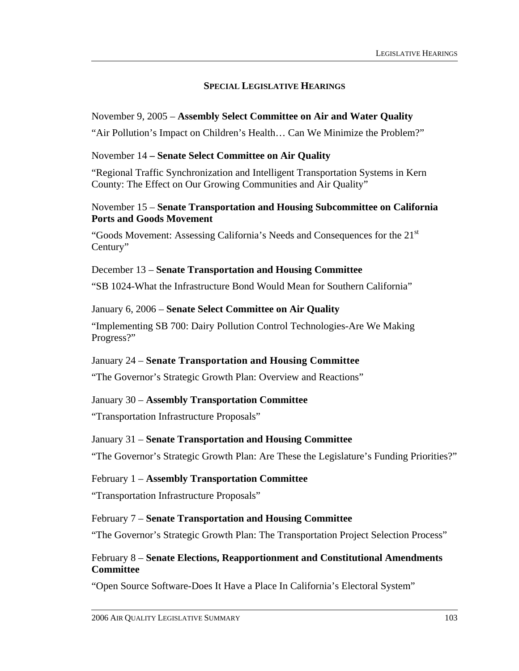# **SPECIAL LEGISLATIVE HEARINGS**

#### November 9, 2005 – **Assembly Select Committee on Air and Water Quality**

"Air Pollution's Impact on Children's Health… Can We Minimize the Problem?"

#### November 14 **– Senate Select Committee on Air Quality**

"Regional Traffic Synchronization and Intelligent Transportation Systems in Kern County: The Effect on Our Growing Communities and Air Quality"

#### November 15 – **Senate Transportation and Housing Subcommittee on California Ports and Goods Movement**

"Goods Movement: Assessing California's Needs and Consequences for the  $21<sup>st</sup>$ Century"

#### December 13 – **Senate Transportation and Housing Committee**

"SB 1024-What the Infrastructure Bond Would Mean for Southern California"

#### January 6, 2006 – **Senate Select Committee on Air Quality**

"Implementing SB 700: Dairy Pollution Control Technologies-Are We Making Progress?"

## January 24 – **Senate Transportation and Housing Committee**

"The Governor's Strategic Growth Plan: Overview and Reactions"

## January 30 – **Assembly Transportation Committee**

"Transportation Infrastructure Proposals"

#### January 31 – **Senate Transportation and Housing Committee**

"The Governor's Strategic Growth Plan: Are These the Legislature's Funding Priorities?"

#### February 1 – **Assembly Transportation Committee**

"Transportation Infrastructure Proposals"

#### February 7 – **Senate Transportation and Housing Committee**

"The Governor's Strategic Growth Plan: The Transportation Project Selection Process"

## February 8 – **Senate Elections, Reapportionment and Constitutional Amendments Committee**

"Open Source Software-Does It Have a Place In California's Electoral System"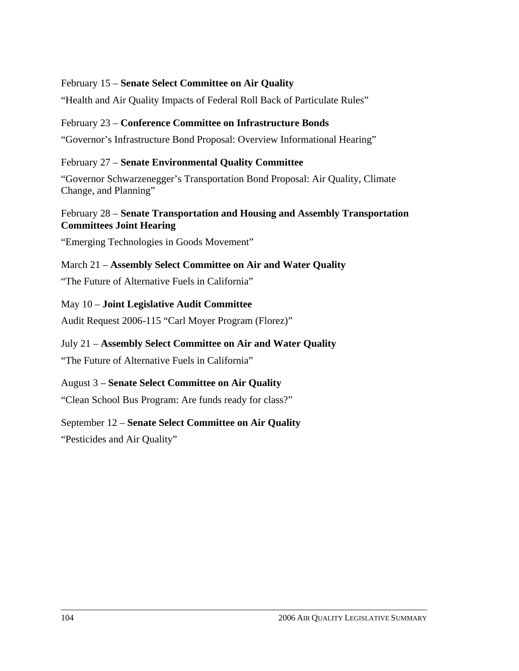## February 15 – **Senate Select Committee on Air Quality**

"Health and Air Quality Impacts of Federal Roll Back of Particulate Rules"

# February 23 – **Conference Committee on Infrastructure Bonds**

"Governor's Infrastructure Bond Proposal: Overview Informational Hearing"

# February 27 – **Senate Environmental Quality Committee**

"Governor Schwarzenegger's Transportation Bond Proposal: Air Quality, Climate Change, and Planning"

# February 28 – **Senate Transportation and Housing and Assembly Transportation Committees Joint Hearing**

"Emerging Technologies in Goods Movement"

March 21 – **Assembly Select Committee on Air and Water Quality**  "The Future of Alternative Fuels in California"

May 10 – **Joint Legislative Audit Committee**  Audit Request 2006-115 "Carl Moyer Program (Florez)"

July 21 – **Assembly Select Committee on Air and Water Quality**  "The Future of Alternative Fuels in California"

August 3 – **Senate Select Committee on Air Quality** 

"Clean School Bus Program: Are funds ready for class?"

## September 12 – **Senate Select Committee on Air Quality**

"Pesticides and Air Quality"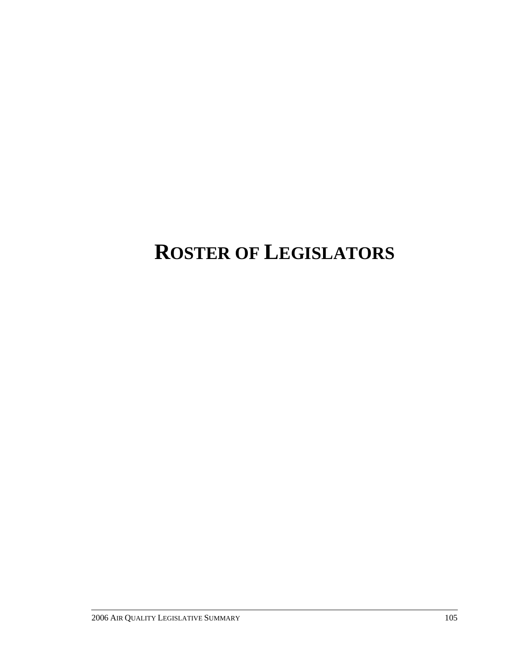# **ROSTER OF LEGISLATORS**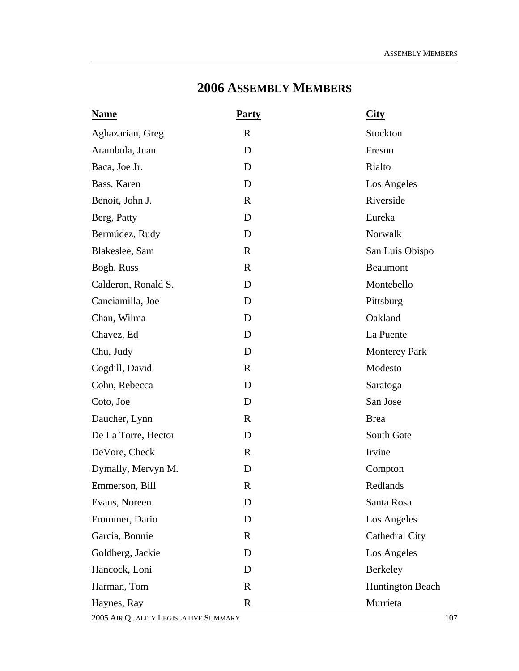# **2006 ASSEMBLY MEMBERS**

| <b>Name</b>         | <b>Party</b> | <b>City</b>             |
|---------------------|--------------|-------------------------|
| Aghazarian, Greg    | $\mathbf R$  | Stockton                |
| Arambula, Juan      | D            | Fresno                  |
| Baca, Joe Jr.       | D            | Rialto                  |
| Bass, Karen         | D            | Los Angeles             |
| Benoit, John J.     | $\mathbf R$  | Riverside               |
| Berg, Patty         | D            | Eureka                  |
| Bermúdez, Rudy      | D            | Norwalk                 |
| Blakeslee, Sam      | $\mathbf R$  | San Luis Obispo         |
| Bogh, Russ          | $\mathbf R$  | Beaumont                |
| Calderon, Ronald S. | D            | Montebello              |
| Canciamilla, Joe    | D            | Pittsburg               |
| Chan, Wilma         | D            | Oakland                 |
| Chavez, Ed          | D            | La Puente               |
| Chu, Judy           | D            | <b>Monterey Park</b>    |
| Cogdill, David      | $\mathbf R$  | Modesto                 |
| Cohn, Rebecca       | D            | Saratoga                |
| Coto, Joe           | D            | San Jose                |
| Daucher, Lynn       | $\mathbf R$  | <b>Brea</b>             |
| De La Torre, Hector | D            | South Gate              |
| DeVore, Check       | $\mathbf{R}$ | Irvine                  |
| Dymally, Mervyn M.  | D            | Compton                 |
| Emmerson, Bill      | R            | Redlands                |
| Evans, Noreen       | D            | Santa Rosa              |
| Frommer, Dario      | D            | Los Angeles             |
| Garcia, Bonnie      | $\mathbf R$  | Cathedral City          |
| Goldberg, Jackie    | D            | Los Angeles             |
| Hancock, Loni       | D            | Berkeley                |
| Harman, Tom         | $\mathbf R$  | <b>Huntington Beach</b> |
| Haynes, Ray         | $\mathbf R$  | Murrieta                |

2005 AIR QUALITY LEGISLATIVE SUMMARY 107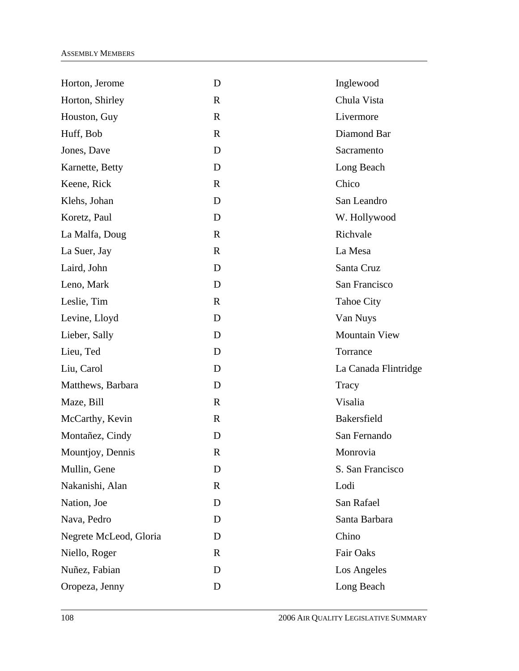| D            | Inglewood            |
|--------------|----------------------|
| $\mathbf R$  | Chula Vista          |
| $\mathbf R$  | Livermore            |
| $\mathbf{R}$ | Diamond Bar          |
| D            | Sacramento           |
| D            | Long Beach           |
| $\mathbf{R}$ | Chico                |
| D            | San Leandro          |
| D            | W. Hollywood         |
| $\mathbf{R}$ | Richvale             |
| $\mathbb{R}$ | La Mesa              |
| D            | Santa Cruz           |
| D            | San Francisco        |
| $\mathbf R$  | <b>Tahoe City</b>    |
| D            | Van Nuys             |
| D            | <b>Mountain View</b> |
| D            | Torrance             |
| D            | La Canada Flintridge |
| D            | Tracy                |
| $\mathbf R$  | Visalia              |
| $\mathbb{R}$ | <b>Bakersfield</b>   |
| D            | San Fernando         |
| R            | Monrovia             |
| D            | S. San Francisco     |
| $\mathbf R$  | Lodi                 |
| D            | San Rafael           |
| D            | Santa Barbara        |
| D            | Chino                |
| $\mathbf R$  | Fair Oaks            |
| D            | Los Angeles          |
| D            | Long Beach           |
|              |                      |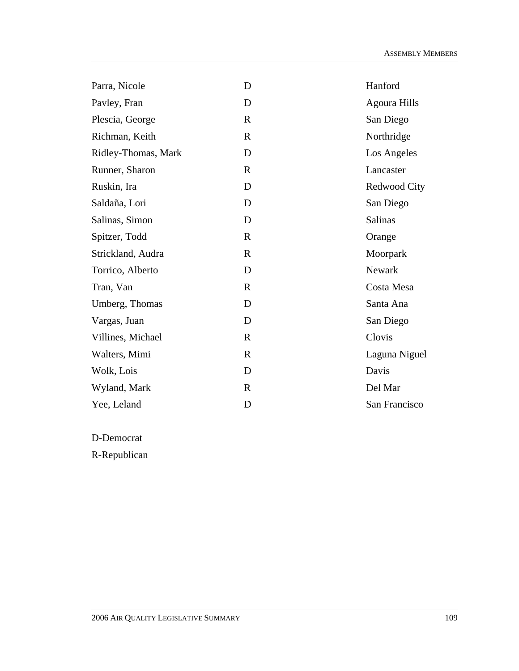| Parra, Nicole       | D            | Hanford             |
|---------------------|--------------|---------------------|
| Pavley, Fran        | D            | <b>Agoura Hills</b> |
| Plescia, George     | $\mathbf R$  | San Diego           |
| Richman, Keith      | $\mathbf R$  | Northridge          |
| Ridley-Thomas, Mark | D            | Los Angeles         |
| Runner, Sharon      | $\mathbb{R}$ | Lancaster           |
| Ruskin, Ira         | D            | Redwood City        |
| Saldaña, Lori       | D            | San Diego           |
| Salinas, Simon      | D            | Salinas             |
| Spitzer, Todd       | $\mathbf R$  | Orange              |
| Strickland, Audra   | $\mathbf R$  | Moorpark            |
| Torrico, Alberto    | D            | Newark              |
| Tran, Van           | $\mathbb{R}$ | Costa Mesa          |
| Umberg, Thomas      | D            | Santa Ana           |
| Vargas, Juan        | D            | San Diego           |
| Villines, Michael   | $\mathbf R$  | Clovis              |
| Walters, Mimi       | $\mathbf R$  | Laguna Niguel       |
| Wolk, Lois          | D            | Davis               |
| Wyland, Mark        | $\mathbf R$  | Del Mar             |
| Yee, Leland         | D            | San Francisco       |

D-Democrat

R-Republican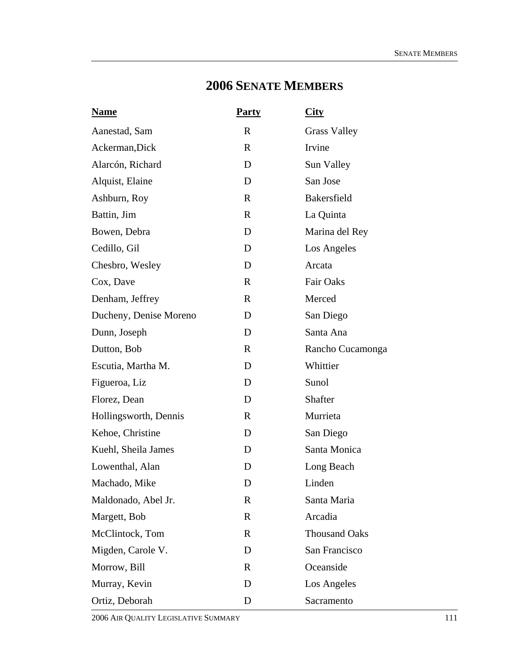# **2006 SENATE MEMBERS**

| <b>Name</b>            | <b>Party</b> | <u>City</u>          |
|------------------------|--------------|----------------------|
| Aanestad, Sam          | $\mathbf R$  | <b>Grass Valley</b>  |
| Ackerman, Dick         | $\mathbf R$  | Irvine               |
| Alarcón, Richard       | D            | Sun Valley           |
| Alquist, Elaine        | D            | San Jose             |
| Ashburn, Roy           | $\mathbf R$  | Bakersfield          |
| Battin, Jim            | $\mathbf R$  | La Quinta            |
| Bowen, Debra           | D            | Marina del Rey       |
| Cedillo, Gil           | D            | Los Angeles          |
| Chesbro, Wesley        | D            | Arcata               |
| Cox, Dave              | $\mathbf R$  | Fair Oaks            |
| Denham, Jeffrey        | $\mathbf R$  | Merced               |
| Ducheny, Denise Moreno | D            | San Diego            |
| Dunn, Joseph           | D            | Santa Ana            |
| Dutton, Bob            | $\mathbf{R}$ | Rancho Cucamonga     |
| Escutia, Martha M.     | D            | Whittier             |
| Figueroa, Liz          | D            | Sunol                |
| Florez, Dean           | D            | Shafter              |
| Hollingsworth, Dennis  | $\mathbf{R}$ | Murrieta             |
| Kehoe, Christine       | D            | San Diego            |
| Kuehl, Sheila James    | D            | Santa Monica         |
| Lowenthal, Alan        | D            | Long Beach           |
| Machado, Mike          | D            | Linden               |
| Maldonado, Abel Jr.    | $\mathbf R$  | Santa Maria          |
| Margett, Bob           | $\mathbf R$  | Arcadia              |
| McClintock, Tom        | $\mathbf R$  | <b>Thousand Oaks</b> |
| Migden, Carole V.      | D            | San Francisco        |
| Morrow, Bill           | $\mathbf{R}$ | Oceanside            |
| Murray, Kevin          | D            | Los Angeles          |
| Ortiz, Deborah         | D            | Sacramento           |